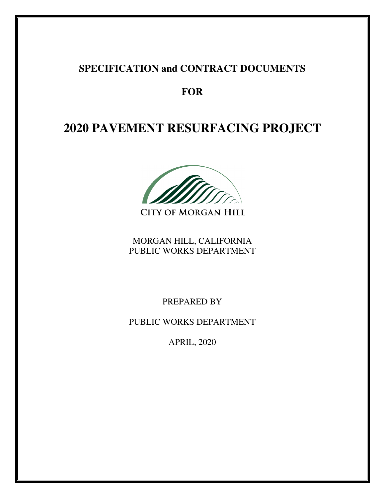# **SPECIFICATION and CONTRACT DOCUMENTS**

# **FOR**

# **2020 PAVEMENT RESURFACING PROJECT**



MORGAN HILL, CALIFORNIA PUBLIC WORKS DEPARTMENT

PREPARED BY

PUBLIC WORKS DEPARTMENT

APRIL, 2020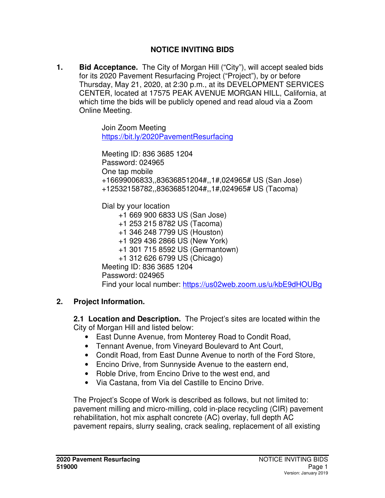#### **NOTICE INVITING BIDS**

**1. Bid Acceptance.** The City of Morgan Hill ("City"), will accept sealed bids for its 2020 Pavement Resurfacing Project ("Project"), by or before Thursday, May 21, 2020, at 2:30 p.m., at its DEVELOPMENT SERVICES CENTER, located at 17575 PEAK AVENUE MORGAN HILL, California, at which time the bids will be publicly opened and read aloud via a Zoom Online Meeting.

> Join Zoom Meeting https://bit.ly/2020PavementResurfacing

Meeting ID: 836 3685 1204 Password: 024965 One tap mobile +16699006833,,83636851204#,,1#,024965# US (San Jose) +12532158782,,83636851204#,,1#,024965# US (Tacoma)

Dial by your location

+1 669 900 6833 US (San Jose)

+1 253 215 8782 US (Tacoma)

+1 346 248 7799 US (Houston)

+1 929 436 2866 US (New York)

+1 301 715 8592 US (Germantown)

+1 312 626 6799 US (Chicago)

Meeting ID: 836 3685 1204

Password: 024965

Find your local number: https://us02web.zoom.us/u/kbE9dHOUBg

## **2. Project Information.**

**2.1 Location and Description.** The Project's sites are located within the City of Morgan Hill and listed below:

- East Dunne Avenue, from Monterey Road to Condit Road,
- Tennant Avenue, from Vineyard Boulevard to Ant Court,
- Condit Road, from East Dunne Avenue to north of the Ford Store,
- Encino Drive, from Sunnyside Avenue to the eastern end,
- Roble Drive, from Encino Drive to the west end, and
- Via Castana, from Via del Castille to Encino Drive.

The Project's Scope of Work is described as follows, but not limited to: pavement milling and micro-milling, cold in-place recycling (CIR) pavement rehabilitation, hot mix asphalt concrete (AC) overlay, full depth AC pavement repairs, slurry sealing, crack sealing, replacement of all existing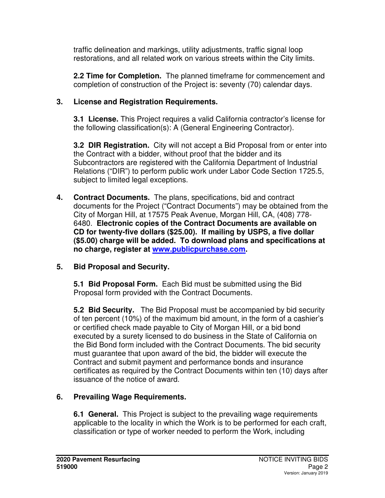traffic delineation and markings, utility adjustments, traffic signal loop restorations, and all related work on various streets within the City limits.

**2.2 Time for Completion.** The planned timeframe for commencement and completion of construction of the Project is: seventy (70) calendar days.

### **3. License and Registration Requirements.**

 **3.1 License.** This Project requires a valid California contractor's license for the following classification(s): A (General Engineering Contractor).

**3.2 DIR Registration.** City will not accept a Bid Proposal from or enter into the Contract with a bidder, without proof that the bidder and its Subcontractors are registered with the California Department of Industrial Relations ("DIR") to perform public work under Labor Code Section 1725.5, subject to limited legal exceptions.

- **4. Contract Documents.** The plans, specifications, bid and contract documents for the Project ("Contract Documents") may be obtained from the City of Morgan Hill, at 17575 Peak Avenue, Morgan Hill, CA, (408) 778- 6480. **Electronic copies of the Contract Documents are available on CD for twenty-five dollars (\$25.00). If mailing by USPS, a five dollar (\$5.00) charge will be added. To download plans and specifications at no charge, register at www.publicpurchase.com.**
- **5. Bid Proposal and Security.**

 **5.1 Bid Proposal Form.** Each Bid must be submitted using the Bid Proposal form provided with the Contract Documents.

**5.2 Bid Security.** The Bid Proposal must be accompanied by bid security of ten percent (10%) of the maximum bid amount, in the form of a cashier's or certified check made payable to City of Morgan Hill, or a bid bond executed by a surety licensed to do business in the State of California on the Bid Bond form included with the Contract Documents. The bid security must guarantee that upon award of the bid, the bidder will execute the Contract and submit payment and performance bonds and insurance certificates as required by the Contract Documents within ten (10) days after issuance of the notice of award.

## **6. Prevailing Wage Requirements.**

**6.1 General.** This Project is subject to the prevailing wage requirements applicable to the locality in which the Work is to be performed for each craft, classification or type of worker needed to perform the Work, including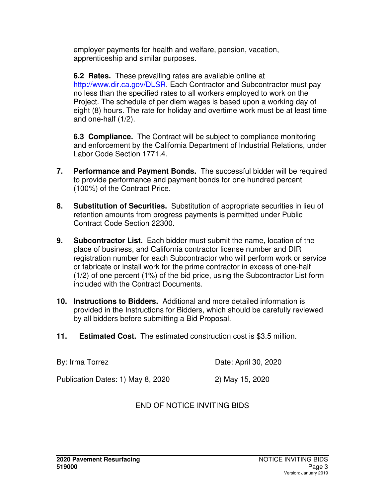employer payments for health and welfare, pension, vacation, apprenticeship and similar purposes.

**6.2 Rates.** These prevailing rates are available online at http://www.dir.ca.gov/DLSR. Each Contractor and Subcontractor must pay no less than the specified rates to all workers employed to work on the Project. The schedule of per diem wages is based upon a working day of eight (8) hours. The rate for holiday and overtime work must be at least time and one-half (1/2).

**6.3 Compliance.** The Contract will be subject to compliance monitoring and enforcement by the California Department of Industrial Relations, under Labor Code Section 1771.4.

- **7. Performance and Payment Bonds.** The successful bidder will be required to provide performance and payment bonds for one hundred percent (100%) of the Contract Price.
- **8. Substitution of Securities.** Substitution of appropriate securities in lieu of retention amounts from progress payments is permitted under Public Contract Code Section 22300.
- **9. Subcontractor List.** Each bidder must submit the name, location of the place of business, and California contractor license number and DIR registration number for each Subcontractor who will perform work or service or fabricate or install work for the prime contractor in excess of one-half (1/2) of one percent (1%) of the bid price, using the Subcontractor List form included with the Contract Documents.
- **10. Instructions to Bidders.** Additional and more detailed information is provided in the Instructions for Bidders, which should be carefully reviewed by all bidders before submitting a Bid Proposal.
- **11. Estimated Cost.** The estimated construction cost is \$3.5 million.

| By: Irma Torrez                   | Date: April 30, 2020 |
|-----------------------------------|----------------------|
| Publication Dates: 1) May 8, 2020 | 2) May 15, 2020      |

## END OF NOTICE INVITING BIDS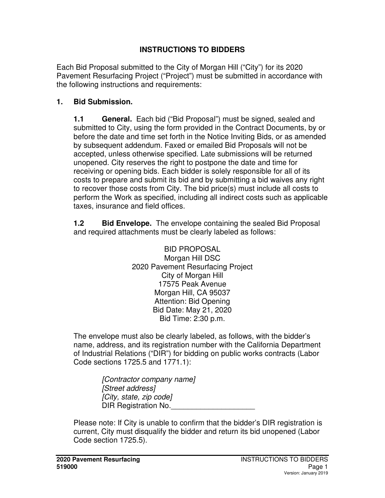### **INSTRUCTIONS TO BIDDERS**

Each Bid Proposal submitted to the City of Morgan Hill ("City") for its 2020 Pavement Resurfacing Project ("Project") must be submitted in accordance with the following instructions and requirements:

#### **1. Bid Submission.**

**1.1 General.** Each bid ("Bid Proposal") must be signed, sealed and submitted to City, using the form provided in the Contract Documents, by or before the date and time set forth in the Notice Inviting Bids, or as amended by subsequent addendum. Faxed or emailed Bid Proposals will not be accepted, unless otherwise specified. Late submissions will be returned unopened. City reserves the right to postpone the date and time for receiving or opening bids. Each bidder is solely responsible for all of its costs to prepare and submit its bid and by submitting a bid waives any right to recover those costs from City. The bid price(s) must include all costs to perform the Work as specified, including all indirect costs such as applicable taxes, insurance and field offices.

**1.2 Bid Envelope.** The envelope containing the sealed Bid Proposal and required attachments must be clearly labeled as follows:

> BID PROPOSAL Morgan Hill DSC 2020 Pavement Resurfacing Project City of Morgan Hill 17575 Peak Avenue Morgan Hill, CA 95037 Attention: Bid Opening Bid Date: May 21, 2020 Bid Time: 2:30 p.m.

The envelope must also be clearly labeled, as follows, with the bidder's name, address, and its registration number with the California Department of Industrial Relations ("DIR") for bidding on public works contracts (Labor Code sections 1725.5 and 1771.1):

> [Contractor company name] [Street address] [City, state, zip code] DIR Registration No.

Please note: If City is unable to confirm that the bidder's DIR registration is current, City must disqualify the bidder and return its bid unopened (Labor Code section 1725.5).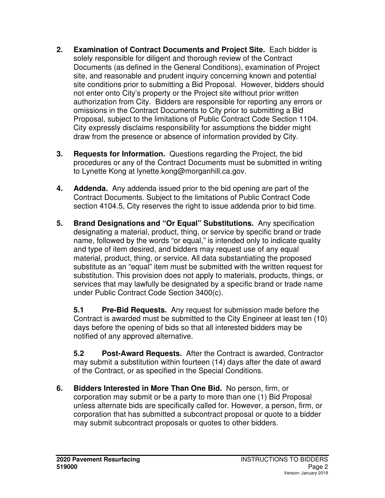- **2. Examination of Contract Documents and Project Site.** Each bidder is solely responsible for diligent and thorough review of the Contract Documents (as defined in the General Conditions), examination of Project site, and reasonable and prudent inquiry concerning known and potential site conditions prior to submitting a Bid Proposal. However, bidders should not enter onto City's property or the Project site without prior written authorization from City. Bidders are responsible for reporting any errors or omissions in the Contract Documents to City prior to submitting a Bid Proposal, subject to the limitations of Public Contract Code Section 1104. City expressly disclaims responsibility for assumptions the bidder might draw from the presence or absence of information provided by City.
- **3. Requests for Information.** Questions regarding the Project, the bid procedures or any of the Contract Documents must be submitted in writing to Lynette Kong at lynette.kong@morganhill.ca.gov.
- **4. Addenda.** Any addenda issued prior to the bid opening are part of the Contract Documents. Subject to the limitations of Public Contract Code section 4104.5, City reserves the right to issue addenda prior to bid time.
- **5. Brand Designations and "Or Equal" Substitutions.** Any specification designating a material, product, thing, or service by specific brand or trade name, followed by the words "or equal," is intended only to indicate quality and type of item desired, and bidders may request use of any equal material, product, thing, or service. All data substantiating the proposed substitute as an "equal" item must be submitted with the written request for substitution. This provision does not apply to materials, products, things, or services that may lawfully be designated by a specific brand or trade name under Public Contract Code Section 3400(c).

**5.1 Pre-Bid Requests.** Any request for submission made before the Contract is awarded must be submitted to the City Engineer at least ten (10) days before the opening of bids so that all interested bidders may be notified of any approved alternative.

**5.2 Post-Award Requests.** After the Contract is awarded, Contractor may submit a substitution within fourteen (14) days after the date of award of the Contract, or as specified in the Special Conditions.

**6. Bidders Interested in More Than One Bid.** No person, firm, or corporation may submit or be a party to more than one (1) Bid Proposal unless alternate bids are specifically called for. However, a person, firm, or corporation that has submitted a subcontract proposal or quote to a bidder may submit subcontract proposals or quotes to other bidders.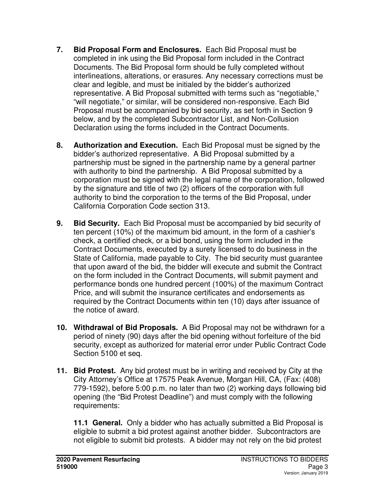- **7. Bid Proposal Form and Enclosures.** Each Bid Proposal must be completed in ink using the Bid Proposal form included in the Contract Documents. The Bid Proposal form should be fully completed without interlineations, alterations, or erasures. Any necessary corrections must be clear and legible, and must be initialed by the bidder's authorized representative. A Bid Proposal submitted with terms such as "negotiable," "will negotiate," or similar, will be considered non-responsive. Each Bid Proposal must be accompanied by bid security, as set forth in Section 9 below, and by the completed Subcontractor List, and Non-Collusion Declaration using the forms included in the Contract Documents.
- **8. Authorization and Execution.** Each Bid Proposal must be signed by the bidder's authorized representative. A Bid Proposal submitted by a partnership must be signed in the partnership name by a general partner with authority to bind the partnership. A Bid Proposal submitted by a corporation must be signed with the legal name of the corporation, followed by the signature and title of two (2) officers of the corporation with full authority to bind the corporation to the terms of the Bid Proposal, under California Corporation Code section 313.
- **9. Bid Security.** Each Bid Proposal must be accompanied by bid security of ten percent (10%) of the maximum bid amount, in the form of a cashier's check, a certified check, or a bid bond, using the form included in the Contract Documents, executed by a surety licensed to do business in the State of California, made payable to City. The bid security must guarantee that upon award of the bid, the bidder will execute and submit the Contract on the form included in the Contract Documents, will submit payment and performance bonds one hundred percent (100%) of the maximum Contract Price, and will submit the insurance certificates and endorsements as required by the Contract Documents within ten (10) days after issuance of the notice of award.
- **10. Withdrawal of Bid Proposals.** A Bid Proposal may not be withdrawn for a period of ninety (90) days after the bid opening without forfeiture of the bid security, except as authorized for material error under Public Contract Code Section 5100 et seq.
- **11. Bid Protest.** Any bid protest must be in writing and received by City at the City Attorney's Office at 17575 Peak Avenue, Morgan Hill, CA, (Fax: (408) 779-1592), before 5:00 p.m. no later than two (2) working days following bid opening (the "Bid Protest Deadline") and must comply with the following requirements:

**11.1 General.** Only a bidder who has actually submitted a Bid Proposal is eligible to submit a bid protest against another bidder. Subcontractors are not eligible to submit bid protests. A bidder may not rely on the bid protest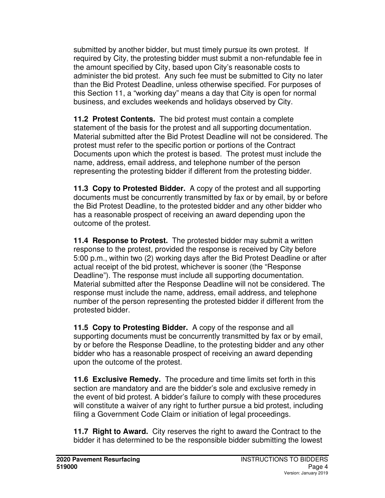submitted by another bidder, but must timely pursue its own protest. If required by City, the protesting bidder must submit a non-refundable fee in the amount specified by City, based upon City's reasonable costs to administer the bid protest. Any such fee must be submitted to City no later than the Bid Protest Deadline, unless otherwise specified. For purposes of this Section 11, a "working day" means a day that City is open for normal business, and excludes weekends and holidays observed by City.

**11.2 Protest Contents.** The bid protest must contain a complete statement of the basis for the protest and all supporting documentation. Material submitted after the Bid Protest Deadline will not be considered. The protest must refer to the specific portion or portions of the Contract Documents upon which the protest is based. The protest must include the name, address, email address, and telephone number of the person representing the protesting bidder if different from the protesting bidder.

**11.3 Copy to Protested Bidder.** A copy of the protest and all supporting documents must be concurrently transmitted by fax or by email, by or before the Bid Protest Deadline, to the protested bidder and any other bidder who has a reasonable prospect of receiving an award depending upon the outcome of the protest.

**11.4 Response to Protest.** The protested bidder may submit a written response to the protest, provided the response is received by City before 5:00 p.m., within two (2) working days after the Bid Protest Deadline or after actual receipt of the bid protest, whichever is sooner (the "Response Deadline"). The response must include all supporting documentation. Material submitted after the Response Deadline will not be considered. The response must include the name, address, email address, and telephone number of the person representing the protested bidder if different from the protested bidder.

**11.5 Copy to Protesting Bidder.** A copy of the response and all supporting documents must be concurrently transmitted by fax or by email, by or before the Response Deadline, to the protesting bidder and any other bidder who has a reasonable prospect of receiving an award depending upon the outcome of the protest.

**11.6 Exclusive Remedy.** The procedure and time limits set forth in this section are mandatory and are the bidder's sole and exclusive remedy in the event of bid protest. A bidder's failure to comply with these procedures will constitute a waiver of any right to further pursue a bid protest, including filing a Government Code Claim or initiation of legal proceedings.

**11.7 Right to Award.** City reserves the right to award the Contract to the bidder it has determined to be the responsible bidder submitting the lowest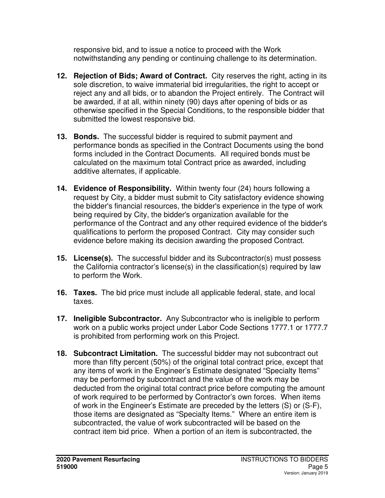responsive bid, and to issue a notice to proceed with the Work notwithstanding any pending or continuing challenge to its determination.

- **12. Rejection of Bids; Award of Contract.** City reserves the right, acting in its sole discretion, to waive immaterial bid irregularities, the right to accept or reject any and all bids, or to abandon the Project entirely. The Contract will be awarded, if at all, within ninety (90) days after opening of bids or as otherwise specified in the Special Conditions, to the responsible bidder that submitted the lowest responsive bid.
- **13. Bonds.** The successful bidder is required to submit payment and performance bonds as specified in the Contract Documents using the bond forms included in the Contract Documents. All required bonds must be calculated on the maximum total Contract price as awarded, including additive alternates, if applicable.
- **14. Evidence of Responsibility.** Within twenty four (24) hours following a request by City, a bidder must submit to City satisfactory evidence showing the bidder's financial resources, the bidder's experience in the type of work being required by City, the bidder's organization available for the performance of the Contract and any other required evidence of the bidder's qualifications to perform the proposed Contract. City may consider such evidence before making its decision awarding the proposed Contract.
- **15. License(s).** The successful bidder and its Subcontractor(s) must possess the California contractor's license(s) in the classification(s) required by law to perform the Work.
- **16. Taxes.** The bid price must include all applicable federal, state, and local taxes.
- **17. Ineligible Subcontractor.** Any Subcontractor who is ineligible to perform work on a public works project under Labor Code Sections 1777.1 or 1777.7 is prohibited from performing work on this Project.
- **18. Subcontract Limitation.** The successful bidder may not subcontract out more than fifty percent (50%) of the original total contract price, except that any items of work in the Engineer's Estimate designated "Specialty Items" may be performed by subcontract and the value of the work may be deducted from the original total contract price before computing the amount of work required to be performed by Contractor's own forces. When items of work in the Engineer's Estimate are preceded by the letters (S) or (S-F), those items are designated as "Specialty Items." Where an entire item is subcontracted, the value of work subcontracted will be based on the contract item bid price. When a portion of an item is subcontracted, the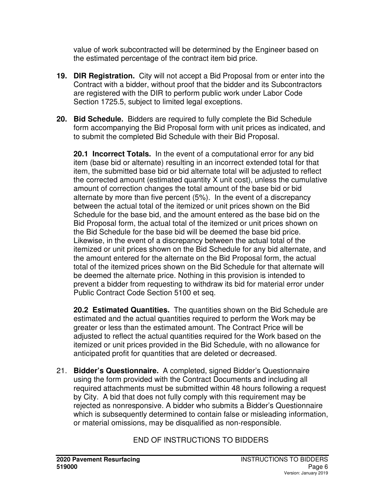value of work subcontracted will be determined by the Engineer based on the estimated percentage of the contract item bid price.

- **19. DIR Registration.** City will not accept a Bid Proposal from or enter into the Contract with a bidder, without proof that the bidder and its Subcontractors are registered with the DIR to perform public work under Labor Code Section 1725.5, subject to limited legal exceptions.
- **20. Bid Schedule.** Bidders are required to fully complete the Bid Schedule form accompanying the Bid Proposal form with unit prices as indicated, and to submit the completed Bid Schedule with their Bid Proposal.

**20.1 Incorrect Totals.** In the event of a computational error for any bid item (base bid or alternate) resulting in an incorrect extended total for that item, the submitted base bid or bid alternate total will be adjusted to reflect the corrected amount (estimated quantity X unit cost), unless the cumulative amount of correction changes the total amount of the base bid or bid alternate by more than five percent (5%). In the event of a discrepancy between the actual total of the itemized or unit prices shown on the Bid Schedule for the base bid, and the amount entered as the base bid on the Bid Proposal form, the actual total of the itemized or unit prices shown on the Bid Schedule for the base bid will be deemed the base bid price. Likewise, in the event of a discrepancy between the actual total of the itemized or unit prices shown on the Bid Schedule for any bid alternate, and the amount entered for the alternate on the Bid Proposal form, the actual total of the itemized prices shown on the Bid Schedule for that alternate will be deemed the alternate price. Nothing in this provision is intended to prevent a bidder from requesting to withdraw its bid for material error under Public Contract Code Section 5100 et seq.

**20.2 Estimated Quantities.** The quantities shown on the Bid Schedule are estimated and the actual quantities required to perform the Work may be greater or less than the estimated amount. The Contract Price will be adjusted to reflect the actual quantities required for the Work based on the itemized or unit prices provided in the Bid Schedule, with no allowance for anticipated profit for quantities that are deleted or decreased.

21. **Bidder's Questionnaire.** A completed, signed Bidder's Questionnaire using the form provided with the Contract Documents and including all required attachments must be submitted within 48 hours following a request by City. A bid that does not fully comply with this requirement may be rejected as nonresponsive. A bidder who submits a Bidder's Questionnaire which is subsequently determined to contain false or misleading information, or material omissions, may be disqualified as non-responsible.

# END OF INSTRUCTIONS TO BIDDERS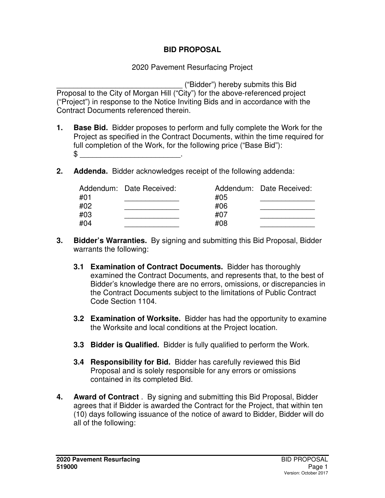#### **BID PROPOSAL**

#### 2020 Pavement Resurfacing Project

\_\_\_\_\_\_\_\_\_\_\_\_\_\_\_\_\_\_\_\_\_\_\_\_\_\_\_\_\_\_ ("Bidder") hereby submits this Bid Proposal to the City of Morgan Hill ("City") for the above-referenced project ("Project") in response to the Notice Inviting Bids and in accordance with the Contract Documents referenced therein.

- **1. Base Bid.** Bidder proposes to perform and fully complete the Work for the Project as specified in the Contract Documents, within the time required for full completion of the Work, for the following price ("Base Bid"): \$ \_\_\_\_\_\_\_\_\_\_\_\_\_\_\_\_\_\_\_\_\_\_\_\_.
- **2. Addenda.** Bidder acknowledges receipt of the following addenda:

|     | Addendum: Date Received: |     | Addendum: Date Received: |
|-----|--------------------------|-----|--------------------------|
| #01 |                          | #05 |                          |
| #02 |                          | #06 |                          |
| #03 |                          | #07 |                          |
| #04 |                          | #08 |                          |

- **3. Bidder's Warranties.** By signing and submitting this Bid Proposal, Bidder warrants the following:
	- **3.1 Examination of Contract Documents.** Bidder has thoroughly examined the Contract Documents, and represents that, to the best of Bidder's knowledge there are no errors, omissions, or discrepancies in the Contract Documents subject to the limitations of Public Contract Code Section 1104.
	- **3.2 Examination of Worksite.** Bidder has had the opportunity to examine the Worksite and local conditions at the Project location.
	- **3.3 Bidder is Qualified.** Bidder is fully qualified to perform the Work.
	- **3.4 Responsibility for Bid.** Bidder has carefully reviewed this Bid Proposal and is solely responsible for any errors or omissions contained in its completed Bid.
- **4. Award of Contract** . By signing and submitting this Bid Proposal, Bidder agrees that if Bidder is awarded the Contract for the Project, that within ten (10) days following issuance of the notice of award to Bidder, Bidder will do all of the following: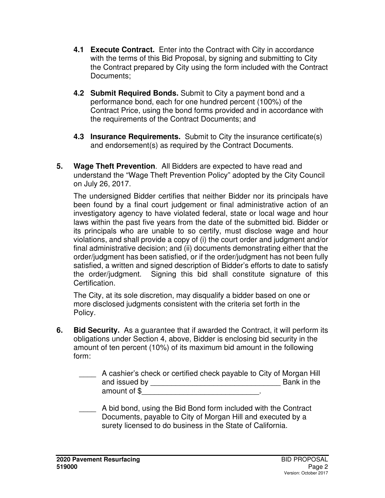- **4.1 Execute Contract.** Enter into the Contract with City in accordance with the terms of this Bid Proposal, by signing and submitting to City the Contract prepared by City using the form included with the Contract Documents;
- **4.2 Submit Required Bonds.** Submit to City a payment bond and a performance bond, each for one hundred percent (100%) of the Contract Price, using the bond forms provided and in accordance with the requirements of the Contract Documents; and
- **4.3 Insurance Requirements.** Submit to City the insurance certificate(s) and endorsement(s) as required by the Contract Documents.
- **5. Wage Theft Prevention**. All Bidders are expected to have read and understand the "Wage Theft Prevention Policy" adopted by the City Council on July 26, 2017.

The undersigned Bidder certifies that neither Bidder nor its principals have been found by a final court judgement or final administrative action of an investigatory agency to have violated federal, state or local wage and hour laws within the past five years from the date of the submitted bid. Bidder or its principals who are unable to so certify, must disclose wage and hour violations, and shall provide a copy of (i) the court order and judgment and/or final administrative decision; and (ii) documents demonstrating either that the order/judgment has been satisfied, or if the order/judgment has not been fully satisfied, a written and signed description of Bidder's efforts to date to satisfy the order/judgment. Signing this bid shall constitute signature of this Certification.

The City, at its sole discretion, may disqualify a bidder based on one or more disclosed judgments consistent with the criteria set forth in the Policy.

**6. Bid Security.** As a guarantee that if awarded the Contract, it will perform its obligations under Section 4, above, Bidder is enclosing bid security in the amount of ten percent (10%) of its maximum bid amount in the following form:

| A cashier's check or certified check payable to City of Morgan Hill |             |
|---------------------------------------------------------------------|-------------|
| and issued by                                                       | Bank in the |
| amount of \$                                                        |             |

A bid bond, using the Bid Bond form included with the Contract Documents, payable to City of Morgan Hill and executed by a surety licensed to do business in the State of California.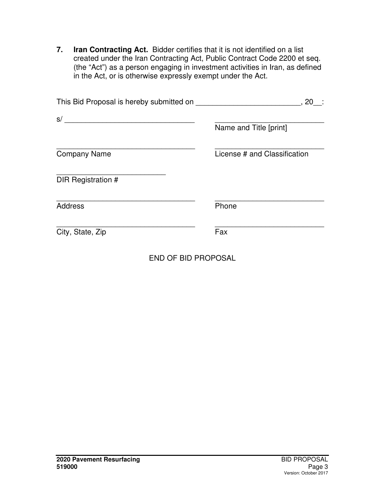**7. Iran Contracting Act.** Bidder certifies that it is not identified on a list created under the Iran Contracting Act, Public Contract Code 2200 et seq. (the "Act") as a person engaging in investment activities in Iran, as defined in the Act, or is otherwise expressly exempt under the Act.

| This Bid Proposal is hereby submitted on | , 20<br>- 1                  |
|------------------------------------------|------------------------------|
| s/                                       | Name and Title [print]       |
| <b>Company Name</b>                      | License # and Classification |
| DIR Registration #                       |                              |
| <b>Address</b>                           | Phone                        |
| City, State, Zip                         | Fax                          |

END OF BID PROPOSAL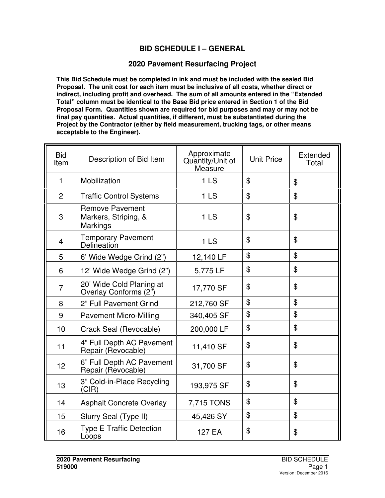#### **BID SCHEDULE I – GENERAL**

#### **2020 Pavement Resurfacing Project**

**This Bid Schedule must be completed in ink and must be included with the sealed Bid Proposal. The unit cost for each item must be inclusive of all costs, whether direct or indirect, including profit and overhead. The sum of all amounts entered in the "Extended Total" column must be identical to the Base Bid price entered in Section 1 of the Bid Proposal Form. Quantities shown are required for bid purposes and may or may not be final pay quantities. Actual quantities, if different, must be substantiated during the Project by the Contractor (either by field measurement, trucking tags, or other means acceptable to the Engineer).** 

| <b>Bid</b><br>Item | Description of Bid Item                                           | Approximate<br>Quantity/Unit of<br>Measure | <b>Unit Price</b> | Extended<br>Total |
|--------------------|-------------------------------------------------------------------|--------------------------------------------|-------------------|-------------------|
| $\mathbf{1}$       | Mobilization                                                      | 1 <sub>LS</sub>                            | \$                | \$                |
| $\overline{2}$     | <b>Traffic Control Systems</b>                                    | 1 <sub>LS</sub>                            | $\mathfrak{F}$    | \$                |
| 3                  | <b>Remove Pavement</b><br>Markers, Striping, &<br><b>Markings</b> | 1LS                                        | \$                | \$                |
| 4                  | <b>Temporary Pavement</b><br>Delineation                          | 1 <sub>LS</sub>                            | $\mathfrak{L}$    | \$                |
| 5                  | 6' Wide Wedge Grind (2")                                          | 12,140 LF                                  | \$                | \$                |
| 6                  | 12' Wide Wedge Grind (2")                                         | 5,775 LF                                   | $\mathfrak{F}$    | \$                |
| $\overline{7}$     | 20' Wide Cold Planing at<br>Overlay Conforms (2")                 | 17,770 SF                                  | $\mathfrak{L}$    | \$                |
| 8                  | 2" Full Pavement Grind                                            | 212,760 SF                                 | \$                | \$                |
| 9                  | <b>Pavement Micro-Milling</b>                                     | 340,405 SF                                 | \$                | \$                |
| 10                 | Crack Seal (Revocable)                                            | 200,000 LF                                 | \$                | \$                |
| 11                 | 4" Full Depth AC Pavement<br>Repair (Revocable)                   | 11,410 SF                                  | \$                | \$                |
| 12                 | 6" Full Depth AC Pavement<br>Repair (Revocable)                   | 31,700 SF                                  | \$                | \$                |
| 13                 | 3" Cold-in-Place Recycling<br>(CIR)                               | 193,975 SF                                 | \$                | \$                |
| 14                 | <b>Asphalt Concrete Overlay</b>                                   | 7,715 TONS                                 | \$                | \$                |
| 15                 | Slurry Seal (Type II)                                             | 45,426 SY                                  | \$                | \$                |
| 16                 | <b>Type E Traffic Detection</b><br>Loops                          | 127 EA                                     | \$                | \$                |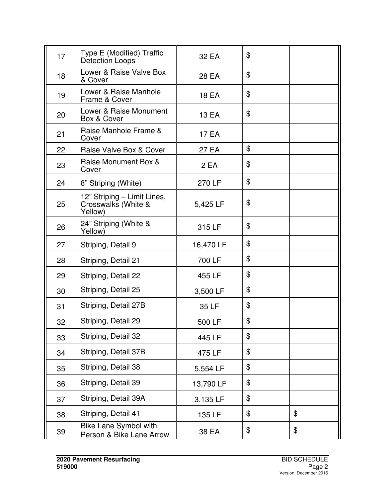| 17 | Type E (Modified) Traffic<br>Detection Loops                  | 32 EA     | \$             |    |
|----|---------------------------------------------------------------|-----------|----------------|----|
| 18 | Lower & Raise Valve Box<br>& Cover                            | 28 EA     | \$             |    |
| 19 | Lower & Raise Manhole<br>Frame & Cover                        | 18 EA     | $\mathfrak{F}$ |    |
| 20 | Lower & Raise Monument<br>Box & Cover                         | 13 EA     | \$             |    |
| 21 | Raise Manhole Frame &<br>Cover                                | 17 EA     |                |    |
| 22 | Raise Valve Box & Cover                                       | 27 EA     | \$             |    |
| 23 | Raise Monument Box &<br>Cover                                 | 2 EA      | \$             |    |
| 24 | 8" Striping (White)                                           | 270 LF    | \$             |    |
| 25 | 12" Striping - Limit Lines,<br>Crosswalks (White &<br>Yellow) | 5,425 LF  | \$             |    |
| 26 | 24" Striping (White &<br>Yellow)                              | 315 LF    | \$             |    |
| 27 | Striping, Detail 9                                            | 16,470 LF | \$             |    |
| 28 | Striping, Detail 21                                           | 700 LF    | \$             |    |
| 29 | Striping, Detail 22                                           | 455 LF    | \$             |    |
| 30 | Striping, Detail 25                                           | 3,500 LF  | \$             |    |
| 31 | Striping, Detail 27B                                          | 35 LF     | \$             |    |
| 32 | Striping, Detail 29                                           | 500 LF    | \$             |    |
| 33 | Striping, Detail 32                                           | 445 LF    | \$             |    |
| 34 | Striping, Detail 37B                                          | 475 LF    | \$             |    |
| 35 | Striping, Detail 38                                           | 5,554 LF  | \$             |    |
| 36 | Striping, Detail 39                                           | 13,790 LF | \$             |    |
| 37 | Striping, Detail 39A                                          | 3,135 LF  | \$             |    |
| 38 | Striping, Detail 41                                           | 135 LF    | \$             | \$ |
| 39 | Bike Lane Symbol with<br>Person & Bike Lane Arrow             | 38 EA     | \$             | \$ |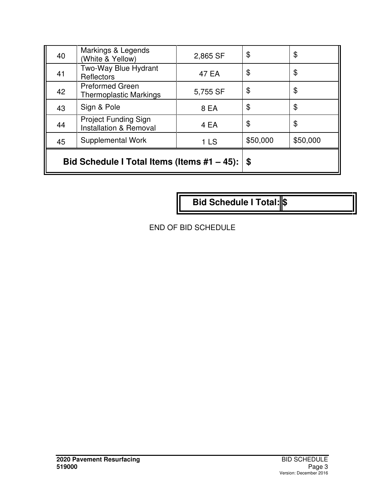| 40 | Markings & Legends<br>(White & Yellow)                           | 2,865 SF        | \$       | \$       |
|----|------------------------------------------------------------------|-----------------|----------|----------|
| 41 | Two-Way Blue Hydrant<br>Reflectors                               | 47 EA           | \$       | \$       |
| 42 | <b>Preformed Green</b><br><b>Thermoplastic Markings</b>          | 5,755 SF        | \$       | \$       |
| 43 | Sign & Pole                                                      | 8 EA            | \$       | \$       |
| 44 | <b>Project Funding Sign</b><br><b>Installation &amp; Removal</b> | 4 EA            | \$       | \$       |
| 45 | Supplemental Work                                                | 1 <sub>LS</sub> | \$50,000 | \$50,000 |
|    | Bid Schedule I Total Items (Items #1 – 45):                      |                 |          |          |

**Bid Schedule I Total:** \$

END OF BID SCHEDULE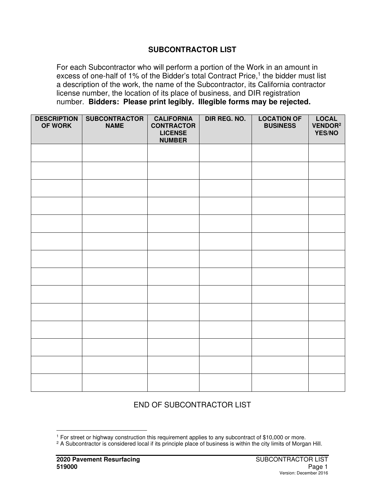#### **SUBCONTRACTOR LIST**

For each Subcontractor who will perform a portion of the Work in an amount in excess of one-half of 1% of the Bidder's total Contract Price,<sup>1</sup> the bidder must list a description of the work, the name of the Subcontractor, its California contractor license number, the location of its place of business, and DIR registration number. **Bidders: Please print legibly. Illegible forms may be rejected.** 

| <b>DESCRIPTION</b><br>OF WORK | <b>SUBCONTRACTOR</b><br><b>NAME</b> | <b>CALIFORNIA</b><br><b>CONTRACTOR</b><br><b>LICENSE</b><br><b>NUMBER</b> | DIR REG. NO. | <b>LOCATION OF</b><br><b>BUSINESS</b> | LOCAL<br>VENDOR <sup>2</sup><br>YES/NO |
|-------------------------------|-------------------------------------|---------------------------------------------------------------------------|--------------|---------------------------------------|----------------------------------------|
|                               |                                     |                                                                           |              |                                       |                                        |
|                               |                                     |                                                                           |              |                                       |                                        |
|                               |                                     |                                                                           |              |                                       |                                        |
|                               |                                     |                                                                           |              |                                       |                                        |
|                               |                                     |                                                                           |              |                                       |                                        |
|                               |                                     |                                                                           |              |                                       |                                        |
|                               |                                     |                                                                           |              |                                       |                                        |
|                               |                                     |                                                                           |              |                                       |                                        |
|                               |                                     |                                                                           |              |                                       |                                        |
|                               |                                     |                                                                           |              |                                       |                                        |
|                               |                                     |                                                                           |              |                                       |                                        |
|                               |                                     |                                                                           |              |                                       |                                        |
|                               |                                     |                                                                           |              |                                       |                                        |
|                               |                                     |                                                                           |              |                                       |                                        |

#### END OF SUBCONTRACTOR LIST

<sup>1</sup> For street or highway construction this requirement applies to any subcontract of \$10,000 or more.

<sup>&</sup>lt;sup>2</sup> A Subcontractor is considered local if its principle place of business is within the city limits of Morgan Hill.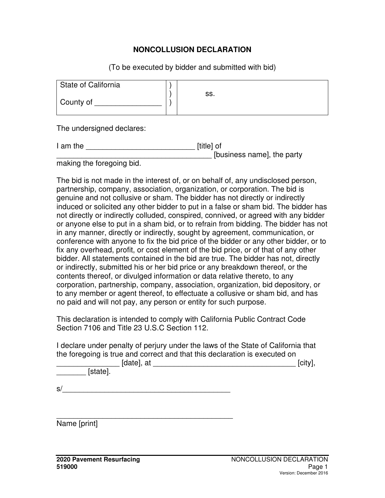#### **NONCOLLUSION DECLARATION**

(To be executed by bidder and submitted with bid)

| State of California |     |
|---------------------|-----|
| County of           | SS. |

The undersigned declares:

| I am the | [title] of                 |
|----------|----------------------------|
|          | [business name], the party |
|          |                            |

making the foregoing bid.

The bid is not made in the interest of, or on behalf of, any undisclosed person, partnership, company, association, organization, or corporation. The bid is genuine and not collusive or sham. The bidder has not directly or indirectly induced or solicited any other bidder to put in a false or sham bid. The bidder has not directly or indirectly colluded, conspired, connived, or agreed with any bidder or anyone else to put in a sham bid, or to refrain from bidding. The bidder has not in any manner, directly or indirectly, sought by agreement, communication, or conference with anyone to fix the bid price of the bidder or any other bidder, or to fix any overhead, profit, or cost element of the bid price, or of that of any other bidder. All statements contained in the bid are true. The bidder has not, directly or indirectly, submitted his or her bid price or any breakdown thereof, or the contents thereof, or divulged information or data relative thereto, to any corporation, partnership, company, association, organization, bid depository, or to any member or agent thereof, to effectuate a collusive or sham bid, and has no paid and will not pay, any person or entity for such purpose.

This declaration is intended to comply with California Public Contract Code Section 7106 and Title 23 U.S.C Section 112.

I declare under penalty of perjury under the laws of the State of California that the foregoing is true and correct and that this declaration is executed on

| [date],<br>at | <b>Loiture</b><br>. :IIV |
|---------------|--------------------------|
|               |                          |

\_\_\_\_\_\_\_ [state].

 $s/$ 

\_\_\_\_\_\_\_\_\_\_\_\_\_\_\_\_\_\_\_\_\_\_\_\_\_\_\_\_\_\_\_\_\_\_\_\_\_\_\_\_\_\_

Name [print]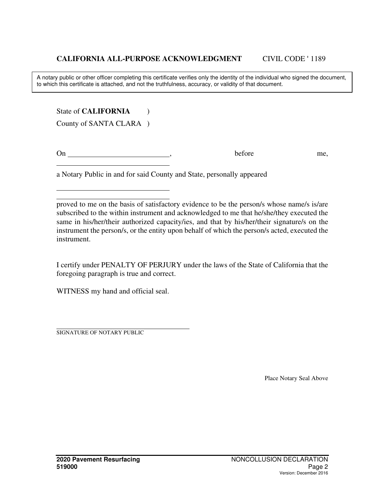A notary public or other officer completing this certificate verifies only the identity of the individual who signed the document, to which this certificate is attached, and not the truthfulness, accuracy, or validity of that document.

State of **CALIFORNIA** (1)

County of SANTA CLARA )

On before me,

 $\overline{a}$ 

a Notary Public in and for said County and State, personally appeared

 $\overline{a}$ proved to me on the basis of satisfactory evidence to be the person/s whose name/s is/are subscribed to the within instrument and acknowledged to me that he/she/they executed the same in his/her/their authorized capacity/ies, and that by his/her/their signature/s on the instrument the person/s, or the entity upon behalf of which the person/s acted, executed the instrument.

I certify under PENALTY OF PERJURY under the laws of the State of California that the foregoing paragraph is true and correct.

WITNESS my hand and official seal.

SIGNATURE OF NOTARY PUBLIC

Place Notary Seal Above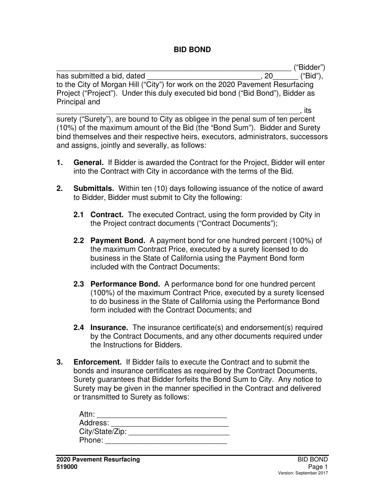#### **BID BOND**

\_\_\_\_\_\_\_\_\_\_\_\_\_\_\_\_\_\_\_\_\_\_\_\_\_\_\_\_\_\_\_\_\_\_\_\_\_\_\_\_\_\_\_\_\_\_\_\_\_\_\_\_\_\_\_\_ ("Bidder")

has submitted a bid, dated  $\qquad \qquad$ , 20 ("Bid"), to the City of Morgan Hill ("City") for work on the 2020 Pavement Resurfacing Project ("Project"). Under this duly executed bid bond ("Bid Bond"), Bidder as Principal and

\_\_\_\_\_\_\_\_\_\_\_\_\_\_\_\_\_\_\_\_\_\_\_\_\_\_\_\_\_\_\_\_\_\_\_\_\_\_\_\_\_\_\_\_\_\_\_\_\_\_\_\_\_\_\_\_\_\_, its surety ("Surety"), are bound to City as obligee in the penal sum of ten percent (10%) of the maximum amount of the Bid (the "Bond Sum"). Bidder and Surety bind themselves and their respective heirs, executors, administrators, successors and assigns, jointly and severally, as follows:

- **1. General.** If Bidder is awarded the Contract for the Project, Bidder will enter into the Contract with City in accordance with the terms of the Bid.
- **2. Submittals.** Within ten (10) days following issuance of the notice of award to Bidder, Bidder must submit to City the following:
	- **2.1 Contract.** The executed Contract, using the form provided by City in the Project contract documents ("Contract Documents");
	- **2.2 Payment Bond.** A payment bond for one hundred percent (100%) of the maximum Contract Price, executed by a surety licensed to do business in the State of California using the Payment Bond form included with the Contract Documents;
	- **2.3 Performance Bond.** A performance bond for one hundred percent (100%) of the maximum Contract Price, executed by a surety licensed to do business in the State of California using the Performance Bond form included with the Contract Documents; and
	- **2.4 Insurance.** The insurance certificate(s) and endorsement(s) required by the Contract Documents, and any other documents required under the Instructions for Bidders.
- **3. Enforcement.** If Bidder fails to execute the Contract and to submit the bonds and insurance certificates as required by the Contract Documents, Surety guarantees that Bidder forfeits the Bond Sum to City. Any notice to Surety may be given in the manner specified in the Contract and delivered or transmitted to Surety as follows:

| Attn:           |  |
|-----------------|--|
| Address:        |  |
| City/State/Zip: |  |
| Phone:          |  |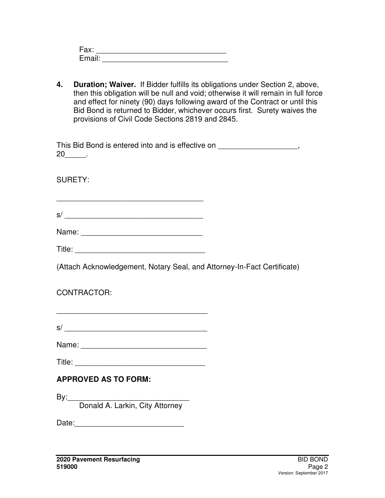| Fax:   |  |
|--------|--|
| Email: |  |

**4. Duration; Waiver.** If Bidder fulfills its obligations under Section 2, above, then this obligation will be null and void; otherwise it will remain in full force and effect for ninety (90) days following award of the Contract or until this Bid Bond is returned to Bidder, whichever occurs first. Surety waives the provisions of Civil Code Sections 2819 and 2845.

| This Bid Bond is entered into and is effective on |  |
|---------------------------------------------------|--|
| 20                                                |  |

SURETY:

\_\_\_\_\_\_\_\_\_\_\_\_\_\_\_\_\_\_\_\_\_\_\_\_\_\_\_\_\_\_\_\_\_\_\_  $s/$   $\overline{\phantom{a}}$ 

| Title: |
|--------|
|--------|

(Attach Acknowledgement, Notary Seal, and Attorney-In-Fact Certificate)

## CONTRACTOR:

| $\sim$ |  |  |  |
|--------|--|--|--|
| S      |  |  |  |

\_\_\_\_\_\_\_\_\_\_\_\_\_\_\_\_\_\_\_\_\_\_\_\_\_\_\_\_\_\_\_\_\_\_\_\_

| Name: |  |
|-------|--|
|-------|--|

 $\blacksquare$  Title:

## **APPROVED AS TO FORM:**

By:\_\_\_\_\_\_\_\_\_\_\_\_\_\_\_\_\_\_\_\_\_\_\_\_\_\_\_\_\_ Donald A. Larkin, City Attorney

Date: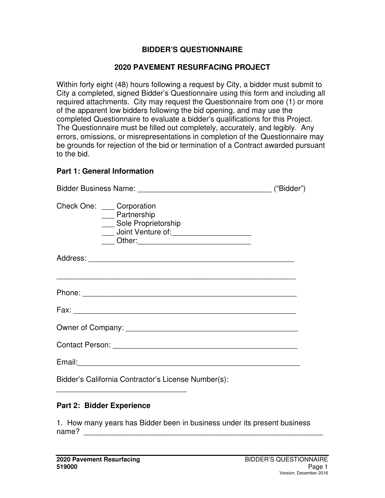#### **BIDDER'S QUESTIONNAIRE**

#### **2020 PAVEMENT RESURFACING PROJECT**

Within forty eight (48) hours following a request by City, a bidder must submit to City a completed, signed Bidder's Questionnaire using this form and including all required attachments. City may request the Questionnaire from one (1) or more of the apparent low bidders following the bid opening, and may use the completed Questionnaire to evaluate a bidder's qualifications for this Project. The Questionnaire must be filled out completely, accurately, and legibly. Any errors, omissions, or misrepresentations in completion of the Questionnaire may be grounds for rejection of the bid or termination of a Contract awarded pursuant to the bid.

#### **Part 1: General Information**

|  |                                                                                                          | ("Bidder") |
|--|----------------------------------------------------------------------------------------------------------|------------|
|  | Check One: Corporation<br>__ Partnership<br>___ Sole Proprietorship<br>Joint Venture of: 1999 March 1999 |            |
|  |                                                                                                          |            |
|  | ,我们也不会有什么。""我们的人,我们也不会有什么?""我们的人,我们也不会有什么?""我们的人,我们也不会有什么?""我们的人,我们也不会有什么?""我们的人                         |            |
|  |                                                                                                          |            |
|  |                                                                                                          |            |
|  |                                                                                                          |            |
|  |                                                                                                          |            |
|  | Bidder's California Contractor's License Number(s):                                                      |            |

#### **Part 2: Bidder Experience**

\_\_\_\_\_\_\_\_\_\_\_\_\_\_\_\_\_\_\_\_\_\_\_\_\_\_\_\_\_\_\_

1. How many years has Bidder been in business under its present business name? \_\_\_\_\_\_\_\_\_\_\_\_\_\_\_\_\_\_\_\_\_\_\_\_\_\_\_\_\_\_\_\_\_\_\_\_\_\_\_\_\_\_\_\_\_\_\_\_\_\_\_\_\_\_\_\_\_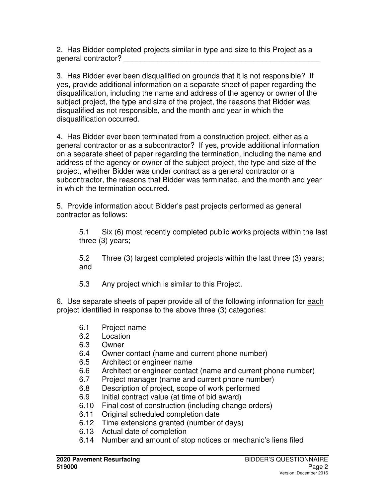2. Has Bidder completed projects similar in type and size to this Project as a general contractor? \_\_\_\_\_\_\_\_\_\_\_\_\_\_\_\_\_\_\_\_\_\_\_\_\_\_\_\_\_\_\_\_\_\_\_\_\_\_\_\_\_\_\_\_\_\_\_

3. Has Bidder ever been disqualified on grounds that it is not responsible? If yes, provide additional information on a separate sheet of paper regarding the disqualification, including the name and address of the agency or owner of the subject project, the type and size of the project, the reasons that Bidder was disqualified as not responsible, and the month and year in which the disqualification occurred.

4. Has Bidder ever been terminated from a construction project, either as a general contractor or as a subcontractor? If yes, provide additional information on a separate sheet of paper regarding the termination, including the name and address of the agency or owner of the subject project, the type and size of the project, whether Bidder was under contract as a general contractor or a subcontractor, the reasons that Bidder was terminated, and the month and year in which the termination occurred.

5. Provide information about Bidder's past projects performed as general contractor as follows:

5.1 Six (6) most recently completed public works projects within the last three (3) years;

5.2 Three (3) largest completed projects within the last three (3) years; and

5.3 Any project which is similar to this Project.

6. Use separate sheets of paper provide all of the following information for each project identified in response to the above three (3) categories:

- 6.1 Project name
- 6.2 Location
- 6.3 Owner
- 6.4 Owner contact (name and current phone number)
- 6.5 Architect or engineer name
- 6.6 Architect or engineer contact (name and current phone number)
- 6.7 Project manager (name and current phone number)
- 6.8 Description of project, scope of work performed
- 6.9 Initial contract value (at time of bid award)
- 6.10 Final cost of construction (including change orders)
- 6.11 Original scheduled completion date
- 6.12 Time extensions granted (number of days)
- 6.13 Actual date of completion
- 6.14 Number and amount of stop notices or mechanic's liens filed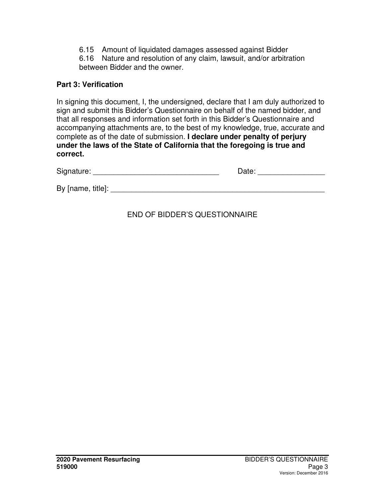6.15 Amount of liquidated damages assessed against Bidder

6.16 Nature and resolution of any claim, lawsuit, and/or arbitration between Bidder and the owner.

#### **Part 3: Verification**

In signing this document, I, the undersigned, declare that I am duly authorized to sign and submit this Bidder's Questionnaire on behalf of the named bidder, and that all responses and information set forth in this Bidder's Questionnaire and accompanying attachments are, to the best of my knowledge, true, accurate and complete as of the date of submission. **I declare under penalty of perjury under the laws of the State of California that the foregoing is true and correct.**

| Signature:        | Date: |  |
|-------------------|-------|--|
| By [name, title]: |       |  |
|                   |       |  |

#### END OF BIDDER'S QUESTIONNAIRE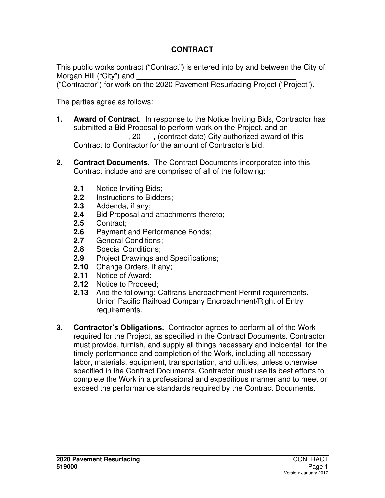## **CONTRACT**

This public works contract ("Contract") is entered into by and between the City of Morgan Hill ("City") and

("Contractor") for work on the 2020 Pavement Resurfacing Project ("Project").

The parties agree as follows:

- **1. Award of Contract**. In response to the Notice Inviting Bids, Contractor has submitted a Bid Proposal to perform work on the Project, and on \_\_\_\_\_\_\_\_\_\_\_\_\_, 20\_\_\_, (contract date) City authorized award of this Contract to Contractor for the amount of Contractor's bid.
- **2. Contract Documents**. The Contract Documents incorporated into this Contract include and are comprised of all of the following:
	- **2.1** Notice Inviting Bids;<br>**2.2** Instructions to Bidde
	- **2.2** Instructions to Bidders;
	- **2.3** Addenda, if any;
	- **2.4** Bid Proposal and attachments thereto;
	- **2.5** Contract;
	- **2.6** Payment and Performance Bonds;
	- **2.7** General Conditions;
	- **2.8** Special Conditions;
	- **2.9** Project Drawings and Specifications;
	- **2.10** Change Orders, if any;
	- **2.11** Notice of Award;
	- **2.12** Notice to Proceed;
	- **2.13** And the following: Caltrans Encroachment Permit requirements, Union Pacific Railroad Company Encroachment/Right of Entry requirements.
- **3. Contractor's Obligations.** Contractor agrees to perform all of the Work required for the Project, as specified in the Contract Documents. Contractor must provide, furnish, and supply all things necessary and incidental for the timely performance and completion of the Work, including all necessary labor, materials, equipment, transportation, and utilities, unless otherwise specified in the Contract Documents. Contractor must use its best efforts to complete the Work in a professional and expeditious manner and to meet or exceed the performance standards required by the Contract Documents.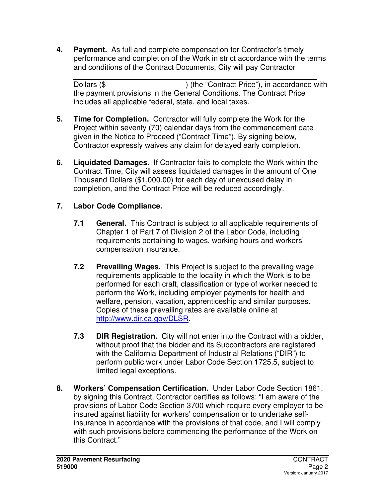**4. Payment.** As full and complete compensation for Contractor's timely performance and completion of the Work in strict accordance with the terms and conditions of the Contract Documents, City will pay Contractor

\_\_\_\_\_\_\_\_\_\_\_\_\_\_\_\_\_\_\_\_\_\_\_\_\_\_\_\_\_\_\_\_\_\_\_\_\_\_\_\_\_\_\_\_\_\_\_\_\_\_\_\_\_\_\_\_\_\_ Dollars (\$  $\blacksquare$ ) (the "Contract Price"), in accordance with the payment provisions in the General Conditions. The Contract Price includes all applicable federal, state, and local taxes.

- **5. Time for Completion.** Contractor will fully complete the Work for the Project within seventy (70) calendar days from the commencement date given in the Notice to Proceed ("Contract Time"). By signing below, Contractor expressly waives any claim for delayed early completion.
- **6. Liquidated Damages.** If Contractor fails to complete the Work within the Contract Time, City will assess liquidated damages in the amount of One Thousand Dollars (\$1,000.00) for each day of unexcused delay in completion, and the Contract Price will be reduced accordingly.

## **7. Labor Code Compliance.**

- **7.1 General.** This Contract is subject to all applicable requirements of Chapter 1 of Part 7 of Division 2 of the Labor Code, including requirements pertaining to wages, working hours and workers' compensation insurance.
- **7.2 Prevailing Wages.** This Project is subject to the prevailing wage requirements applicable to the locality in which the Work is to be performed for each craft, classification or type of worker needed to perform the Work, including employer payments for health and welfare, pension, vacation, apprenticeship and similar purposes. Copies of these prevailing rates are available online at http://www.dir.ca.gov/DLSR.
- **7.3 DIR Registration.** City will not enter into the Contract with a bidder, without proof that the bidder and its Subcontractors are registered with the California Department of Industrial Relations ("DIR") to perform public work under Labor Code Section 1725.5, subject to limited legal exceptions.
- **8. Workers' Compensation Certification.** Under Labor Code Section 1861, by signing this Contract, Contractor certifies as follows: "I am aware of the provisions of Labor Code Section 3700 which require every employer to be insured against liability for workers' compensation or to undertake selfinsurance in accordance with the provisions of that code, and I will comply with such provisions before commencing the performance of the Work on this Contract."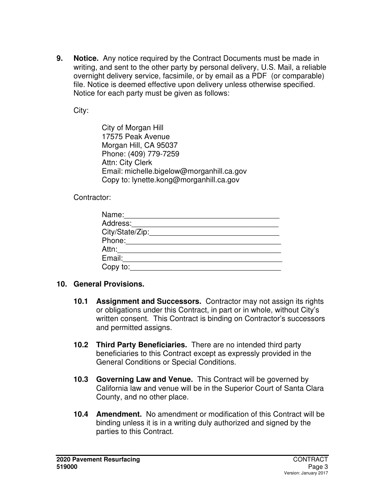**9. Notice.** Any notice required by the Contract Documents must be made in writing, and sent to the other party by personal delivery, U.S. Mail, a reliable overnight delivery service, facsimile, or by email as a PDF (or comparable) file. Notice is deemed effective upon delivery unless otherwise specified. Notice for each party must be given as follows:

City:

 City of Morgan Hill 17575 Peak Avenue Morgan Hill, CA 95037 Phone: (409) 779-7259 Attn: City Clerk Email: michelle.bigelow@morganhill.ca.gov Copy to: lynette.kong@morganhill.ca.gov

Contractor:

| Name:           |
|-----------------|
| Address:        |
| City/State/Zip: |
| Phone:          |
| Attn:           |
| Email:          |
| Copy to:        |

#### **10. General Provisions.**

- **10.1 Assignment and Successors.** Contractor may not assign its rights or obligations under this Contract, in part or in whole, without City's written consent. This Contract is binding on Contractor's successors and permitted assigns.
- **10.2 Third Party Beneficiaries.** There are no intended third party beneficiaries to this Contract except as expressly provided in the General Conditions or Special Conditions.
- **10.3 Governing Law and Venue.** This Contract will be governed by California law and venue will be in the Superior Court of Santa Clara County, and no other place.
- **10.4 Amendment.** No amendment or modification of this Contract will be binding unless it is in a writing duly authorized and signed by the parties to this Contract.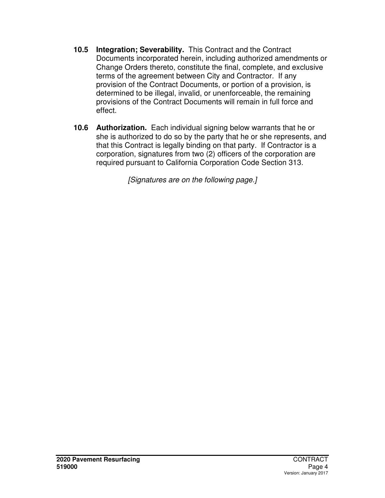- **10.5 Integration; Severability.** This Contract and the Contract Documents incorporated herein, including authorized amendments or Change Orders thereto, constitute the final, complete, and exclusive terms of the agreement between City and Contractor. If any provision of the Contract Documents, or portion of a provision, is determined to be illegal, invalid, or unenforceable, the remaining provisions of the Contract Documents will remain in full force and effect.
- **10.6 Authorization.** Each individual signing below warrants that he or she is authorized to do so by the party that he or she represents, and that this Contract is legally binding on that party. If Contractor is a corporation, signatures from two (2) officers of the corporation are required pursuant to California Corporation Code Section 313.

[Signatures are on the following page.]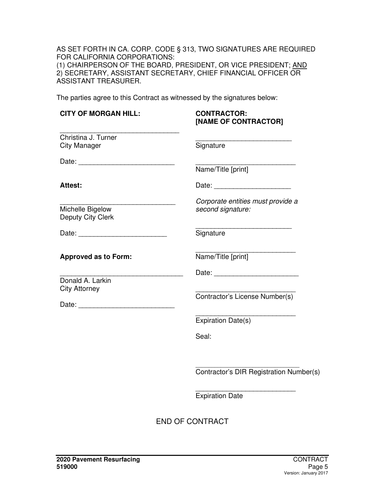AS SET FORTH IN CA. CORP. CODE § 313, TWO SIGNATURES ARE REQUIRED FOR CALIFORNIA CORPORATIONS: (1) CHAIRPERSON OF THE BOARD, PRESIDENT, OR VICE PRESIDENT; AND 2) SECRETARY, ASSISTANT SECRETARY, CHIEF FINANCIAL OFFICER OR ASSISTANT TREASURER.

The parties agree to this Contract as witnessed by the signatures below:

| <b>CITY OF MORGAN HILL:</b>                                                   | <b>CONTRACTOR:</b><br>[NAME OF CONTRACTOR]             |
|-------------------------------------------------------------------------------|--------------------------------------------------------|
| Christina J. Turner<br><b>City Manager</b>                                    | Signature                                              |
|                                                                               | Name/Title [print]                                     |
| <b>Attest:</b>                                                                |                                                        |
| Michelle Bigelow<br>Deputy City Clerk                                         | Corporate entities must provide a<br>second signature: |
|                                                                               | Signature                                              |
| <b>Approved as to Form:</b>                                                   | Name/Title [print]                                     |
| the control of the control of the<br>Donald A. Larkin<br><b>City Attorney</b> | Contractor's License Number(s)                         |
|                                                                               | Expiration Date(s)                                     |
|                                                                               | Seal:                                                  |
|                                                                               | Contractor's DIR Registration Number(s)                |
|                                                                               | <b>Expiration Date</b>                                 |
|                                                                               | <b>END OF CONTRACT</b>                                 |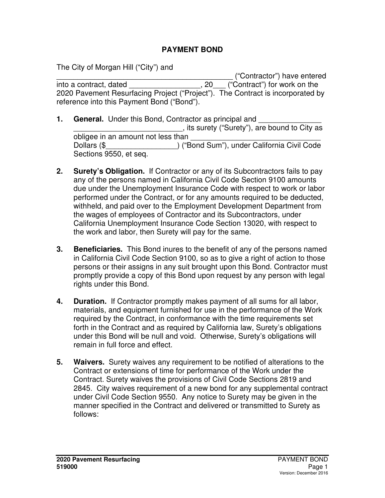#### **PAYMENT BOND**

The City of Morgan Hill ("City") and

\_\_\_\_\_\_\_\_\_\_\_\_\_\_\_\_\_\_\_\_\_\_\_\_\_\_\_\_\_\_\_\_\_\_\_\_\_\_\_\_\_\_ ("Contractor") have entered into a contract, dated \_\_\_\_\_\_\_\_\_\_\_\_\_\_\_\_\_, 20\_\_\_ ("Contract") for work on the 2020 Pavement Resurfacing Project ("Project"). The Contract is incorporated by reference into this Payment Bond ("Bond").

- **1. General.** Under this Bond, Contractor as principal and \_\_\_\_\_\_\_\_\_\_\_\_\_\_\_\_\_\_\_\_\_\_\_\_\_\_, its surety ("Surety"), are bound to City as obligee in an amount not less than Dollars (\$  $()$  ("Bond Sum"), under California Civil Code Sections 9550, et seq.
- **2. Surety's Obligation.** If Contractor or any of its Subcontractors fails to pay any of the persons named in California Civil Code Section 9100 amounts due under the Unemployment Insurance Code with respect to work or labor performed under the Contract, or for any amounts required to be deducted, withheld, and paid over to the Employment Development Department from the wages of employees of Contractor and its Subcontractors, under California Unemployment Insurance Code Section 13020, with respect to the work and labor, then Surety will pay for the same.
- **3. Beneficiaries.** This Bond inures to the benefit of any of the persons named in California Civil Code Section 9100, so as to give a right of action to those persons or their assigns in any suit brought upon this Bond. Contractor must promptly provide a copy of this Bond upon request by any person with legal rights under this Bond.
- **4. Duration.** If Contractor promptly makes payment of all sums for all labor, materials, and equipment furnished for use in the performance of the Work required by the Contract, in conformance with the time requirements set forth in the Contract and as required by California law, Surety's obligations under this Bond will be null and void. Otherwise, Surety's obligations will remain in full force and effect.
- **5. Waivers.** Surety waives any requirement to be notified of alterations to the Contract or extensions of time for performance of the Work under the Contract. Surety waives the provisions of Civil Code Sections 2819 and 2845. City waives requirement of a new bond for any supplemental contract under Civil Code Section 9550. Any notice to Surety may be given in the manner specified in the Contract and delivered or transmitted to Surety as follows: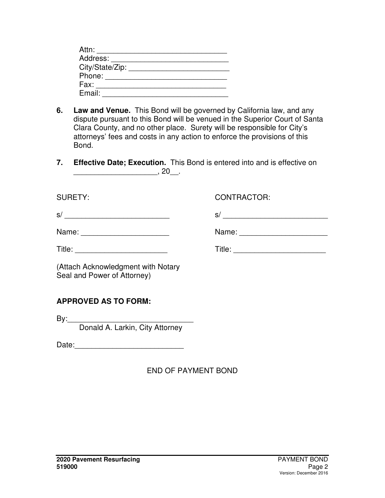| Attn:           |  |
|-----------------|--|
| Address:        |  |
| City/State/Zip: |  |
| Phone:          |  |
| Fax:            |  |
| Email:          |  |

- **6. Law and Venue.** This Bond will be governed by California law, and any dispute pursuant to this Bond will be venued in the Superior Court of Santa Clara County, and no other place. Surety will be responsible for City's attorneys' fees and costs in any action to enforce the provisions of this Bond.
- **7. Effective Date; Execution.** This Bond is entered into and is effective on \_\_\_\_\_\_\_\_\_\_\_\_\_\_\_\_\_\_\_\_, 20\_\_.

| <b>SURETY:</b>                                                                                                              | <b>CONTRACTOR:</b> |
|-----------------------------------------------------------------------------------------------------------------------------|--------------------|
| s/                                                                                                                          | s/                 |
| Name: __________________________                                                                                            |                    |
|                                                                                                                             |                    |
| (Attach Acknowledgment with Notary<br>Seal and Power of Attorney)                                                           |                    |
| <b>APPROVED AS TO FORM:</b>                                                                                                 |                    |
| By:<br><u> 1989 - Jan James James James James James James James James James James James James James James James James J</u> |                    |

Donald A. Larkin, City Attorney

Date:\_\_\_\_\_\_\_\_\_\_\_\_\_\_\_\_\_\_\_\_\_\_\_\_\_\_

END OF PAYMENT BOND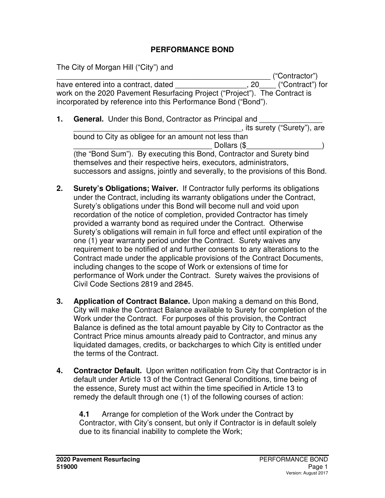#### **PERFORMANCE BOND**

The City of Morgan Hill ("City") and

\_\_\_\_\_\_\_\_\_\_\_\_\_\_\_\_\_\_\_\_\_\_\_\_\_\_\_\_\_\_\_\_\_\_\_\_\_\_\_\_\_\_\_\_\_\_\_\_\_\_\_ ("Contractor") have entered into a contract, dated  $\qquad \qquad \qquad \qquad 20 \qquad \qquad$  ("Contract") for work on the 2020 Pavement Resurfacing Project ("Project"). The Contract is incorporated by reference into this Performance Bond ("Bond").

- **1. General.** Under this Bond, Contractor as Principal and \_\_\_\_\_\_\_\_\_\_\_\_\_\_\_\_\_\_\_\_\_\_\_\_\_\_\_\_\_\_\_\_\_\_\_\_\_\_\_\_, its surety ("Surety"), are bound to City as obligee for an amount not less than Dollars (\$ (the "Bond Sum"). By executing this Bond, Contractor and Surety bind themselves and their respective heirs, executors, administrators, successors and assigns, jointly and severally, to the provisions of this Bond.
- **2. Surety's Obligations; Waiver.** If Contractor fully performs its obligations under the Contract, including its warranty obligations under the Contract, Surety's obligations under this Bond will become null and void upon recordation of the notice of completion, provided Contractor has timely provided a warranty bond as required under the Contract. Otherwise Surety's obligations will remain in full force and effect until expiration of the one (1) year warranty period under the Contract. Surety waives any requirement to be notified of and further consents to any alterations to the Contract made under the applicable provisions of the Contract Documents, including changes to the scope of Work or extensions of time for performance of Work under the Contract. Surety waives the provisions of Civil Code Sections 2819 and 2845.
- **3. Application of Contract Balance.** Upon making a demand on this Bond, City will make the Contract Balance available to Surety for completion of the Work under the Contract. For purposes of this provision, the Contract Balance is defined as the total amount payable by City to Contractor as the Contract Price minus amounts already paid to Contractor, and minus any liquidated damages, credits, or backcharges to which City is entitled under the terms of the Contract.
- **4. Contractor Default.** Upon written notification from City that Contractor is in default under Article 13 of the Contract General Conditions, time being of the essence, Surety must act within the time specified in Article 13 to remedy the default through one (1) of the following courses of action:

**4.1** Arrange for completion of the Work under the Contract by Contractor, with City's consent, but only if Contractor is in default solely due to its financial inability to complete the Work;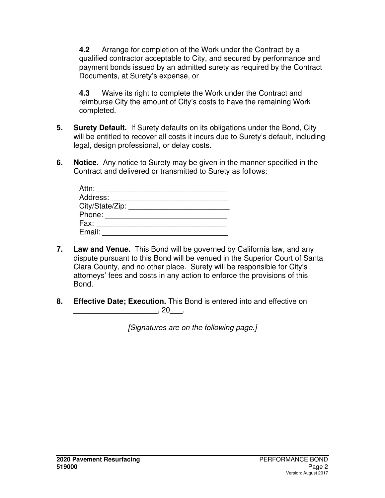**4.2** Arrange for completion of the Work under the Contract by a qualified contractor acceptable to City, and secured by performance and payment bonds issued by an admitted surety as required by the Contract Documents, at Surety's expense, or

**4.3** Waive its right to complete the Work under the Contract and reimburse City the amount of City's costs to have the remaining Work completed.

- **5. Surety Default.** If Surety defaults on its obligations under the Bond, City will be entitled to recover all costs it incurs due to Surety's default, including legal, design professional, or delay costs.
- **6. Notice.** Any notice to Surety may be given in the manner specified in the Contract and delivered or transmitted to Surety as follows:

| Attn:           |  |
|-----------------|--|
| Address:        |  |
| City/State/Zip: |  |
| Phone:          |  |
| Fax:            |  |
| Email:          |  |

- **7. Law and Venue.** This Bond will be governed by California law, and any dispute pursuant to this Bond will be venued in the Superior Court of Santa Clara County, and no other place. Surety will be responsible for City's attorneys' fees and costs in any action to enforce the provisions of this Bond.
- **8. Effective Date; Execution.** This Bond is entered into and effective on  $\blacksquare$ , 20 $\blacksquare$ .

[Signatures are on the following page.]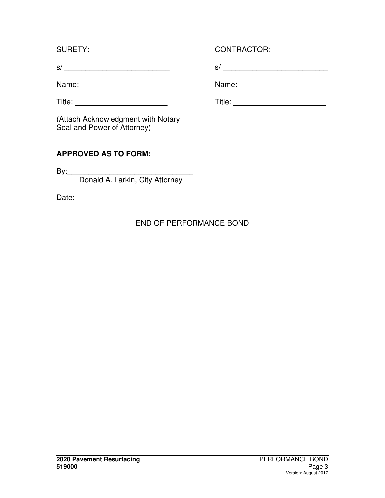s/ \_\_\_\_\_\_\_\_\_\_\_\_\_\_\_\_\_\_\_\_\_\_\_\_\_ s/ \_\_\_\_\_\_\_\_\_\_\_\_\_\_\_\_\_\_\_\_\_\_\_\_\_

Name: \_\_\_\_\_\_\_\_\_\_\_\_\_\_\_\_\_\_\_\_\_ Name: \_\_\_\_\_\_\_\_\_\_\_\_\_\_\_\_\_\_\_\_\_

(Attach Acknowledgment with Notary Seal and Power of Attorney)

## **APPROVED AS TO FORM:**

By:\_\_\_\_\_\_\_\_\_\_\_\_\_\_\_\_\_\_\_\_\_\_\_\_\_\_\_\_\_\_ Donald A. Larkin, City Attorney

Date:\_\_\_\_\_\_\_\_\_\_\_\_\_\_\_\_\_\_\_\_\_\_\_\_\_\_

# END OF PERFORMANCE BOND

## SURETY: CONTRACTOR:

Title: \_\_\_\_\_\_\_\_\_\_\_\_\_\_\_\_\_\_\_\_\_\_ Title: \_\_\_\_\_\_\_\_\_\_\_\_\_\_\_\_\_\_\_\_\_\_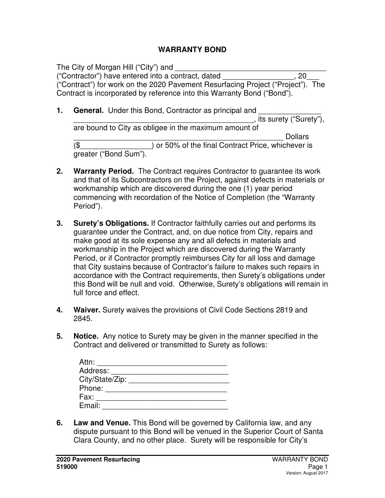#### **WARRANTY BOND**

The City of Morgan Hill ("City") and ("Contractor") have entered into a contract, dated \_\_\_\_\_\_\_\_\_\_\_\_\_\_\_\_\_, 20\_\_\_ ("Contract") for work on the 2020 Pavement Resurfacing Project ("Project"). The Contract is incorporated by reference into this Warranty Bond ("Bond").

**1. General.** Under this Bond, Contractor as principal and

, its surety ("Surety"). are bound to City as obligee in the maximum amount of \_\_\_\_\_\_\_\_\_\_\_\_\_\_\_\_\_\_\_\_\_\_\_\_\_\_\_\_\_\_\_\_\_\_\_\_\_\_\_\_\_\_\_\_\_\_\_\_\_\_ Dollars (\$\_\_\_\_\_\_\_\_\_\_\_\_\_\_\_\_\_) or 50% of the final Contract Price, whichever is greater ("Bond Sum").

- **2. Warranty Period.** The Contract requires Contractor to guarantee its work and that of its Subcontractors on the Project, against defects in materials or workmanship which are discovered during the one (1) year period commencing with recordation of the Notice of Completion (the "Warranty Period").
- **3. Surety's Obligations.** If Contractor faithfully carries out and performs its guarantee under the Contract, and, on due notice from City, repairs and make good at its sole expense any and all defects in materials and workmanship in the Project which are discovered during the Warranty Period, or if Contractor promptly reimburses City for all loss and damage that City sustains because of Contractor's failure to makes such repairs in accordance with the Contract requirements, then Surety's obligations under this Bond will be null and void. Otherwise, Surety's obligations will remain in full force and effect.
- **4. Waiver.** Surety waives the provisions of Civil Code Sections 2819 and 2845.
- **5. Notice.** Any notice to Surety may be given in the manner specified in the Contract and delivered or transmitted to Surety as follows:

| Attn:           |  |
|-----------------|--|
| Address:        |  |
| City/State/Zip: |  |
| Phone:          |  |
| Fax:            |  |
| Email:          |  |

**6. Law and Venue.** This Bond will be governed by California law, and any dispute pursuant to this Bond will be venued in the Superior Court of Santa Clara County, and no other place. Surety will be responsible for City's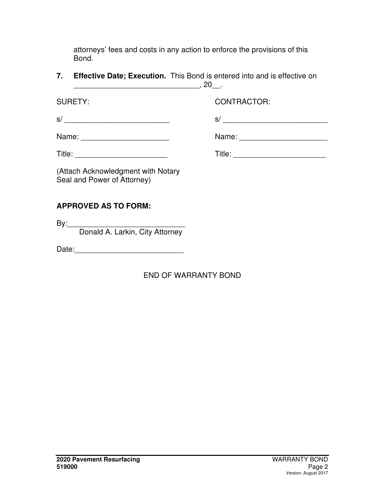attorneys' fees and costs in any action to enforce the provisions of this Bond.

**7. Effective Date; Execution.** This Bond is entered into and is effective on \_\_\_\_\_\_\_\_\_\_\_\_\_\_\_\_\_\_\_\_\_\_\_\_\_\_\_\_\_\_, 20\_\_.

SURETY: CONTRACTOR:

s/ \_\_\_\_\_\_\_\_\_\_\_\_\_\_\_\_\_\_\_\_\_\_\_\_\_ s/ \_\_\_\_\_\_\_\_\_\_\_\_\_\_\_\_\_\_\_\_\_\_\_\_\_

| Name: |  |
|-------|--|
|-------|--|

Title: \_\_\_\_\_\_\_\_\_\_\_\_\_\_\_\_\_\_\_\_\_\_ Title: \_\_\_\_\_\_\_\_\_\_\_\_\_\_\_\_\_\_\_\_\_\_

Name:  $\Box$ 

(Attach Acknowledgment with Notary Seal and Power of Attorney)

# **APPROVED AS TO FORM:**

By:\_\_\_\_\_\_\_\_\_\_\_\_\_\_\_\_\_\_\_\_\_\_\_\_\_\_\_\_

Donald A. Larkin, City Attorney

Date:

# END OF WARRANTY BOND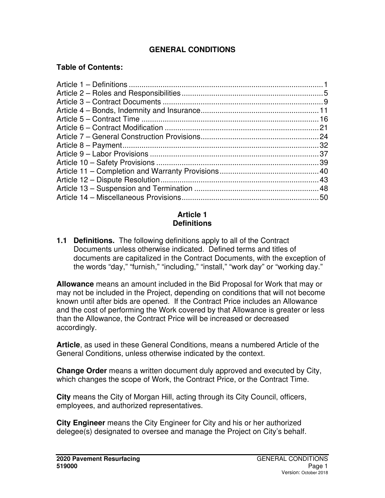### **GENERAL CONDITIONS**

#### **Table of Contents:**

#### **Article 1 Definitions**

**1.1 Definitions.** The following definitions apply to all of the Contract Documents unless otherwise indicated. Defined terms and titles of documents are capitalized in the Contract Documents, with the exception of the words "day," "furnish," "including," "install," "work day" or "working day."

**Allowance** means an amount included in the Bid Proposal for Work that may or may not be included in the Project, depending on conditions that will not become known until after bids are opened. If the Contract Price includes an Allowance and the cost of performing the Work covered by that Allowance is greater or less than the Allowance, the Contract Price will be increased or decreased accordingly.

**Article**, as used in these General Conditions, means a numbered Article of the General Conditions, unless otherwise indicated by the context.

**Change Order** means a written document duly approved and executed by City, which changes the scope of Work, the Contract Price, or the Contract Time.

**City** means the City of Morgan Hill, acting through its City Council, officers, employees, and authorized representatives.

**City Engineer** means the City Engineer for City and his or her authorized delegee(s) designated to oversee and manage the Project on City's behalf.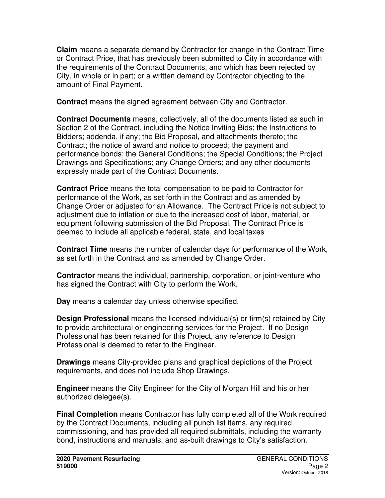**Claim** means a separate demand by Contractor for change in the Contract Time or Contract Price, that has previously been submitted to City in accordance with the requirements of the Contract Documents, and which has been rejected by City, in whole or in part; or a written demand by Contractor objecting to the amount of Final Payment.

**Contract** means the signed agreement between City and Contractor.

**Contract Documents** means, collectively, all of the documents listed as such in Section 2 of the Contract, including the Notice Inviting Bids; the Instructions to Bidders; addenda, if any; the Bid Proposal, and attachments thereto; the Contract; the notice of award and notice to proceed; the payment and performance bonds; the General Conditions; the Special Conditions; the Project Drawings and Specifications; any Change Orders; and any other documents expressly made part of the Contract Documents.

**Contract Price** means the total compensation to be paid to Contractor for performance of the Work, as set forth in the Contract and as amended by Change Order or adjusted for an Allowance. The Contract Price is not subject to adjustment due to inflation or due to the increased cost of labor, material, or equipment following submission of the Bid Proposal. The Contract Price is deemed to include all applicable federal, state, and local taxes

**Contract Time** means the number of calendar days for performance of the Work, as set forth in the Contract and as amended by Change Order.

**Contractor** means the individual, partnership, corporation, or joint-venture who has signed the Contract with City to perform the Work.

**Day** means a calendar day unless otherwise specified.

**Design Professional** means the licensed individual(s) or firm(s) retained by City to provide architectural or engineering services for the Project. If no Design Professional has been retained for this Project, any reference to Design Professional is deemed to refer to the Engineer.

**Drawings** means City-provided plans and graphical depictions of the Project requirements, and does not include Shop Drawings.

**Engineer** means the City Engineer for the City of Morgan Hill and his or her authorized delegee(s).

**Final Completion** means Contractor has fully completed all of the Work required by the Contract Documents, including all punch list items, any required commissioning, and has provided all required submittals, including the warranty bond, instructions and manuals, and as-built drawings to City's satisfaction.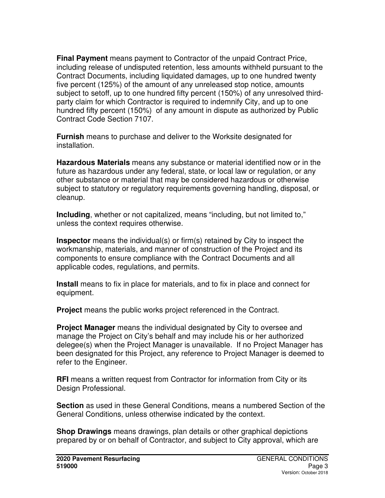**Final Payment** means payment to Contractor of the unpaid Contract Price, including release of undisputed retention, less amounts withheld pursuant to the Contract Documents, including liquidated damages, up to one hundred twenty five percent (125%) of the amount of any unreleased stop notice, amounts subject to setoff, up to one hundred fifty percent (150%) of any unresolved thirdparty claim for which Contractor is required to indemnify City, and up to one hundred fifty percent (150%) of any amount in dispute as authorized by Public Contract Code Section 7107.

**Furnish** means to purchase and deliver to the Worksite designated for installation.

**Hazardous Materials** means any substance or material identified now or in the future as hazardous under any federal, state, or local law or regulation, or any other substance or material that may be considered hazardous or otherwise subject to statutory or regulatory requirements governing handling, disposal, or cleanup.

**Including**, whether or not capitalized, means "including, but not limited to," unless the context requires otherwise.

**Inspector** means the individual(s) or firm(s) retained by City to inspect the workmanship, materials, and manner of construction of the Project and its components to ensure compliance with the Contract Documents and all applicable codes, regulations, and permits.

**Install** means to fix in place for materials, and to fix in place and connect for equipment.

**Project** means the public works project referenced in the Contract.

**Project Manager** means the individual designated by City to oversee and manage the Project on City's behalf and may include his or her authorized delegee(s) when the Project Manager is unavailable. If no Project Manager has been designated for this Project, any reference to Project Manager is deemed to refer to the Engineer.

**RFI** means a written request from Contractor for information from City or its Design Professional.

**Section** as used in these General Conditions, means a numbered Section of the General Conditions, unless otherwise indicated by the context.

**Shop Drawings** means drawings, plan details or other graphical depictions prepared by or on behalf of Contractor, and subject to City approval, which are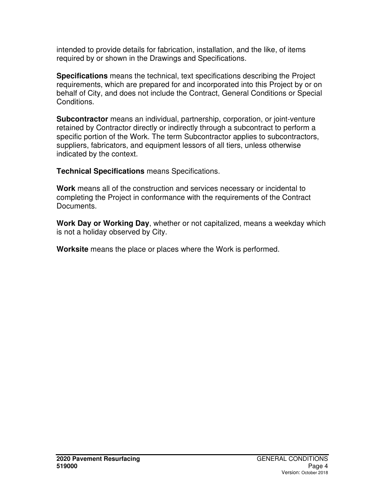intended to provide details for fabrication, installation, and the like, of items required by or shown in the Drawings and Specifications.

**Specifications** means the technical, text specifications describing the Project requirements, which are prepared for and incorporated into this Project by or on behalf of City, and does not include the Contract, General Conditions or Special Conditions.

**Subcontractor** means an individual, partnership, corporation, or joint-venture retained by Contractor directly or indirectly through a subcontract to perform a specific portion of the Work. The term Subcontractor applies to subcontractors, suppliers, fabricators, and equipment lessors of all tiers, unless otherwise indicated by the context.

**Technical Specifications** means Specifications.

**Work** means all of the construction and services necessary or incidental to completing the Project in conformance with the requirements of the Contract Documents.

**Work Day or Working Day**, whether or not capitalized, means a weekday which is not a holiday observed by City.

**Worksite** means the place or places where the Work is performed.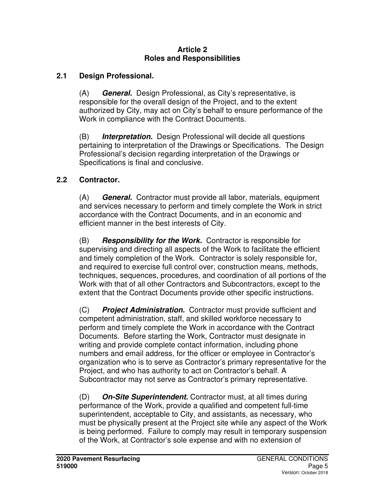#### **Article 2 Roles and Responsibilities**

### **2.1 Design Professional.**

(A) **General.** Design Professional, as City's representative, is responsible for the overall design of the Project, and to the extent authorized by City, may act on City's behalf to ensure performance of the Work in compliance with the Contract Documents.

(B) **Interpretation.** Design Professional will decide all questions pertaining to interpretation of the Drawings or Specifications. The Design Professional's decision regarding interpretation of the Drawings or Specifications is final and conclusive.

#### **2.2 Contractor.**

(A) **General.** Contractor must provide all labor, materials, equipment and services necessary to perform and timely complete the Work in strict accordance with the Contract Documents, and in an economic and efficient manner in the best interests of City.

(B) **Responsibility for the Work.** Contractor is responsible for supervising and directing all aspects of the Work to facilitate the efficient and timely completion of the Work. Contractor is solely responsible for, and required to exercise full control over, construction means, methods, techniques, sequences, procedures, and coordination of all portions of the Work with that of all other Contractors and Subcontractors, except to the extent that the Contract Documents provide other specific instructions.

(C) **Project Administration.** Contractor must provide sufficient and competent administration, staff, and skilled workforce necessary to perform and timely complete the Work in accordance with the Contract Documents. Before starting the Work, Contractor must designate in writing and provide complete contact information, including phone numbers and email address, for the officer or employee in Contractor's organization who is to serve as Contractor's primary representative for the Project, and who has authority to act on Contractor's behalf. A Subcontractor may not serve as Contractor's primary representative.

(D) **On-Site Superintendent.** Contractor must, at all times during performance of the Work, provide a qualified and competent full-time superintendent, acceptable to City, and assistants, as necessary, who must be physically present at the Project site while any aspect of the Work is being performed. Failure to comply may result in temporary suspension of the Work, at Contractor's sole expense and with no extension of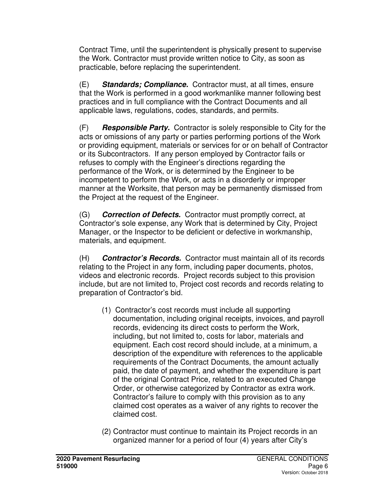Contract Time, until the superintendent is physically present to supervise the Work. Contractor must provide written notice to City, as soon as practicable, before replacing the superintendent.

(E) **Standards; Compliance.** Contractor must, at all times, ensure that the Work is performed in a good workmanlike manner following best practices and in full compliance with the Contract Documents and all applicable laws, regulations, codes, standards, and permits.

(F) **Responsible Party.** Contractor is solely responsible to City for the acts or omissions of any party or parties performing portions of the Work or providing equipment, materials or services for or on behalf of Contractor or its Subcontractors. If any person employed by Contractor fails or refuses to comply with the Engineer's directions regarding the performance of the Work, or is determined by the Engineer to be incompetent to perform the Work, or acts in a disorderly or improper manner at the Worksite, that person may be permanently dismissed from the Project at the request of the Engineer.

(G) **Correction of Defects.** Contractor must promptly correct, at Contractor's sole expense, any Work that is determined by City, Project Manager, or the Inspector to be deficient or defective in workmanship, materials, and equipment.

(H) **Contractor's Records.** Contractor must maintain all of its records relating to the Project in any form, including paper documents, photos, videos and electronic records. Project records subject to this provision include, but are not limited to, Project cost records and records relating to preparation of Contractor's bid.

- (1) Contractor's cost records must include all supporting documentation, including original receipts, invoices, and payroll records, evidencing its direct costs to perform the Work, including, but not limited to, costs for labor, materials and equipment. Each cost record should include, at a minimum, a description of the expenditure with references to the applicable requirements of the Contract Documents, the amount actually paid, the date of payment, and whether the expenditure is part of the original Contract Price, related to an executed Change Order, or otherwise categorized by Contractor as extra work. Contractor's failure to comply with this provision as to any claimed cost operates as a waiver of any rights to recover the claimed cost.
- (2) Contractor must continue to maintain its Project records in an organized manner for a period of four (4) years after City's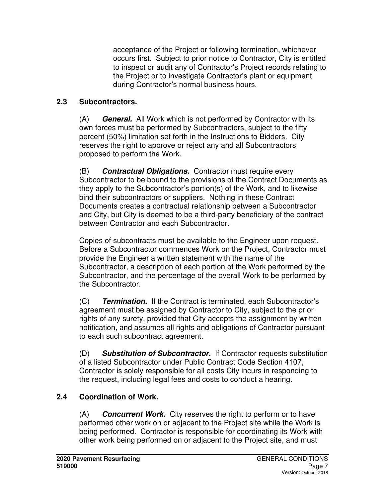acceptance of the Project or following termination, whichever occurs first. Subject to prior notice to Contractor, City is entitled to inspect or audit any of Contractor's Project records relating to the Project or to investigate Contractor's plant or equipment during Contractor's normal business hours.

### **2.3 Subcontractors.**

(A) **General.** All Work which is not performed by Contractor with its own forces must be performed by Subcontractors, subject to the fifty percent (50%) limitation set forth in the Instructions to Bidders. City reserves the right to approve or reject any and all Subcontractors proposed to perform the Work.

(B) **Contractual Obligations.** Contractor must require every Subcontractor to be bound to the provisions of the Contract Documents as they apply to the Subcontractor's portion(s) of the Work, and to likewise bind their subcontractors or suppliers. Nothing in these Contract Documents creates a contractual relationship between a Subcontractor and City, but City is deemed to be a third-party beneficiary of the contract between Contractor and each Subcontractor.

Copies of subcontracts must be available to the Engineer upon request. Before a Subcontractor commences Work on the Project, Contractor must provide the Engineer a written statement with the name of the Subcontractor, a description of each portion of the Work performed by the Subcontractor, and the percentage of the overall Work to be performed by the Subcontractor.

(C) **Termination.** If the Contract is terminated, each Subcontractor's agreement must be assigned by Contractor to City, subject to the prior rights of any surety, provided that City accepts the assignment by written notification, and assumes all rights and obligations of Contractor pursuant to each such subcontract agreement.

(D) **Substitution of Subcontractor.** If Contractor requests substitution of a listed Subcontractor under Public Contract Code Section 4107, Contractor is solely responsible for all costs City incurs in responding to the request, including legal fees and costs to conduct a hearing.

# **2.4 Coordination of Work.**

(A) **Concurrent Work.** City reserves the right to perform or to have performed other work on or adjacent to the Project site while the Work is being performed. Contractor is responsible for coordinating its Work with other work being performed on or adjacent to the Project site, and must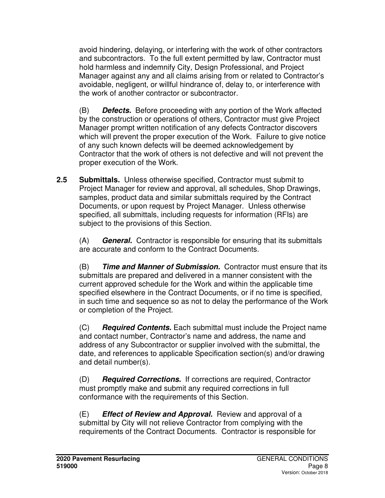avoid hindering, delaying, or interfering with the work of other contractors and subcontractors. To the full extent permitted by law, Contractor must hold harmless and indemnify City, Design Professional, and Project Manager against any and all claims arising from or related to Contractor's avoidable, negligent, or willful hindrance of, delay to, or interference with the work of another contractor or subcontractor.

(B) **Defects.** Before proceeding with any portion of the Work affected by the construction or operations of others, Contractor must give Project Manager prompt written notification of any defects Contractor discovers which will prevent the proper execution of the Work. Failure to give notice of any such known defects will be deemed acknowledgement by Contractor that the work of others is not defective and will not prevent the proper execution of the Work.

**2.5 Submittals.** Unless otherwise specified, Contractor must submit to Project Manager for review and approval, all schedules, Shop Drawings, samples, product data and similar submittals required by the Contract Documents, or upon request by Project Manager. Unless otherwise specified, all submittals, including requests for information (RFIs) are subject to the provisions of this Section.

(A) **General.** Contractor is responsible for ensuring that its submittals are accurate and conform to the Contract Documents.

(B) **Time and Manner of Submission.** Contractor must ensure that its submittals are prepared and delivered in a manner consistent with the current approved schedule for the Work and within the applicable time specified elsewhere in the Contract Documents, or if no time is specified, in such time and sequence so as not to delay the performance of the Work or completion of the Project.

(C) **Required Contents.** Each submittal must include the Project name and contact number, Contractor's name and address, the name and address of any Subcontractor or supplier involved with the submittal, the date, and references to applicable Specification section(s) and/or drawing and detail number(s).

(D) **Required Corrections.** If corrections are required, Contractor must promptly make and submit any required corrections in full conformance with the requirements of this Section.

(E) **Effect of Review and Approval.** Review and approval of a submittal by City will not relieve Contractor from complying with the requirements of the Contract Documents. Contractor is responsible for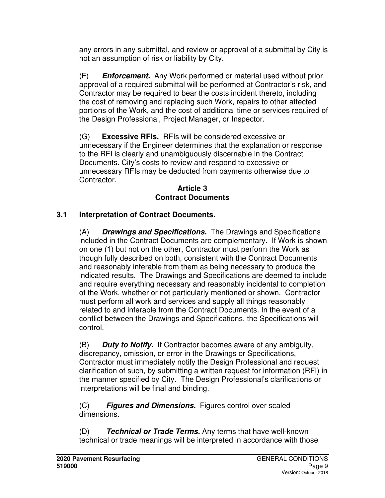any errors in any submittal, and review or approval of a submittal by City is not an assumption of risk or liability by City.

(F) **Enforcement.** Any Work performed or material used without prior approval of a required submittal will be performed at Contractor's risk, and Contractor may be required to bear the costs incident thereto, including the cost of removing and replacing such Work, repairs to other affected portions of the Work, and the cost of additional time or services required of the Design Professional, Project Manager, or Inspector.

(G) **Excessive RFIs.** RFIs will be considered excessive or unnecessary if the Engineer determines that the explanation or response to the RFI is clearly and unambiguously discernable in the Contract Documents. City's costs to review and respond to excessive or unnecessary RFIs may be deducted from payments otherwise due to Contractor.

#### **Article 3 Contract Documents**

## **3.1 Interpretation of Contract Documents.**

(A) **Drawings and Specifications.** The Drawings and Specifications included in the Contract Documents are complementary. If Work is shown on one (1) but not on the other, Contractor must perform the Work as though fully described on both, consistent with the Contract Documents and reasonably inferable from them as being necessary to produce the indicated results. The Drawings and Specifications are deemed to include and require everything necessary and reasonably incidental to completion of the Work, whether or not particularly mentioned or shown. Contractor must perform all work and services and supply all things reasonably related to and inferable from the Contract Documents. In the event of a conflict between the Drawings and Specifications, the Specifications will control.

(B) **Duty to Notify.** If Contractor becomes aware of any ambiguity, discrepancy, omission, or error in the Drawings or Specifications, Contractor must immediately notify the Design Professional and request clarification of such, by submitting a written request for information (RFI) in the manner specified by City. The Design Professional's clarifications or interpretations will be final and binding.

(C) **Figures and Dimensions.** Figures control over scaled dimensions.

(D) **Technical or Trade Terms.** Any terms that have well-known technical or trade meanings will be interpreted in accordance with those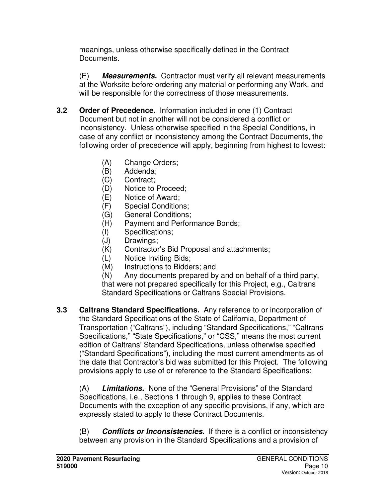meanings, unless otherwise specifically defined in the Contract Documents.

(E) **Measurements.** Contractor must verify all relevant measurements at the Worksite before ordering any material or performing any Work, and will be responsible for the correctness of those measurements.

- **3.2 Order of Precedence.** Information included in one (1) Contract Document but not in another will not be considered a conflict or inconsistency. Unless otherwise specified in the Special Conditions, in case of any conflict or inconsistency among the Contract Documents, the following order of precedence will apply, beginning from highest to lowest:
	- (A) Change Orders;
	- (B) Addenda;
	- (C) Contract;
	- (D) Notice to Proceed;
	- (E) Notice of Award;
	- (F) Special Conditions;
	- (G) General Conditions;
	- (H) Payment and Performance Bonds;
	- (I) Specifications;
	- (J) Drawings;
	- (K) Contractor's Bid Proposal and attachments;
	- (L) Notice Inviting Bids;
	- (M) Instructions to Bidders; and

(N) Any documents prepared by and on behalf of a third party, that were not prepared specifically for this Project, e.g., Caltrans Standard Specifications or Caltrans Special Provisions.

**3.3 Caltrans Standard Specifications.** Any reference to or incorporation of the Standard Specifications of the State of California, Department of Transportation ("Caltrans"), including "Standard Specifications," "Caltrans Specifications," "State Specifications," or "CSS," means the most current edition of Caltrans' Standard Specifications, unless otherwise specified ("Standard Specifications"), including the most current amendments as of the date that Contractor's bid was submitted for this Project. The following provisions apply to use of or reference to the Standard Specifications:

(A) **Limitations.** None of the "General Provisions" of the Standard Specifications, i.e., Sections 1 through 9, applies to these Contract Documents with the exception of any specific provisions, if any, which are expressly stated to apply to these Contract Documents.

(B) **Conflicts or Inconsistencies.** If there is a conflict or inconsistency between any provision in the Standard Specifications and a provision of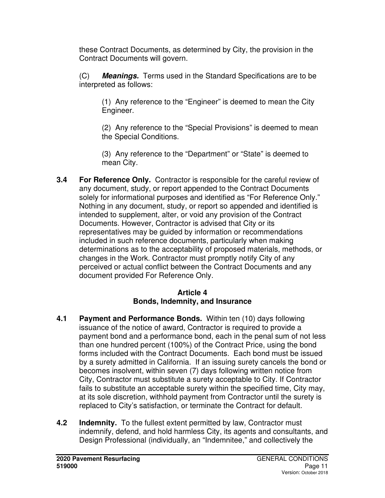these Contract Documents, as determined by City, the provision in the Contract Documents will govern.

(C) **Meanings.** Terms used in the Standard Specifications are to be interpreted as follows:

(1) Any reference to the "Engineer" is deemed to mean the City Engineer.

(2) Any reference to the "Special Provisions" is deemed to mean the Special Conditions.

(3) Any reference to the "Department" or "State" is deemed to mean City.

**3.4 For Reference Only.** Contractor is responsible for the careful review of any document, study, or report appended to the Contract Documents solely for informational purposes and identified as "For Reference Only." Nothing in any document, study, or report so appended and identified is intended to supplement, alter, or void any provision of the Contract Documents. However, Contractor is advised that City or its representatives may be guided by information or recommendations included in such reference documents, particularly when making determinations as to the acceptability of proposed materials, methods, or changes in the Work. Contractor must promptly notify City of any perceived or actual conflict between the Contract Documents and any document provided For Reference Only.

#### **Article 4 Bonds, Indemnity, and Insurance**

- **4.1 Payment and Performance Bonds.** Within ten (10) days following issuance of the notice of award, Contractor is required to provide a payment bond and a performance bond, each in the penal sum of not less than one hundred percent (100%) of the Contract Price, using the bond forms included with the Contract Documents. Each bond must be issued by a surety admitted in California. If an issuing surety cancels the bond or becomes insolvent, within seven (7) days following written notice from City, Contractor must substitute a surety acceptable to City. If Contractor fails to substitute an acceptable surety within the specified time, City may, at its sole discretion, withhold payment from Contractor until the surety is replaced to City's satisfaction, or terminate the Contract for default.
- **4.2 Indemnity.** To the fullest extent permitted by law, Contractor must indemnify, defend, and hold harmless City, its agents and consultants, and Design Professional (individually, an "Indemnitee," and collectively the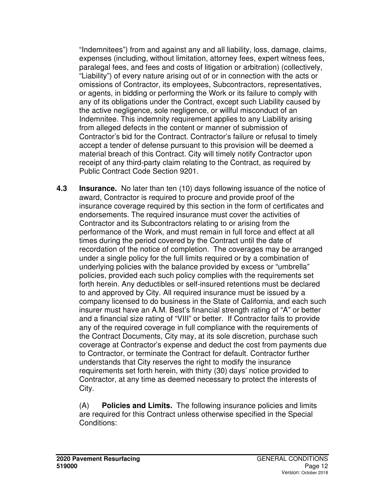"Indemnitees") from and against any and all liability, loss, damage, claims, expenses (including, without limitation, attorney fees, expert witness fees, paralegal fees, and fees and costs of litigation or arbitration) (collectively, "Liability") of every nature arising out of or in connection with the acts or omissions of Contractor, its employees, Subcontractors, representatives, or agents, in bidding or performing the Work or its failure to comply with any of its obligations under the Contract, except such Liability caused by the active negligence, sole negligence, or willful misconduct of an Indemnitee. This indemnity requirement applies to any Liability arising from alleged defects in the content or manner of submission of Contractor's bid for the Contract. Contractor's failure or refusal to timely accept a tender of defense pursuant to this provision will be deemed a material breach of this Contract. City will timely notify Contractor upon receipt of any third-party claim relating to the Contract, as required by Public Contract Code Section 9201.

**4.3 Insurance.** No later than ten (10) days following issuance of the notice of award, Contractor is required to procure and provide proof of the insurance coverage required by this section in the form of certificates and endorsements. The required insurance must cover the activities of Contractor and its Subcontractors relating to or arising from the performance of the Work, and must remain in full force and effect at all times during the period covered by the Contract until the date of recordation of the notice of completion. The coverages may be arranged under a single policy for the full limits required or by a combination of underlying policies with the balance provided by excess or "umbrella" policies, provided each such policy complies with the requirements set forth herein. Any deductibles or self-insured retentions must be declared to and approved by City. All required insurance must be issued by a company licensed to do business in the State of California, and each such insurer must have an A.M. Best's financial strength rating of "A" or better and a financial size rating of "VIII" or better. If Contractor fails to provide any of the required coverage in full compliance with the requirements of the Contract Documents, City may, at its sole discretion, purchase such coverage at Contractor's expense and deduct the cost from payments due to Contractor, or terminate the Contract for default. Contractor further understands that City reserves the right to modify the insurance requirements set forth herein, with thirty (30) days' notice provided to Contractor, at any time as deemed necessary to protect the interests of City.

(A) **Policies and Limits.** The following insurance policies and limits are required for this Contract unless otherwise specified in the Special Conditions: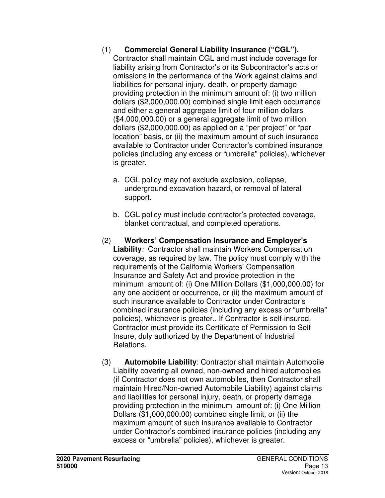#### (1) **Commercial General Liability Insurance ("CGL").**

Contractor shall maintain CGL and must include coverage for liability arising from Contractor's or its Subcontractor's acts or omissions in the performance of the Work against claims and liabilities for personal injury, death, or property damage providing protection in the minimum amount of: (i) two million dollars (\$2,000,000.00) combined single limit each occurrence and either a general aggregate limit of four million dollars (\$4,000,000.00) or a general aggregate limit of two million dollars (\$2,000,000.00) as applied on a "per project" or "per location" basis, or (ii) the maximum amount of such insurance available to Contractor under Contractor's combined insurance policies (including any excess or "umbrella" policies), whichever is greater.

- a. CGL policy may not exclude explosion, collapse, underground excavation hazard, or removal of lateral support.
- b. CGL policy must include contractor's protected coverage, blanket contractual, and completed operations.
- (2) **Workers' Compensation Insurance and Employer's Liability**: Contractor shall maintain Workers Compensation coverage, as required by law. The policy must comply with the requirements of the California Workers' Compensation Insurance and Safety Act and provide protection in the minimum amount of: (i) One Million Dollars (\$1,000,000.00) for any one accident or occurrence, or (ii) the maximum amount of such insurance available to Contractor under Contractor's combined insurance policies (including any excess or "umbrella" policies), whichever is greater.. If Contractor is self-insured, Contractor must provide its Certificate of Permission to Self-Insure, duly authorized by the Department of Industrial Relations.
- (3) **Automobile Liability**: Contractor shall maintain Automobile Liability covering all owned, non-owned and hired automobiles (if Contractor does not own automobiles, then Contractor shall maintain Hired/Non-owned Automobile Liability) against claims and liabilities for personal injury, death, or property damage providing protection in the minimum amount of: (i) One Million Dollars (\$1,000,000.00) combined single limit, or (ii) the maximum amount of such insurance available to Contractor under Contractor's combined insurance policies (including any excess or "umbrella" policies), whichever is greater.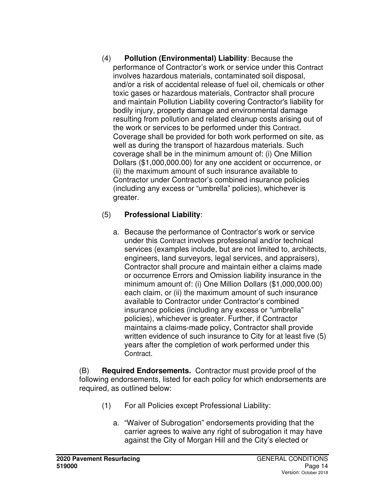(4) **Pollution (Environmental) Liability**: Because the performance of Contractor's work or service under this Contract involves hazardous materials, contaminated soil disposal, and/or a risk of accidental release of fuel oil, chemicals or other toxic gases or hazardous materials, Contractor shall procure and maintain Pollution Liability covering Contractor's liability for bodily injury, property damage and environmental damage resulting from pollution and related cleanup costs arising out of the work or services to be performed under this Contract. Coverage shall be provided for both work performed on site, as well as during the transport of hazardous materials. Such coverage shall be in the minimum amount of: (i) One Million Dollars (\$1,000,000.00) for any one accident or occurrence, or (ii) the maximum amount of such insurance available to Contractor under Contractor's combined insurance policies (including any excess or "umbrella" policies), whichever is greater.

### (5) **Professional Liability**:

a. Because the performance of Contractor's work or service under this Contract involves professional and/or technical services (examples include, but are not limited to, architects, engineers, land surveyors, legal services, and appraisers), Contractor shall procure and maintain either a claims made or occurrence Errors and Omission liability insurance in the minimum amount of: (i) One Million Dollars (\$1,000,000.00) each claim, or (ii) the maximum amount of such insurance available to Contractor under Contractor's combined insurance policies (including any excess or "umbrella" policies), whichever is greater. Further, if Contractor maintains a claims-made policy, Contractor shall provide written evidence of such insurance to City for at least five (5) years after the completion of work performed under this Contract.

(B) **Required Endorsements.** Contractor must provide proof of the following endorsements, listed for each policy for which endorsements are required, as outlined below:

- (1) For all Policies except Professional Liability:
	- a. "Waiver of Subrogation" endorsements providing that the carrier agrees to waive any right of subrogation it may have against the City of Morgan Hill and the City's elected or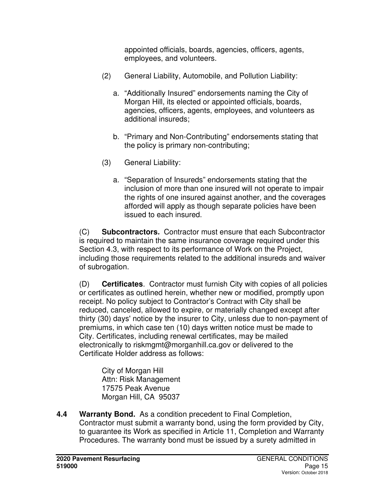appointed officials, boards, agencies, officers, agents, employees, and volunteers.

- (2) General Liability, Automobile, and Pollution Liability:
	- a. "Additionally Insured" endorsements naming the City of Morgan Hill, its elected or appointed officials, boards, agencies, officers, agents, employees, and volunteers as additional insureds;
	- b. "Primary and Non-Contributing" endorsements stating that the policy is primary non-contributing;
- (3) General Liability:
	- a. "Separation of Insureds" endorsements stating that the inclusion of more than one insured will not operate to impair the rights of one insured against another, and the coverages afforded will apply as though separate policies have been issued to each insured.

(C) **Subcontractors.** Contractor must ensure that each Subcontractor is required to maintain the same insurance coverage required under this Section 4.3, with respect to its performance of Work on the Project, including those requirements related to the additional insureds and waiver of subrogation.

(D) **Certificates**. Contractor must furnish City with copies of all policies or certificates as outlined herein, whether new or modified, promptly upon receipt. No policy subject to Contractor's Contract with City shall be reduced, canceled, allowed to expire, or materially changed except after thirty (30) days' notice by the insurer to City, unless due to non-payment of premiums, in which case ten (10) days written notice must be made to City. Certificates, including renewal certificates, may be mailed electronically to riskmgmt@morganhill.ca.gov or delivered to the Certificate Holder address as follows:

City of Morgan Hill Attn: Risk Management 17575 Peak Avenue Morgan Hill, CA 95037

**4.4 Warranty Bond.** As a condition precedent to Final Completion, Contractor must submit a warranty bond, using the form provided by City, to guarantee its Work as specified in Article 11, Completion and Warranty Procedures. The warranty bond must be issued by a surety admitted in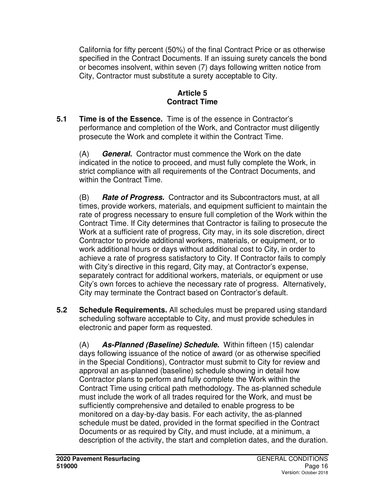California for fifty percent (50%) of the final Contract Price or as otherwise specified in the Contract Documents. If an issuing surety cancels the bond or becomes insolvent, within seven (7) days following written notice from City, Contractor must substitute a surety acceptable to City.

#### **Article 5 Contract Time**

**5.1 Time is of the Essence.** Time is of the essence in Contractor's performance and completion of the Work, and Contractor must diligently prosecute the Work and complete it within the Contract Time.

(A) **General.** Contractor must commence the Work on the date indicated in the notice to proceed, and must fully complete the Work, in strict compliance with all requirements of the Contract Documents, and within the Contract Time.

(B) **Rate of Progress.** Contractor and its Subcontractors must, at all times, provide workers, materials, and equipment sufficient to maintain the rate of progress necessary to ensure full completion of the Work within the Contract Time. If City determines that Contractor is failing to prosecute the Work at a sufficient rate of progress, City may, in its sole discretion, direct Contractor to provide additional workers, materials, or equipment, or to work additional hours or days without additional cost to City, in order to achieve a rate of progress satisfactory to City. If Contractor fails to comply with City's directive in this regard, City may, at Contractor's expense, separately contract for additional workers, materials, or equipment or use City's own forces to achieve the necessary rate of progress. Alternatively, City may terminate the Contract based on Contractor's default.

**5.2 Schedule Requirements.** All schedules must be prepared using standard scheduling software acceptable to City, and must provide schedules in electronic and paper form as requested.

(A) **As-Planned (Baseline) Schedule.** Within fifteen (15) calendar days following issuance of the notice of award (or as otherwise specified in the Special Conditions), Contractor must submit to City for review and approval an as-planned (baseline) schedule showing in detail how Contractor plans to perform and fully complete the Work within the Contract Time using critical path methodology. The as-planned schedule must include the work of all trades required for the Work, and must be sufficiently comprehensive and detailed to enable progress to be monitored on a day-by-day basis. For each activity, the as-planned schedule must be dated, provided in the format specified in the Contract Documents or as required by City, and must include, at a minimum, a description of the activity, the start and completion dates, and the duration.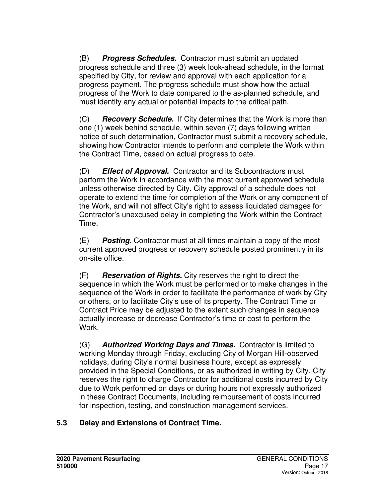(B) **Progress Schedules.** Contractor must submit an updated progress schedule and three (3) week look-ahead schedule, in the format specified by City, for review and approval with each application for a progress payment. The progress schedule must show how the actual progress of the Work to date compared to the as-planned schedule, and must identify any actual or potential impacts to the critical path.

(C) **Recovery Schedule.** If City determines that the Work is more than one (1) week behind schedule, within seven (7) days following written notice of such determination, Contractor must submit a recovery schedule, showing how Contractor intends to perform and complete the Work within the Contract Time, based on actual progress to date.

(D) **Effect of Approval.** Contractor and its Subcontractors must perform the Work in accordance with the most current approved schedule unless otherwise directed by City. City approval of a schedule does not operate to extend the time for completion of the Work or any component of the Work, and will not affect City's right to assess liquidated damages for Contractor's unexcused delay in completing the Work within the Contract Time.

(E) **Posting.** Contractor must at all times maintain a copy of the most current approved progress or recovery schedule posted prominently in its on-site office.

(F) **Reservation of Rights.** City reserves the right to direct the sequence in which the Work must be performed or to make changes in the sequence of the Work in order to facilitate the performance of work by City or others, or to facilitate City's use of its property. The Contract Time or Contract Price may be adjusted to the extent such changes in sequence actually increase or decrease Contractor's time or cost to perform the Work.

(G) **Authorized Working Days and Times.** Contractor is limited to working Monday through Friday, excluding City of Morgan Hill-observed holidays, during City's normal business hours, except as expressly provided in the Special Conditions, or as authorized in writing by City. City reserves the right to charge Contractor for additional costs incurred by City due to Work performed on days or during hours not expressly authorized in these Contract Documents, including reimbursement of costs incurred for inspection, testing, and construction management services.

### **5.3 Delay and Extensions of Contract Time.**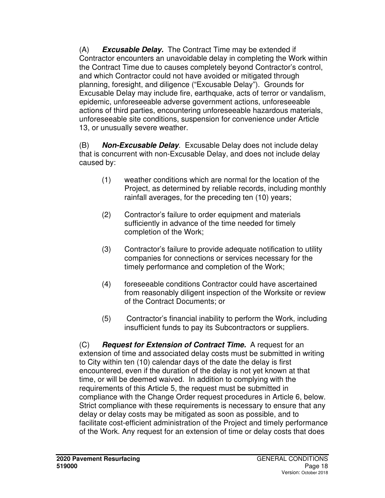(A) **Excusable Delay.** The Contract Time may be extended if Contractor encounters an unavoidable delay in completing the Work within the Contract Time due to causes completely beyond Contractor's control, and which Contractor could not have avoided or mitigated through planning, foresight, and diligence ("Excusable Delay"). Grounds for Excusable Delay may include fire, earthquake, acts of terror or vandalism, epidemic, unforeseeable adverse government actions, unforeseeable actions of third parties, encountering unforeseeable hazardous materials, unforeseeable site conditions, suspension for convenience under Article 13, or unusually severe weather.

(B) **Non-Excusable Delay**. Excusable Delay does not include delay that is concurrent with non-Excusable Delay, and does not include delay caused by:

- (1) weather conditions which are normal for the location of the Project, as determined by reliable records, including monthly rainfall averages, for the preceding ten (10) years;
- (2) Contractor's failure to order equipment and materials sufficiently in advance of the time needed for timely completion of the Work;
- (3) Contractor's failure to provide adequate notification to utility companies for connections or services necessary for the timely performance and completion of the Work;
- (4) foreseeable conditions Contractor could have ascertained from reasonably diligent inspection of the Worksite or review of the Contract Documents; or
- (5) Contractor's financial inability to perform the Work, including insufficient funds to pay its Subcontractors or suppliers.

(C) **Request for Extension of Contract Time.** A request for an extension of time and associated delay costs must be submitted in writing to City within ten (10) calendar days of the date the delay is first encountered, even if the duration of the delay is not yet known at that time, or will be deemed waived. In addition to complying with the requirements of this Article 5, the request must be submitted in compliance with the Change Order request procedures in Article 6, below. Strict compliance with these requirements is necessary to ensure that any delay or delay costs may be mitigated as soon as possible, and to facilitate cost-efficient administration of the Project and timely performance of the Work. Any request for an extension of time or delay costs that does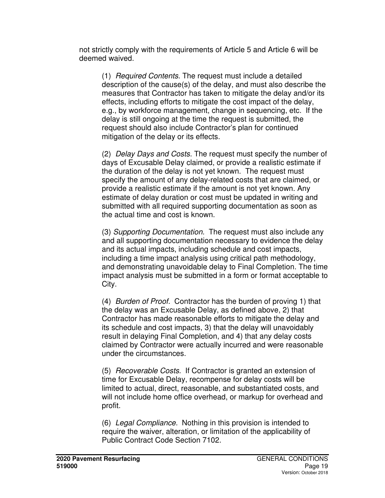not strictly comply with the requirements of Article 5 and Article 6 will be deemed waived.

(1) Required Contents. The request must include a detailed description of the cause(s) of the delay, and must also describe the measures that Contractor has taken to mitigate the delay and/or its effects, including efforts to mitigate the cost impact of the delay, e.g., by workforce management, change in sequencing, etc. If the delay is still ongoing at the time the request is submitted, the request should also include Contractor's plan for continued mitigation of the delay or its effects.

(2) Delay Days and Costs. The request must specify the number of days of Excusable Delay claimed, or provide a realistic estimate if the duration of the delay is not yet known. The request must specify the amount of any delay-related costs that are claimed, or provide a realistic estimate if the amount is not yet known. Any estimate of delay duration or cost must be updated in writing and submitted with all required supporting documentation as soon as the actual time and cost is known.

(3) Supporting Documentation. The request must also include any and all supporting documentation necessary to evidence the delay and its actual impacts, including schedule and cost impacts, including a time impact analysis using critical path methodology, and demonstrating unavoidable delay to Final Completion. The time impact analysis must be submitted in a form or format acceptable to City.

(4) Burden of Proof. Contractor has the burden of proving 1) that the delay was an Excusable Delay, as defined above, 2) that Contractor has made reasonable efforts to mitigate the delay and its schedule and cost impacts, 3) that the delay will unavoidably result in delaying Final Completion, and 4) that any delay costs claimed by Contractor were actually incurred and were reasonable under the circumstances.

(5) Recoverable Costs. If Contractor is granted an extension of time for Excusable Delay, recompense for delay costs will be limited to actual, direct, reasonable, and substantiated costs, and will not include home office overhead, or markup for overhead and profit.

(6) Legal Compliance. Nothing in this provision is intended to require the waiver, alteration, or limitation of the applicability of Public Contract Code Section 7102.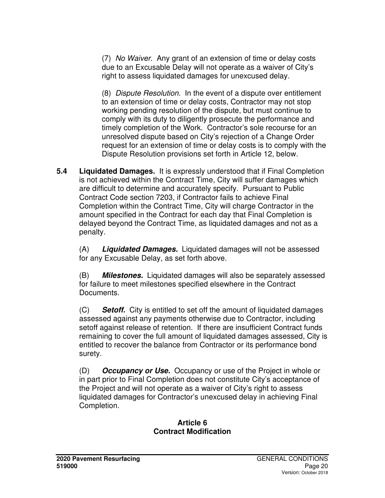(7) No Waiver. Any grant of an extension of time or delay costs due to an Excusable Delay will not operate as a waiver of City's right to assess liquidated damages for unexcused delay.

(8) Dispute Resolution. In the event of a dispute over entitlement to an extension of time or delay costs, Contractor may not stop working pending resolution of the dispute, but must continue to comply with its duty to diligently prosecute the performance and timely completion of the Work. Contractor's sole recourse for an unresolved dispute based on City's rejection of a Change Order request for an extension of time or delay costs is to comply with the Dispute Resolution provisions set forth in Article 12, below.

**5.4 Liquidated Damages.** It is expressly understood that if Final Completion is not achieved within the Contract Time, City will suffer damages which are difficult to determine and accurately specify. Pursuant to Public Contract Code section 7203, if Contractor fails to achieve Final Completion within the Contract Time, City will charge Contractor in the amount specified in the Contract for each day that Final Completion is delayed beyond the Contract Time, as liquidated damages and not as a penalty.

(A) **Liquidated Damages.** Liquidated damages will not be assessed for any Excusable Delay, as set forth above.

(B) **Milestones.** Liquidated damages will also be separately assessed for failure to meet milestones specified elsewhere in the Contract Documents.

(C) **Setoff.** City is entitled to set off the amount of liquidated damages assessed against any payments otherwise due to Contractor, including setoff against release of retention. If there are insufficient Contract funds remaining to cover the full amount of liquidated damages assessed, City is entitled to recover the balance from Contractor or its performance bond surety.

(D) **Occupancy or Use.** Occupancy or use of the Project in whole or in part prior to Final Completion does not constitute City's acceptance of the Project and will not operate as a waiver of City's right to assess liquidated damages for Contractor's unexcused delay in achieving Final Completion.

#### **Article 6 Contract Modification**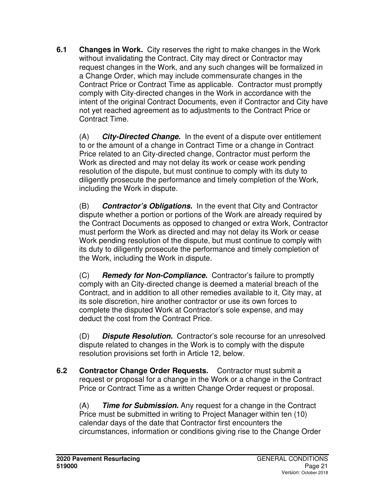**6.1 Changes in Work.** City reserves the right to make changes in the Work without invalidating the Contract. City may direct or Contractor may request changes in the Work, and any such changes will be formalized in a Change Order, which may include commensurate changes in the Contract Price or Contract Time as applicable. Contractor must promptly comply with City-directed changes in the Work in accordance with the intent of the original Contract Documents, even if Contractor and City have not yet reached agreement as to adjustments to the Contract Price or Contract Time.

(A) **City-Directed Change.** In the event of a dispute over entitlement to or the amount of a change in Contract Time or a change in Contract Price related to an City-directed change, Contractor must perform the Work as directed and may not delay its work or cease work pending resolution of the dispute, but must continue to comply with its duty to diligently prosecute the performance and timely completion of the Work, including the Work in dispute.

(B) **Contractor's Obligations.** In the event that City and Contractor dispute whether a portion or portions of the Work are already required by the Contract Documents as opposed to changed or extra Work, Contractor must perform the Work as directed and may not delay its Work or cease Work pending resolution of the dispute, but must continue to comply with its duty to diligently prosecute the performance and timely completion of the Work, including the Work in dispute.

(C) **Remedy for Non-Compliance.** Contractor's failure to promptly comply with an City-directed change is deemed a material breach of the Contract, and in addition to all other remedies available to it, City may, at its sole discretion, hire another contractor or use its own forces to complete the disputed Work at Contractor's sole expense, and may deduct the cost from the Contract Price.

(D) **Dispute Resolution.** Contractor's sole recourse for an unresolved dispute related to changes in the Work is to comply with the dispute resolution provisions set forth in Article 12, below.

**6.2 Contractor Change Order Requests.** Contractor must submit a request or proposal for a change in the Work or a change in the Contract Price or Contract Time as a written Change Order request or proposal.

(A) **Time for Submission.** Any request for a change in the Contract Price must be submitted in writing to Project Manager within ten (10) calendar days of the date that Contractor first encounters the circumstances, information or conditions giving rise to the Change Order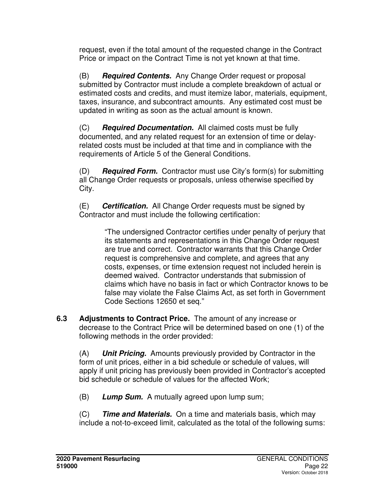request, even if the total amount of the requested change in the Contract Price or impact on the Contract Time is not yet known at that time.

(B) **Required Contents.** Any Change Order request or proposal submitted by Contractor must include a complete breakdown of actual or estimated costs and credits, and must itemize labor, materials, equipment, taxes, insurance, and subcontract amounts. Any estimated cost must be updated in writing as soon as the actual amount is known.

(C) **Required Documentation.** All claimed costs must be fully documented, and any related request for an extension of time or delayrelated costs must be included at that time and in compliance with the requirements of Article 5 of the General Conditions.

(D) **Required Form.** Contractor must use City's form(s) for submitting all Change Order requests or proposals, unless otherwise specified by City.

(E) **Certification.** All Change Order requests must be signed by Contractor and must include the following certification:

> "The undersigned Contractor certifies under penalty of perjury that its statements and representations in this Change Order request are true and correct. Contractor warrants that this Change Order request is comprehensive and complete, and agrees that any costs, expenses, or time extension request not included herein is deemed waived. Contractor understands that submission of claims which have no basis in fact or which Contractor knows to be false may violate the False Claims Act, as set forth in Government Code Sections 12650 et seq."

**6.3 Adjustments to Contract Price.** The amount of any increase or decrease to the Contract Price will be determined based on one (1) of the following methods in the order provided:

(A) **Unit Pricing.** Amounts previously provided by Contractor in the form of unit prices, either in a bid schedule or schedule of values, will apply if unit pricing has previously been provided in Contractor's accepted bid schedule or schedule of values for the affected Work;

(B) **Lump Sum.** A mutually agreed upon lump sum;

(C) **Time and Materials.** On a time and materials basis, which may include a not-to-exceed limit, calculated as the total of the following sums: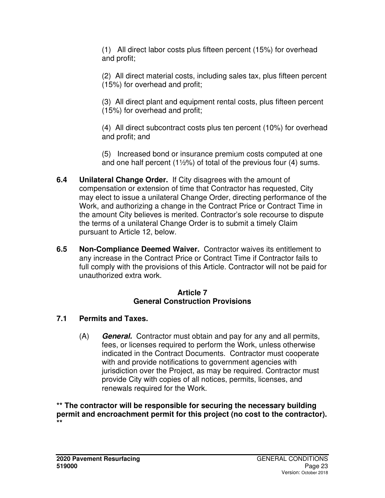(1) All direct labor costs plus fifteen percent (15%) for overhead and profit;

(2) All direct material costs, including sales tax, plus fifteen percent (15%) for overhead and profit;

(3) All direct plant and equipment rental costs, plus fifteen percent (15%) for overhead and profit;

(4) All direct subcontract costs plus ten percent (10%) for overhead and profit; and

(5) Increased bond or insurance premium costs computed at one and one half percent (1½%) of total of the previous four (4) sums.

- **6.4 Unilateral Change Order.** If City disagrees with the amount of compensation or extension of time that Contractor has requested, City may elect to issue a unilateral Change Order, directing performance of the Work, and authorizing a change in the Contract Price or Contract Time in the amount City believes is merited. Contractor's sole recourse to dispute the terms of a unilateral Change Order is to submit a timely Claim pursuant to Article 12, below.
- **6.5 Non-Compliance Deemed Waiver.** Contractor waives its entitlement to any increase in the Contract Price or Contract Time if Contractor fails to full comply with the provisions of this Article. Contractor will not be paid for unauthorized extra work.

#### **Article 7 General Construction Provisions**

### **7.1 Permits and Taxes.**

(A) **General.** Contractor must obtain and pay for any and all permits, fees, or licenses required to perform the Work, unless otherwise indicated in the Contract Documents. Contractor must cooperate with and provide notifications to government agencies with jurisdiction over the Project, as may be required. Contractor must provide City with copies of all notices, permits, licenses, and renewals required for the Work.

**\*\* The contractor will be responsible for securing the necessary building permit and encroachment permit for this project (no cost to the contractor). \*\***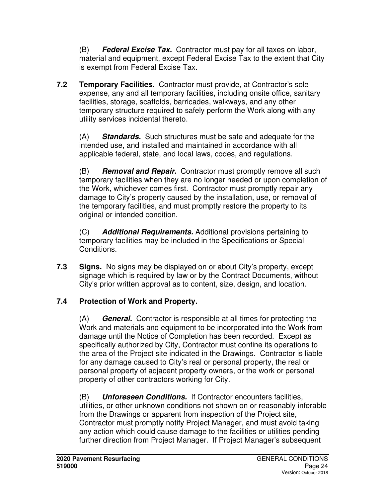(B) **Federal Excise Tax.** Contractor must pay for all taxes on labor, material and equipment, except Federal Excise Tax to the extent that City is exempt from Federal Excise Tax.

**7.2 Temporary Facilities.** Contractor must provide, at Contractor's sole expense, any and all temporary facilities, including onsite office, sanitary facilities, storage, scaffolds, barricades, walkways, and any other temporary structure required to safely perform the Work along with any utility services incidental thereto.

(A) **Standards.** Such structures must be safe and adequate for the intended use, and installed and maintained in accordance with all applicable federal, state, and local laws, codes, and regulations.

(B) **Removal and Repair.** Contractor must promptly remove all such temporary facilities when they are no longer needed or upon completion of the Work, whichever comes first. Contractor must promptly repair any damage to City's property caused by the installation, use, or removal of the temporary facilities, and must promptly restore the property to its original or intended condition.

(C) **Additional Requirements.** Additional provisions pertaining to temporary facilities may be included in the Specifications or Special Conditions.

**7.3 Signs.** No signs may be displayed on or about City's property, except signage which is required by law or by the Contract Documents, without City's prior written approval as to content, size, design, and location.

# **7.4 Protection of Work and Property.**

(A) **General.** Contractor is responsible at all times for protecting the Work and materials and equipment to be incorporated into the Work from damage until the Notice of Completion has been recorded. Except as specifically authorized by City, Contractor must confine its operations to the area of the Project site indicated in the Drawings. Contractor is liable for any damage caused to City's real or personal property, the real or personal property of adjacent property owners, or the work or personal property of other contractors working for City.

(B) **Unforeseen Conditions.** If Contractor encounters facilities, utilities, or other unknown conditions not shown on or reasonably inferable from the Drawings or apparent from inspection of the Project site, Contractor must promptly notify Project Manager, and must avoid taking any action which could cause damage to the facilities or utilities pending further direction from Project Manager. If Project Manager's subsequent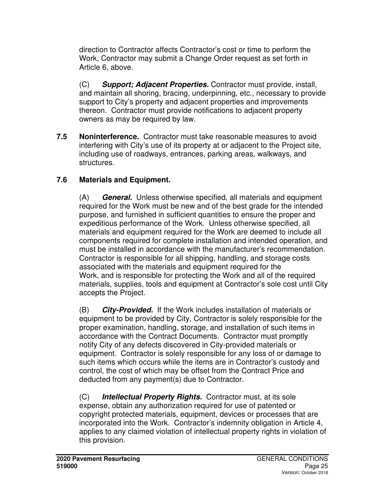direction to Contractor affects Contractor's cost or time to perform the Work, Contractor may submit a Change Order request as set forth in Article 6, above.

(C) **Support; Adjacent Properties.** Contractor must provide, install, and maintain all shoring, bracing, underpinning, etc., necessary to provide support to City's property and adjacent properties and improvements thereon. Contractor must provide notifications to adjacent property owners as may be required by law.

**7.5 Noninterference.** Contractor must take reasonable measures to avoid interfering with City's use of its property at or adjacent to the Project site, including use of roadways, entrances, parking areas, walkways, and structures.

## **7.6 Materials and Equipment.**

(A) **General.** Unless otherwise specified, all materials and equipment required for the Work must be new and of the best grade for the intended purpose, and furnished in sufficient quantities to ensure the proper and expeditious performance of the Work. Unless otherwise specified, all materials and equipment required for the Work are deemed to include all components required for complete installation and intended operation, and must be installed in accordance with the manufacturer's recommendation. Contractor is responsible for all shipping, handling, and storage costs associated with the materials and equipment required for the Work, and is responsible for protecting the Work and all of the required materials, supplies, tools and equipment at Contractor's sole cost until City accepts the Project.

(B) **City-Provided.** If the Work includes installation of materials or equipment to be provided by City, Contractor is solely responsible for the proper examination, handling, storage, and installation of such items in accordance with the Contract Documents. Contractor must promptly notify City of any defects discovered in City-provided materials or equipment. Contractor is solely responsible for any loss of or damage to such items which occurs while the items are in Contractor's custody and control, the cost of which may be offset from the Contract Price and deducted from any payment(s) due to Contractor.

(C) **Intellectual Property Rights.** Contractor must, at its sole expense, obtain any authorization required for use of patented or copyright protected materials, equipment, devices or processes that are incorporated into the Work. Contractor's indemnity obligation in Article 4, applies to any claimed violation of intellectual property rights in violation of this provision.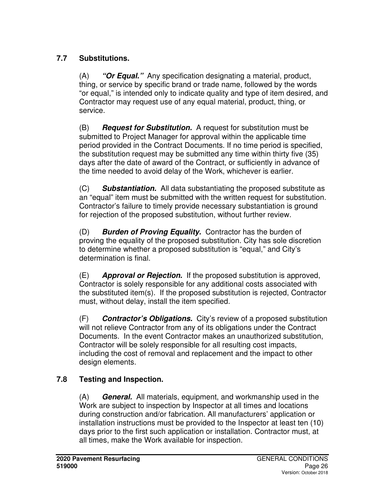# **7.7 Substitutions.**

(A) **"Or Equal."** Any specification designating a material, product, thing, or service by specific brand or trade name, followed by the words "or equal," is intended only to indicate quality and type of item desired, and Contractor may request use of any equal material, product, thing, or service.

(B) **Request for Substitution.** A request for substitution must be submitted to Project Manager for approval within the applicable time period provided in the Contract Documents. If no time period is specified, the substitution request may be submitted any time within thirty five (35) days after the date of award of the Contract, or sufficiently in advance of the time needed to avoid delay of the Work, whichever is earlier.

(C) **Substantiation.** All data substantiating the proposed substitute as an "equal" item must be submitted with the written request for substitution. Contractor's failure to timely provide necessary substantiation is ground for rejection of the proposed substitution, without further review.

(D) **Burden of Proving Equality.** Contractor has the burden of proving the equality of the proposed substitution. City has sole discretion to determine whether a proposed substitution is "equal," and City's determination is final.

(E) **Approval or Rejection.** If the proposed substitution is approved, Contractor is solely responsible for any additional costs associated with the substituted item(s). If the proposed substitution is rejected, Contractor must, without delay, install the item specified.

(F) **Contractor's Obligations.** City's review of a proposed substitution will not relieve Contractor from any of its obligations under the Contract Documents. In the event Contractor makes an unauthorized substitution, Contractor will be solely responsible for all resulting cost impacts, including the cost of removal and replacement and the impact to other design elements.

### **7.8 Testing and Inspection.**

(A) **General.** All materials, equipment, and workmanship used in the Work are subject to inspection by Inspector at all times and locations during construction and/or fabrication. All manufacturers' application or installation instructions must be provided to the Inspector at least ten (10) days prior to the first such application or installation. Contractor must, at all times, make the Work available for inspection.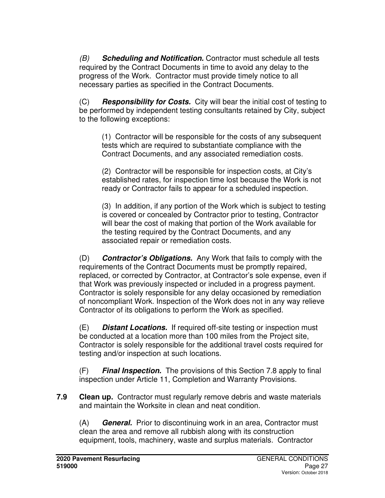(B) **Scheduling and Notification.** Contractor must schedule all tests required by the Contract Documents in time to avoid any delay to the progress of the Work. Contractor must provide timely notice to all necessary parties as specified in the Contract Documents.

(C) **Responsibility for Costs.** City will bear the initial cost of testing to be performed by independent testing consultants retained by City, subject to the following exceptions:

(1) Contractor will be responsible for the costs of any subsequent tests which are required to substantiate compliance with the Contract Documents, and any associated remediation costs.

(2) Contractor will be responsible for inspection costs, at City's established rates, for inspection time lost because the Work is not ready or Contractor fails to appear for a scheduled inspection.

(3) In addition, if any portion of the Work which is subject to testing is covered or concealed by Contractor prior to testing, Contractor will bear the cost of making that portion of the Work available for the testing required by the Contract Documents, and any associated repair or remediation costs.

(D) **Contractor's Obligations.** Any Work that fails to comply with the requirements of the Contract Documents must be promptly repaired, replaced, or corrected by Contractor, at Contractor's sole expense, even if that Work was previously inspected or included in a progress payment. Contractor is solely responsible for any delay occasioned by remediation of noncompliant Work. Inspection of the Work does not in any way relieve Contractor of its obligations to perform the Work as specified.

(E) **Distant Locations.** If required off-site testing or inspection must be conducted at a location more than 100 miles from the Project site, Contractor is solely responsible for the additional travel costs required for testing and/or inspection at such locations.

(F) **Final Inspection.** The provisions of this Section 7.8 apply to final inspection under Article 11, Completion and Warranty Provisions.

**7.9 Clean up.** Contractor must regularly remove debris and waste materials and maintain the Worksite in clean and neat condition.

(A) **General.** Prior to discontinuing work in an area, Contractor must clean the area and remove all rubbish along with its construction equipment, tools, machinery, waste and surplus materials. Contractor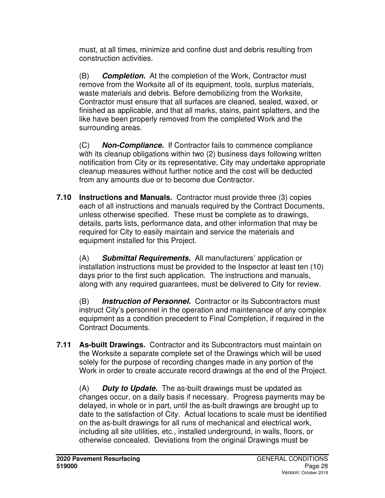must, at all times, minimize and confine dust and debris resulting from construction activities.

(B) **Completion.** At the completion of the Work, Contractor must remove from the Worksite all of its equipment, tools, surplus materials, waste materials and debris. Before demobilizing from the Worksite, Contractor must ensure that all surfaces are cleaned, sealed, waxed, or finished as applicable, and that all marks, stains, paint splatters, and the like have been properly removed from the completed Work and the surrounding areas.

(C) **Non-Compliance.** If Contractor fails to commence compliance with its cleanup obligations within two (2) business days following written notification from City or its representative, City may undertake appropriate cleanup measures without further notice and the cost will be deducted from any amounts due or to become due Contractor.

**7.10 Instructions and Manuals.** Contractor must provide three (3) copies each of all instructions and manuals required by the Contract Documents, unless otherwise specified. These must be complete as to drawings, details, parts lists, performance data, and other information that may be required for City to easily maintain and service the materials and equipment installed for this Project.

(A) **Submittal Requirements.** All manufacturers' application or installation instructions must be provided to the Inspector at least ten (10) days prior to the first such application. The instructions and manuals, along with any required guarantees, must be delivered to City for review.

(B) **Instruction of Personnel.** Contractor or its Subcontractors must instruct City's personnel in the operation and maintenance of any complex equipment as a condition precedent to Final Completion, if required in the Contract Documents.

**7.11 As-built Drawings.** Contractor and its Subcontractors must maintain on the Worksite a separate complete set of the Drawings which will be used solely for the purpose of recording changes made in any portion of the Work in order to create accurate record drawings at the end of the Project.

(A) **Duty to Update.** The as-built drawings must be updated as changes occur, on a daily basis if necessary. Progress payments may be delayed, in whole or in part, until the as-built drawings are brought up to date to the satisfaction of City. Actual locations to scale must be identified on the as-built drawings for all runs of mechanical and electrical work, including all site utilities, etc., installed underground, in walls, floors, or otherwise concealed. Deviations from the original Drawings must be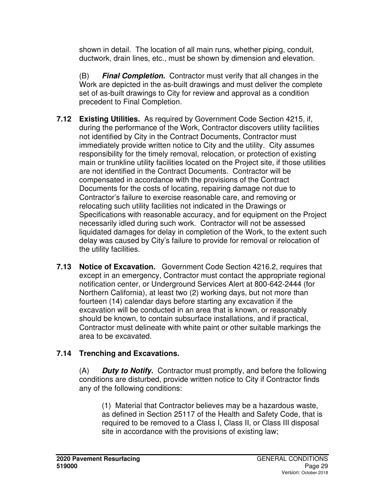shown in detail. The location of all main runs, whether piping, conduit, ductwork, drain lines, etc., must be shown by dimension and elevation.

(B) **Final Completion.** Contractor must verify that all changes in the Work are depicted in the as-built drawings and must deliver the complete set of as-built drawings to City for review and approval as a condition precedent to Final Completion.

- **7.12 Existing Utilities.** As required by Government Code Section 4215, if, during the performance of the Work, Contractor discovers utility facilities not identified by City in the Contract Documents, Contractor must immediately provide written notice to City and the utility. City assumes responsibility for the timely removal, relocation, or protection of existing main or trunkline utility facilities located on the Project site, if those utilities are not identified in the Contract Documents. Contractor will be compensated in accordance with the provisions of the Contract Documents for the costs of locating, repairing damage not due to Contractor's failure to exercise reasonable care, and removing or relocating such utility facilities not indicated in the Drawings or Specifications with reasonable accuracy, and for equipment on the Project necessarily idled during such work. Contractor will not be assessed liquidated damages for delay in completion of the Work, to the extent such delay was caused by City's failure to provide for removal or relocation of the utility facilities.
- **7.13 Notice of Excavation.** Government Code Section 4216.2, requires that except in an emergency, Contractor must contact the appropriate regional notification center, or Underground Services Alert at 800-642-2444 (for Northern California), at least two (2) working days, but not more than fourteen (14) calendar days before starting any excavation if the excavation will be conducted in an area that is known, or reasonably should be known, to contain subsurface installations, and if practical, Contractor must delineate with white paint or other suitable markings the area to be excavated.

### **7.14 Trenching and Excavations.**

(A) **Duty to Notify.** Contractor must promptly, and before the following conditions are disturbed, provide written notice to City if Contractor finds any of the following conditions:

(1) Material that Contractor believes may be a hazardous waste, as defined in Section 25117 of the Health and Safety Code, that is required to be removed to a Class I, Class II, or Class III disposal site in accordance with the provisions of existing law;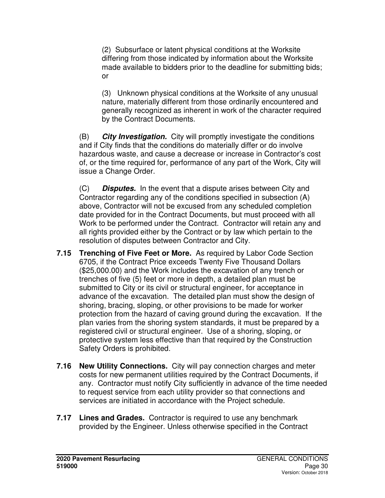(2) Subsurface or latent physical conditions at the Worksite differing from those indicated by information about the Worksite made available to bidders prior to the deadline for submitting bids; or

(3) Unknown physical conditions at the Worksite of any unusual nature, materially different from those ordinarily encountered and generally recognized as inherent in work of the character required by the Contract Documents.

(B) **City Investigation.** City will promptly investigate the conditions and if City finds that the conditions do materially differ or do involve hazardous waste, and cause a decrease or increase in Contractor's cost of, or the time required for, performance of any part of the Work, City will issue a Change Order.

(C) **Disputes.** In the event that a dispute arises between City and Contractor regarding any of the conditions specified in subsection (A) above, Contractor will not be excused from any scheduled completion date provided for in the Contract Documents, but must proceed with all Work to be performed under the Contract. Contractor will retain any and all rights provided either by the Contract or by law which pertain to the resolution of disputes between Contractor and City.

- **7.15 Trenching of Five Feet or More.** As required by Labor Code Section 6705, if the Contract Price exceeds Twenty Five Thousand Dollars (\$25,000.00) and the Work includes the excavation of any trench or trenches of five (5) feet or more in depth, a detailed plan must be submitted to City or its civil or structural engineer, for acceptance in advance of the excavation. The detailed plan must show the design of shoring, bracing, sloping, or other provisions to be made for worker protection from the hazard of caving ground during the excavation. If the plan varies from the shoring system standards, it must be prepared by a registered civil or structural engineer. Use of a shoring, sloping, or protective system less effective than that required by the Construction Safety Orders is prohibited.
- **7.16 New Utility Connections.** City will pay connection charges and meter costs for new permanent utilities required by the Contract Documents, if any. Contractor must notify City sufficiently in advance of the time needed to request service from each utility provider so that connections and services are initiated in accordance with the Project schedule.
- **7.17 Lines and Grades.** Contractor is required to use any benchmark provided by the Engineer. Unless otherwise specified in the Contract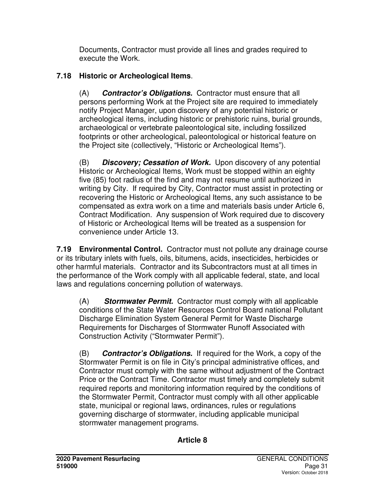Documents, Contractor must provide all lines and grades required to execute the Work.

# **7.18 Historic or Archeological Items**.

(A) **Contractor's Obligations.** Contractor must ensure that all persons performing Work at the Project site are required to immediately notify Project Manager, upon discovery of any potential historic or archeological items, including historic or prehistoric ruins, burial grounds, archaeological or vertebrate paleontological site, including fossilized footprints or other archeological, paleontological or historical feature on the Project site (collectively, "Historic or Archeological Items").

(B) **Discovery; Cessation of Work.** Upon discovery of any potential Historic or Archeological Items, Work must be stopped within an eighty five (85) foot radius of the find and may not resume until authorized in writing by City. If required by City, Contractor must assist in protecting or recovering the Historic or Archeological Items, any such assistance to be compensated as extra work on a time and materials basis under Article 6, Contract Modification. Any suspension of Work required due to discovery of Historic or Archeological Items will be treated as a suspension for convenience under Article 13.

**7.19 Environmental Control.** Contractor must not pollute any drainage course or its tributary inlets with fuels, oils, bitumens, acids, insecticides, herbicides or other harmful materials. Contractor and its Subcontractors must at all times in the performance of the Work comply with all applicable federal, state, and local laws and regulations concerning pollution of waterways.

(A) **Stormwater Permit.** Contractor must comply with all applicable conditions of the State Water Resources Control Board national Pollutant Discharge Elimination System General Permit for Waste Discharge Requirements for Discharges of Stormwater Runoff Associated with Construction Activity ("Stormwater Permit").

(B) **Contractor's Obligations.** If required for the Work, a copy of the Stormwater Permit is on file in City's principal administrative offices, and Contractor must comply with the same without adjustment of the Contract Price or the Contract Time. Contractor must timely and completely submit required reports and monitoring information required by the conditions of the Stormwater Permit, Contractor must comply with all other applicable state, municipal or regional laws, ordinances, rules or regulations governing discharge of stormwater, including applicable municipal stormwater management programs.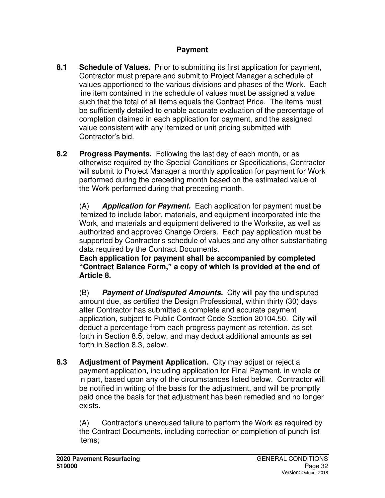### **Payment**

- **8.1 Schedule of Values.** Prior to submitting its first application for payment, Contractor must prepare and submit to Project Manager a schedule of values apportioned to the various divisions and phases of the Work. Each line item contained in the schedule of values must be assigned a value such that the total of all items equals the Contract Price. The items must be sufficiently detailed to enable accurate evaluation of the percentage of completion claimed in each application for payment, and the assigned value consistent with any itemized or unit pricing submitted with Contractor's bid.
- **8.2 Progress Payments.** Following the last day of each month, or as otherwise required by the Special Conditions or Specifications, Contractor will submit to Project Manager a monthly application for payment for Work performed during the preceding month based on the estimated value of the Work performed during that preceding month.

(A) **Application for Payment.** Each application for payment must be itemized to include labor, materials, and equipment incorporated into the Work, and materials and equipment delivered to the Worksite, as well as authorized and approved Change Orders. Each pay application must be supported by Contractor's schedule of values and any other substantiating data required by the Contract Documents.

**Each application for payment shall be accompanied by completed "Contract Balance Form," a copy of which is provided at the end of Article 8.**

(B) **Payment of Undisputed Amounts.** City will pay the undisputed amount due, as certified the Design Professional, within thirty (30) days after Contractor has submitted a complete and accurate payment application, subject to Public Contract Code Section 20104.50. City will deduct a percentage from each progress payment as retention, as set forth in Section 8.5, below, and may deduct additional amounts as set forth in Section 8.3, below.

**8.3 Adjustment of Payment Application.** City may adjust or reject a payment application, including application for Final Payment, in whole or in part, based upon any of the circumstances listed below. Contractor will be notified in writing of the basis for the adjustment, and will be promptly paid once the basis for that adjustment has been remedied and no longer exists.

(A) Contractor's unexcused failure to perform the Work as required by the Contract Documents, including correction or completion of punch list items;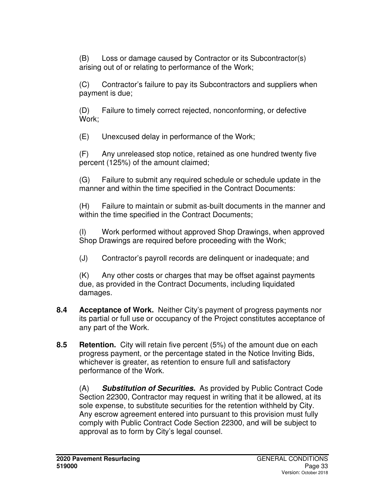(B) Loss or damage caused by Contractor or its Subcontractor(s) arising out of or relating to performance of the Work;

(C) Contractor's failure to pay its Subcontractors and suppliers when payment is due;

(D) Failure to timely correct rejected, nonconforming, or defective Work;

(E) Unexcused delay in performance of the Work;

(F) Any unreleased stop notice, retained as one hundred twenty five percent (125%) of the amount claimed;

(G) Failure to submit any required schedule or schedule update in the manner and within the time specified in the Contract Documents:

(H) Failure to maintain or submit as-built documents in the manner and within the time specified in the Contract Documents;

(I) Work performed without approved Shop Drawings, when approved Shop Drawings are required before proceeding with the Work;

(J) Contractor's payroll records are delinquent or inadequate; and

(K) Any other costs or charges that may be offset against payments due, as provided in the Contract Documents, including liquidated damages.

- **8.4 Acceptance of Work.** Neither City's payment of progress payments nor its partial or full use or occupancy of the Project constitutes acceptance of any part of the Work.
- **8.5 Retention.** City will retain five percent (5%) of the amount due on each progress payment, or the percentage stated in the Notice Inviting Bids, whichever is greater, as retention to ensure full and satisfactory performance of the Work.

(A) **Substitution of Securities.** As provided by Public Contract Code Section 22300, Contractor may request in writing that it be allowed, at its sole expense, to substitute securities for the retention withheld by City. Any escrow agreement entered into pursuant to this provision must fully comply with Public Contract Code Section 22300, and will be subject to approval as to form by City's legal counsel.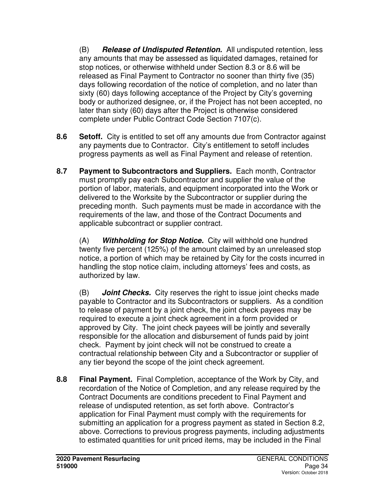(B) **Release of Undisputed Retention.** All undisputed retention, less any amounts that may be assessed as liquidated damages, retained for stop notices, or otherwise withheld under Section 8.3 or 8.6 will be released as Final Payment to Contractor no sooner than thirty five (35) days following recordation of the notice of completion, and no later than sixty (60) days following acceptance of the Project by City's governing body or authorized designee, or, if the Project has not been accepted, no later than sixty (60) days after the Project is otherwise considered complete under Public Contract Code Section 7107(c).

- **8.6 Setoff.** City is entitled to set off any amounts due from Contractor against any payments due to Contractor. City's entitlement to setoff includes progress payments as well as Final Payment and release of retention.
- **8.7 Payment to Subcontractors and Suppliers.** Each month, Contractor must promptly pay each Subcontractor and supplier the value of the portion of labor, materials, and equipment incorporated into the Work or delivered to the Worksite by the Subcontractor or supplier during the preceding month. Such payments must be made in accordance with the requirements of the law, and those of the Contract Documents and applicable subcontract or supplier contract.

(A) **Withholding for Stop Notice.** City will withhold one hundred twenty five percent (125%) of the amount claimed by an unreleased stop notice, a portion of which may be retained by City for the costs incurred in handling the stop notice claim, including attorneys' fees and costs, as authorized by law.

(B) **Joint Checks.** City reserves the right to issue joint checks made payable to Contractor and its Subcontractors or suppliers. As a condition to release of payment by a joint check, the joint check payees may be required to execute a joint check agreement in a form provided or approved by City. The joint check payees will be jointly and severally responsible for the allocation and disbursement of funds paid by joint check. Payment by joint check will not be construed to create a contractual relationship between City and a Subcontractor or supplier of any tier beyond the scope of the joint check agreement.

**8.8 Final Payment.** Final Completion, acceptance of the Work by City, and recordation of the Notice of Completion, and any release required by the Contract Documents are conditions precedent to Final Payment and release of undisputed retention, as set forth above. Contractor's application for Final Payment must comply with the requirements for submitting an application for a progress payment as stated in Section 8.2, above. Corrections to previous progress payments, including adjustments to estimated quantities for unit priced items, may be included in the Final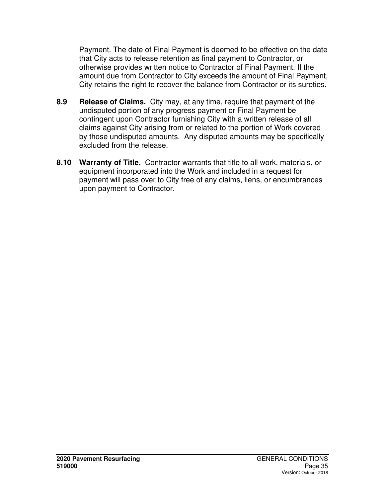Payment. The date of Final Payment is deemed to be effective on the date that City acts to release retention as final payment to Contractor, or otherwise provides written notice to Contractor of Final Payment. If the amount due from Contractor to City exceeds the amount of Final Payment, City retains the right to recover the balance from Contractor or its sureties.

- **8.9 Release of Claims.** City may, at any time, require that payment of the undisputed portion of any progress payment or Final Payment be contingent upon Contractor furnishing City with a written release of all claims against City arising from or related to the portion of Work covered by those undisputed amounts. Any disputed amounts may be specifically excluded from the release.
- **8.10 Warranty of Title.** Contractor warrants that title to all work, materials, or equipment incorporated into the Work and included in a request for payment will pass over to City free of any claims, liens, or encumbrances upon payment to Contractor.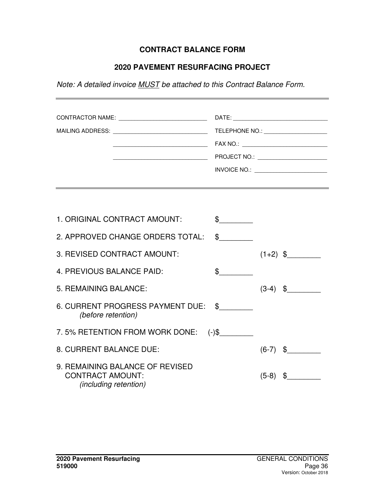## **CONTRACT BALANCE FORM**

## **2020 PAVEMENT RESURFACING PROJECT**

Note: A detailed invoice MUST be attached to this Contract Balance Form.

|  | TELEPHONE NO.: _______________________    |
|--|-------------------------------------------|
|  | FAX NO.: ________________________________ |
|  |                                           |
|  | INVOICE NO.:                              |
|  |                                           |

| 1. ORIGINAL CONTRACT AMOUNT:                                                               |             |                        |  |
|--------------------------------------------------------------------------------------------|-------------|------------------------|--|
| 2. APPROVED CHANGE ORDERS TOTAL:                                                           | $\mathbb S$ |                        |  |
| 3. REVISED CONTRACT AMOUNT:                                                                |             | $(1+2)$ \$             |  |
| 4. PREVIOUS BALANCE PAID:                                                                  | \$          |                        |  |
| 5. REMAINING BALANCE:                                                                      |             | $(3-4)$ \$             |  |
| 6. CURRENT PROGRESS PAYMENT DUE: \$<br>(before retention)                                  |             |                        |  |
| 7.5% RETENTION FROM WORK DONE:                                                             | $(-)$ \$    |                        |  |
| 8. CURRENT BALANCE DUE:                                                                    |             | $(6-7)$ \$             |  |
| 9. REMAINING BALANCE OF REVISED<br><b>CONTRACT AMOUNT:</b><br><i>(including retention)</i> |             | $\mathbb S$<br>$(5-8)$ |  |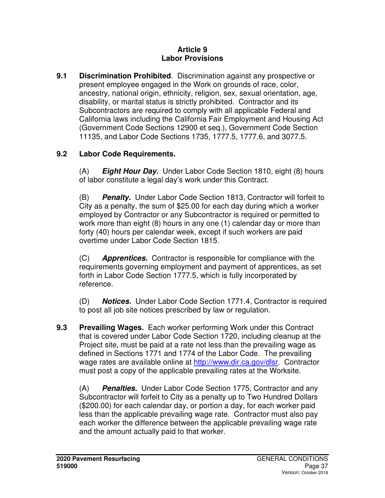### **Article 9 Labor Provisions**

**9.1 Discrimination Prohibited**. Discrimination against any prospective or present employee engaged in the Work on grounds of race, color, ancestry, national origin, ethnicity, religion, sex, sexual orientation, age, disability, or marital status is strictly prohibited. Contractor and its Subcontractors are required to comply with all applicable Federal and California laws including the California Fair Employment and Housing Act (Government Code Sections 12900 et seq.), Government Code Section 11135, and Labor Code Sections 1735, 1777.5, 1777.6, and 3077.5.

## **9.2 Labor Code Requirements.**

(A) **Eight Hour Day.** Under Labor Code Section 1810, eight (8) hours of labor constitute a legal day's work under this Contract.

(B) **Penalty.** Under Labor Code Section 1813, Contractor will forfeit to City as a penalty, the sum of \$25.00 for each day during which a worker employed by Contractor or any Subcontractor is required or permitted to work more than eight (8) hours in any one (1) calendar day or more than forty (40) hours per calendar week, except if such workers are paid overtime under Labor Code Section 1815.

(C) **Apprentices.** Contractor is responsible for compliance with the requirements governing employment and payment of apprentices, as set forth in Labor Code Section 1777.5, which is fully incorporated by reference.

(D) **Notices.** Under Labor Code Section 1771.4, Contractor is required to post all job site notices prescribed by law or regulation.

**9.3 Prevailing Wages.** Each worker performing Work under this Contract that is covered under Labor Code Section 1720, including cleanup at the Project site, must be paid at a rate not less than the prevailing wage as defined in Sections 1771 and 1774 of the Labor Code. The prevailing wage rates are available online at http://www.dir.ca.gov/dlsr. Contractor must post a copy of the applicable prevailing rates at the Worksite.

(A) **Penalties.** Under Labor Code Section 1775, Contractor and any Subcontractor will forfeit to City as a penalty up to Two Hundred Dollars (\$200.00) for each calendar day, or portion a day, for each worker paid less than the applicable prevailing wage rate. Contractor must also pay each worker the difference between the applicable prevailing wage rate and the amount actually paid to that worker.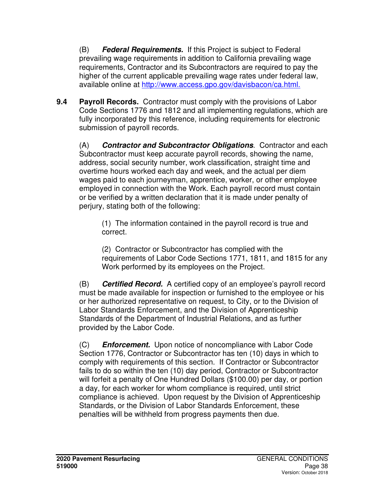(B) **Federal Requirements.** If this Project is subject to Federal prevailing wage requirements in addition to California prevailing wage requirements, Contractor and its Subcontractors are required to pay the higher of the current applicable prevailing wage rates under federal law, available online at http://www.access.gpo.gov/davisbacon/ca.html.

**9.4 Payroll Records.** Contractor must comply with the provisions of Labor Code Sections 1776 and 1812 and all implementing regulations, which are fully incorporated by this reference, including requirements for electronic submission of payroll records.

(A) **Contractor and Subcontractor Obligations**. Contractor and each Subcontractor must keep accurate payroll records, showing the name, address, social security number, work classification, straight time and overtime hours worked each day and week, and the actual per diem wages paid to each journeyman, apprentice, worker, or other employee employed in connection with the Work. Each payroll record must contain or be verified by a written declaration that it is made under penalty of perjury, stating both of the following:

(1) The information contained in the payroll record is true and correct.

(2) Contractor or Subcontractor has complied with the requirements of Labor Code Sections 1771, 1811, and 1815 for any Work performed by its employees on the Project.

(B) **Certified Record.** A certified copy of an employee's payroll record must be made available for inspection or furnished to the employee or his or her authorized representative on request, to City, or to the Division of Labor Standards Enforcement, and the Division of Apprenticeship Standards of the Department of Industrial Relations, and as further provided by the Labor Code.

(C) **Enforcement.** Upon notice of noncompliance with Labor Code Section 1776, Contractor or Subcontractor has ten (10) days in which to comply with requirements of this section. If Contractor or Subcontractor fails to do so within the ten (10) day period, Contractor or Subcontractor will forfeit a penalty of One Hundred Dollars (\$100.00) per day, or portion a day, for each worker for whom compliance is required, until strict compliance is achieved. Upon request by the Division of Apprenticeship Standards, or the Division of Labor Standards Enforcement, these penalties will be withheld from progress payments then due.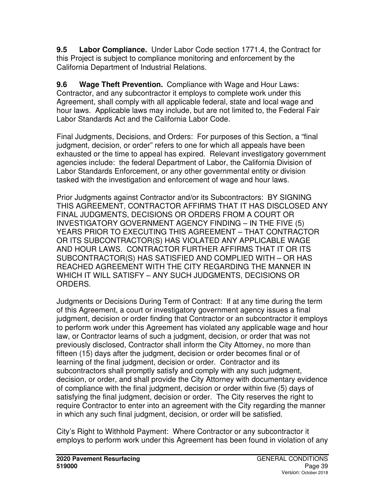**9.5 Labor Compliance.** Under Labor Code section 1771.4, the Contract for this Project is subject to compliance monitoring and enforcement by the California Department of Industrial Relations.

**9.6 Wage Theft Prevention.** Compliance with Wage and Hour Laws: Contractor, and any subcontractor it employs to complete work under this Agreement, shall comply with all applicable federal, state and local wage and hour laws. Applicable laws may include, but are not limited to, the Federal Fair Labor Standards Act and the California Labor Code.

Final Judgments, Decisions, and Orders: For purposes of this Section, a "final judgment, decision, or order" refers to one for which all appeals have been exhausted or the time to appeal has expired. Relevant investigatory government agencies include: the federal Department of Labor, the California Division of Labor Standards Enforcement, or any other governmental entity or division tasked with the investigation and enforcement of wage and hour laws.

Prior Judgments against Contractor and/or its Subcontractors: BY SIGNING THIS AGREEMENT, CONTRACTOR AFFIRMS THAT IT HAS DISCLOSED ANY FINAL JUDGMENTS, DECISIONS OR ORDERS FROM A COURT OR INVESTIGATORY GOVERNMENT AGENCY FINDING – IN THE FIVE (5) YEARS PRIOR TO EXECUTING THIS AGREEMENT – THAT CONTRACTOR OR ITS SUBCONTRACTOR(S) HAS VIOLATED ANY APPLICABLE WAGE AND HOUR LAWS. CONTRACTOR FURTHER AFFIRMS THAT IT OR ITS SUBCONTRACTOR(S) HAS SATISFIED AND COMPLIED WITH – OR HAS REACHED AGREEMENT WITH THE CITY REGARDING THE MANNER IN WHICH IT WILL SATISFY – ANY SUCH JUDGMENTS, DECISIONS OR ORDERS.

Judgments or Decisions During Term of Contract: If at any time during the term of this Agreement, a court or investigatory government agency issues a final judgment, decision or order finding that Contractor or an subcontractor it employs to perform work under this Agreement has violated any applicable wage and hour law, or Contractor learns of such a judgment, decision, or order that was not previously disclosed, Contractor shall inform the City Attorney, no more than fifteen (15) days after the judgment, decision or order becomes final or of learning of the final judgment, decision or order. Contractor and its subcontractors shall promptly satisfy and comply with any such judgment, decision, or order, and shall provide the City Attorney with documentary evidence of compliance with the final judgment, decision or order within five (5) days of satisfying the final judgment, decision or order. The City reserves the right to require Contractor to enter into an agreement with the City regarding the manner in which any such final judgment, decision, or order will be satisfied.

City's Right to Withhold Payment: Where Contractor or any subcontractor it employs to perform work under this Agreement has been found in violation of any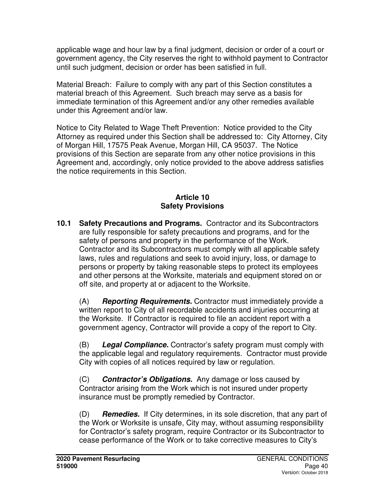applicable wage and hour law by a final judgment, decision or order of a court or government agency, the City reserves the right to withhold payment to Contractor until such judgment, decision or order has been satisfied in full.

Material Breach: Failure to comply with any part of this Section constitutes a material breach of this Agreement. Such breach may serve as a basis for immediate termination of this Agreement and/or any other remedies available under this Agreement and/or law.

Notice to City Related to Wage Theft Prevention: Notice provided to the City Attorney as required under this Section shall be addressed to: City Attorney, City of Morgan Hill, 17575 Peak Avenue, Morgan Hill, CA 95037. The Notice provisions of this Section are separate from any other notice provisions in this Agreement and, accordingly, only notice provided to the above address satisfies the notice requirements in this Section.

## **Article 10 Safety Provisions**

**10.1 Safety Precautions and Programs.** Contractor and its Subcontractors are fully responsible for safety precautions and programs, and for the safety of persons and property in the performance of the Work. Contractor and its Subcontractors must comply with all applicable safety laws, rules and regulations and seek to avoid injury, loss, or damage to persons or property by taking reasonable steps to protect its employees and other persons at the Worksite, materials and equipment stored on or off site, and property at or adjacent to the Worksite.

(A) **Reporting Requirements.** Contractor must immediately provide a written report to City of all recordable accidents and injuries occurring at the Worksite. If Contractor is required to file an accident report with a government agency, Contractor will provide a copy of the report to City.

(B) **Legal Compliance.** Contractor's safety program must comply with the applicable legal and regulatory requirements. Contractor must provide City with copies of all notices required by law or regulation.

(C) **Contractor's Obligations.** Any damage or loss caused by Contractor arising from the Work which is not insured under property insurance must be promptly remedied by Contractor.

(D) **Remedies.** If City determines, in its sole discretion, that any part of the Work or Worksite is unsafe, City may, without assuming responsibility for Contractor's safety program, require Contractor or its Subcontractor to cease performance of the Work or to take corrective measures to City's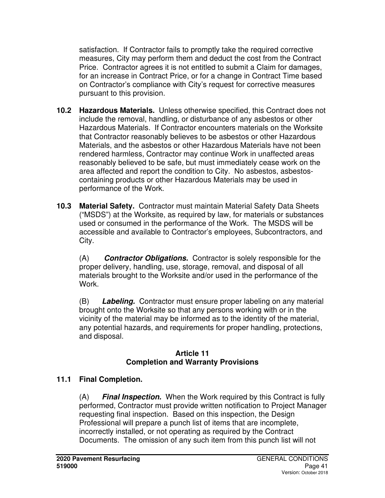satisfaction. If Contractor fails to promptly take the required corrective measures, City may perform them and deduct the cost from the Contract Price. Contractor agrees it is not entitled to submit a Claim for damages, for an increase in Contract Price, or for a change in Contract Time based on Contractor's compliance with City's request for corrective measures pursuant to this provision.

- **10.2 Hazardous Materials.** Unless otherwise specified, this Contract does not include the removal, handling, or disturbance of any asbestos or other Hazardous Materials. If Contractor encounters materials on the Worksite that Contractor reasonably believes to be asbestos or other Hazardous Materials, and the asbestos or other Hazardous Materials have not been rendered harmless, Contractor may continue Work in unaffected areas reasonably believed to be safe, but must immediately cease work on the area affected and report the condition to City. No asbestos, asbestoscontaining products or other Hazardous Materials may be used in performance of the Work.
- **10.3 Material Safety.** Contractor must maintain Material Safety Data Sheets ("MSDS") at the Worksite, as required by law, for materials or substances used or consumed in the performance of the Work. The MSDS will be accessible and available to Contractor's employees, Subcontractors, and City.

(A) **Contractor Obligations.** Contractor is solely responsible for the proper delivery, handling, use, storage, removal, and disposal of all materials brought to the Worksite and/or used in the performance of the Work.

(B) **Labeling.** Contractor must ensure proper labeling on any material brought onto the Worksite so that any persons working with or in the vicinity of the material may be informed as to the identity of the material, any potential hazards, and requirements for proper handling, protections, and disposal.

### **Article 11 Completion and Warranty Provisions**

## **11.1 Final Completion.**

(A) **Final Inspection.** When the Work required by this Contract is fully performed, Contractor must provide written notification to Project Manager requesting final inspection. Based on this inspection, the Design Professional will prepare a punch list of items that are incomplete, incorrectly installed, or not operating as required by the Contract Documents. The omission of any such item from this punch list will not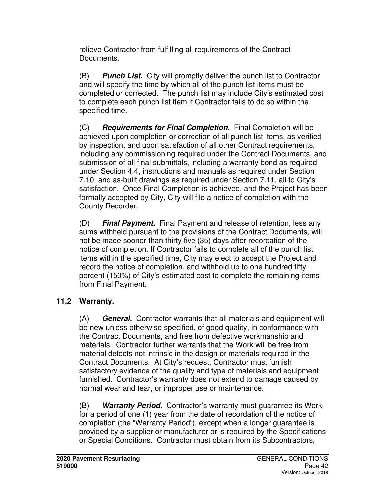relieve Contractor from fulfilling all requirements of the Contract Documents.

(B) **Punch List.** City will promptly deliver the punch list to Contractor and will specify the time by which all of the punch list items must be completed or corrected. The punch list may include City's estimated cost to complete each punch list item if Contractor fails to do so within the specified time.

(C) **Requirements for Final Completion.** Final Completion will be achieved upon completion or correction of all punch list items, as verified by inspection, and upon satisfaction of all other Contract requirements, including any commissioning required under the Contract Documents, and submission of all final submittals, including a warranty bond as required under Section 4.4, instructions and manuals as required under Section 7.10, and as-built drawings as required under Section 7.11, all to City's satisfaction. Once Final Completion is achieved, and the Project has been formally accepted by City, City will file a notice of completion with the County Recorder.

(D) **Final Payment.** Final Payment and release of retention, less any sums withheld pursuant to the provisions of the Contract Documents, will not be made sooner than thirty five (35) days after recordation of the notice of completion. If Contractor fails to complete all of the punch list items within the specified time, City may elect to accept the Project and record the notice of completion, and withhold up to one hundred fifty percent (150%) of City's estimated cost to complete the remaining items from Final Payment.

# **11.2 Warranty.**

(A) **General.** Contractor warrants that all materials and equipment will be new unless otherwise specified, of good quality, in conformance with the Contract Documents, and free from defective workmanship and materials. Contractor further warrants that the Work will be free from material defects not intrinsic in the design or materials required in the Contract Documents. At City's request, Contractor must furnish satisfactory evidence of the quality and type of materials and equipment furnished. Contractor's warranty does not extend to damage caused by normal wear and tear, or improper use or maintenance.

(B) **Warranty Period.** Contractor's warranty must guarantee its Work for a period of one (1) year from the date of recordation of the notice of completion (the "Warranty Period"), except when a longer guarantee is provided by a supplier or manufacturer or is required by the Specifications or Special Conditions. Contractor must obtain from its Subcontractors,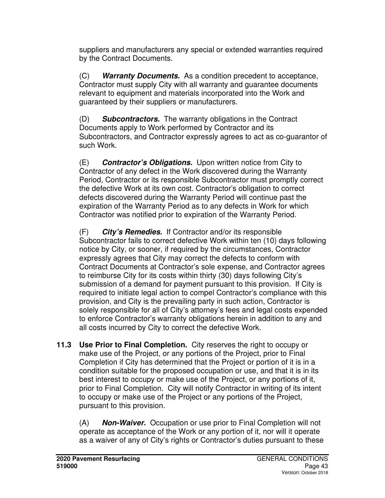suppliers and manufacturers any special or extended warranties required by the Contract Documents.

(C) **Warranty Documents.** As a condition precedent to acceptance, Contractor must supply City with all warranty and guarantee documents relevant to equipment and materials incorporated into the Work and guaranteed by their suppliers or manufacturers.

(D) **Subcontractors.** The warranty obligations in the Contract Documents apply to Work performed by Contractor and its Subcontractors, and Contractor expressly agrees to act as co-guarantor of such Work.

(E) **Contractor's Obligations.** Upon written notice from City to Contractor of any defect in the Work discovered during the Warranty Period, Contractor or its responsible Subcontractor must promptly correct the defective Work at its own cost. Contractor's obligation to correct defects discovered during the Warranty Period will continue past the expiration of the Warranty Period as to any defects in Work for which Contractor was notified prior to expiration of the Warranty Period.

(F) **City's Remedies.** If Contractor and/or its responsible Subcontractor fails to correct defective Work within ten (10) days following notice by City, or sooner, if required by the circumstances, Contractor expressly agrees that City may correct the defects to conform with Contract Documents at Contractor's sole expense, and Contractor agrees to reimburse City for its costs within thirty (30) days following City's submission of a demand for payment pursuant to this provision. If City is required to initiate legal action to compel Contractor's compliance with this provision, and City is the prevailing party in such action, Contractor is solely responsible for all of City's attorney's fees and legal costs expended to enforce Contractor's warranty obligations herein in addition to any and all costs incurred by City to correct the defective Work.

**11.3 Use Prior to Final Completion.** City reserves the right to occupy or make use of the Project, or any portions of the Project, prior to Final Completion if City has determined that the Project or portion of it is in a condition suitable for the proposed occupation or use, and that it is in its best interest to occupy or make use of the Project, or any portions of it, prior to Final Completion. City will notify Contractor in writing of its intent to occupy or make use of the Project or any portions of the Project, pursuant to this provision.

(A) **Non-Waiver.** Occupation or use prior to Final Completion will not operate as acceptance of the Work or any portion of it, nor will it operate as a waiver of any of City's rights or Contractor's duties pursuant to these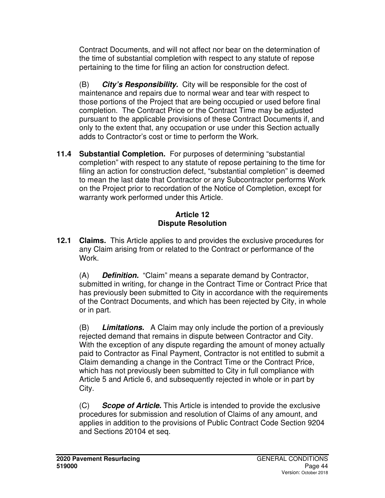Contract Documents, and will not affect nor bear on the determination of the time of substantial completion with respect to any statute of repose pertaining to the time for filing an action for construction defect.

(B) **City's Responsibility.** City will be responsible for the cost of maintenance and repairs due to normal wear and tear with respect to those portions of the Project that are being occupied or used before final completion. The Contract Price or the Contract Time may be adjusted pursuant to the applicable provisions of these Contract Documents if, and only to the extent that, any occupation or use under this Section actually adds to Contractor's cost or time to perform the Work.

**11.4 Substantial Completion.** For purposes of determining "substantial completion" with respect to any statute of repose pertaining to the time for filing an action for construction defect, "substantial completion" is deemed to mean the last date that Contractor or any Subcontractor performs Work on the Project prior to recordation of the Notice of Completion, except for warranty work performed under this Article.

### **Article 12 Dispute Resolution**

**12.1 Claims.** This Article applies to and provides the exclusive procedures for any Claim arising from or related to the Contract or performance of the Work.

(A) **Definition.** "Claim" means a separate demand by Contractor, submitted in writing, for change in the Contract Time or Contract Price that has previously been submitted to City in accordance with the requirements of the Contract Documents, and which has been rejected by City, in whole or in part.

(B) **Limitations.** A Claim may only include the portion of a previously rejected demand that remains in dispute between Contractor and City. With the exception of any dispute regarding the amount of money actually paid to Contractor as Final Payment, Contractor is not entitled to submit a Claim demanding a change in the Contract Time or the Contract Price, which has not previously been submitted to City in full compliance with Article 5 and Article 6, and subsequently rejected in whole or in part by City.

(C) **Scope of Article.** This Article is intended to provide the exclusive procedures for submission and resolution of Claims of any amount, and applies in addition to the provisions of Public Contract Code Section 9204 and Sections 20104 et seq.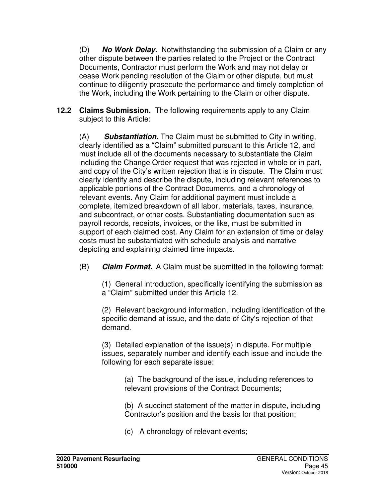(D) **No Work Delay.** Notwithstanding the submission of a Claim or any other dispute between the parties related to the Project or the Contract Documents, Contractor must perform the Work and may not delay or cease Work pending resolution of the Claim or other dispute, but must continue to diligently prosecute the performance and timely completion of the Work, including the Work pertaining to the Claim or other dispute.

**12.2 Claims Submission.** The following requirements apply to any Claim subject to this Article:

(A) **Substantiation.** The Claim must be submitted to City in writing, clearly identified as a "Claim" submitted pursuant to this Article 12, and must include all of the documents necessary to substantiate the Claim including the Change Order request that was rejected in whole or in part, and copy of the City's written rejection that is in dispute. The Claim must clearly identify and describe the dispute, including relevant references to applicable portions of the Contract Documents, and a chronology of relevant events. Any Claim for additional payment must include a complete, itemized breakdown of all labor, materials, taxes, insurance, and subcontract, or other costs. Substantiating documentation such as payroll records, receipts, invoices, or the like, must be submitted in support of each claimed cost. Any Claim for an extension of time or delay costs must be substantiated with schedule analysis and narrative depicting and explaining claimed time impacts.

(B) **Claim Format.** A Claim must be submitted in the following format:

(1) General introduction, specifically identifying the submission as a "Claim" submitted under this Article 12.

(2) Relevant background information, including identification of the specific demand at issue, and the date of City's rejection of that demand.

(3) Detailed explanation of the issue(s) in dispute. For multiple issues, separately number and identify each issue and include the following for each separate issue:

> (a) The background of the issue, including references to relevant provisions of the Contract Documents;

(b) A succinct statement of the matter in dispute, including Contractor's position and the basis for that position;

(c) A chronology of relevant events;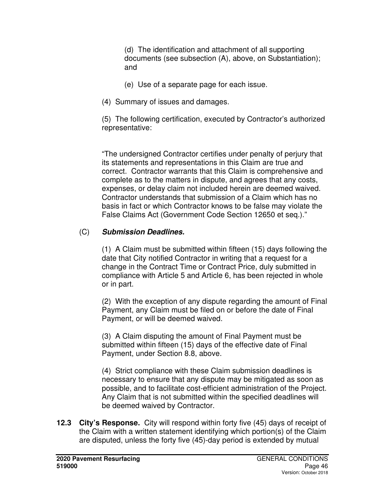(d) The identification and attachment of all supporting documents (see subsection (A), above, on Substantiation); and

- (e) Use of a separate page for each issue.
- (4) Summary of issues and damages.

(5) The following certification, executed by Contractor's authorized representative:

"The undersigned Contractor certifies under penalty of perjury that its statements and representations in this Claim are true and correct. Contractor warrants that this Claim is comprehensive and complete as to the matters in dispute, and agrees that any costs, expenses, or delay claim not included herein are deemed waived. Contractor understands that submission of a Claim which has no basis in fact or which Contractor knows to be false may violate the False Claims Act (Government Code Section 12650 et seq.)."

## (C) **Submission Deadlines.**

(1) A Claim must be submitted within fifteen (15) days following the date that City notified Contractor in writing that a request for a change in the Contract Time or Contract Price, duly submitted in compliance with Article 5 and Article 6, has been rejected in whole or in part.

(2) With the exception of any dispute regarding the amount of Final Payment, any Claim must be filed on or before the date of Final Payment, or will be deemed waived.

(3) A Claim disputing the amount of Final Payment must be submitted within fifteen (15) days of the effective date of Final Payment, under Section 8.8, above.

(4) Strict compliance with these Claim submission deadlines is necessary to ensure that any dispute may be mitigated as soon as possible, and to facilitate cost-efficient administration of the Project. Any Claim that is not submitted within the specified deadlines will be deemed waived by Contractor.

**12.3 City's Response.** City will respond within forty five (45) days of receipt of the Claim with a written statement identifying which portion(s) of the Claim are disputed, unless the forty five (45)-day period is extended by mutual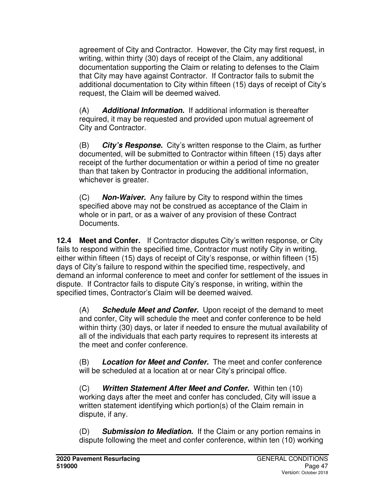agreement of City and Contractor. However, the City may first request, in writing, within thirty (30) days of receipt of the Claim, any additional documentation supporting the Claim or relating to defenses to the Claim that City may have against Contractor. If Contractor fails to submit the additional documentation to City within fifteen (15) days of receipt of City's request, the Claim will be deemed waived.

(A) **Additional Information.** If additional information is thereafter required, it may be requested and provided upon mutual agreement of City and Contractor.

(B) **City's Response.** City's written response to the Claim, as further documented, will be submitted to Contractor within fifteen (15) days after receipt of the further documentation or within a period of time no greater than that taken by Contractor in producing the additional information, whichever is greater.

(C) **Non-Waiver.** Any failure by City to respond within the times specified above may not be construed as acceptance of the Claim in whole or in part, or as a waiver of any provision of these Contract Documents.

**12.4 Meet and Confer.** If Contractor disputes City's written response, or City fails to respond within the specified time, Contractor must notify City in writing, either within fifteen (15) days of receipt of City's response, or within fifteen (15) days of City's failure to respond within the specified time, respectively, and demand an informal conference to meet and confer for settlement of the issues in dispute. If Contractor fails to dispute City's response, in writing, within the specified times, Contractor's Claim will be deemed waived.

(A) **Schedule Meet and Confer.** Upon receipt of the demand to meet and confer, City will schedule the meet and confer conference to be held within thirty (30) days, or later if needed to ensure the mutual availability of all of the individuals that each party requires to represent its interests at the meet and confer conference.

(B) **Location for Meet and Confer.** The meet and confer conference will be scheduled at a location at or near City's principal office.

(C) **Written Statement After Meet and Confer.** Within ten (10) working days after the meet and confer has concluded, City will issue a written statement identifying which portion(s) of the Claim remain in dispute, if any.

(D) **Submission to Mediation.** If the Claim or any portion remains in dispute following the meet and confer conference, within ten (10) working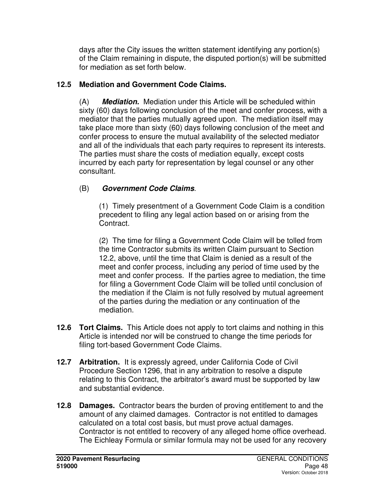days after the City issues the written statement identifying any portion(s) of the Claim remaining in dispute, the disputed portion(s) will be submitted for mediation as set forth below.

## **12.5 Mediation and Government Code Claims.**

(A) **Mediation.** Mediation under this Article will be scheduled within sixty (60) days following conclusion of the meet and confer process, with a mediator that the parties mutually agreed upon. The mediation itself may take place more than sixty (60) days following conclusion of the meet and confer process to ensure the mutual availability of the selected mediator and all of the individuals that each party requires to represent its interests. The parties must share the costs of mediation equally, except costs incurred by each party for representation by legal counsel or any other consultant.

## (B) **Government Code Claims**.

(1)Timely presentment of a Government Code Claim is a condition precedent to filing any legal action based on or arising from the Contract.

(2) The time for filing a Government Code Claim will be tolled from the time Contractor submits its written Claim pursuant to Section 12.2, above, until the time that Claim is denied as a result of the meet and confer process, including any period of time used by the meet and confer process. If the parties agree to mediation, the time for filing a Government Code Claim will be tolled until conclusion of the mediation if the Claim is not fully resolved by mutual agreement of the parties during the mediation or any continuation of the mediation.

- **12.6 Tort Claims.** This Article does not apply to tort claims and nothing in this Article is intended nor will be construed to change the time periods for filing tort-based Government Code Claims.
- **12.7 Arbitration.** It is expressly agreed, under California Code of Civil Procedure Section 1296, that in any arbitration to resolve a dispute relating to this Contract, the arbitrator's award must be supported by law and substantial evidence.
- **12.8 Damages.** Contractor bears the burden of proving entitlement to and the amount of any claimed damages. Contractor is not entitled to damages calculated on a total cost basis, but must prove actual damages. Contractor is not entitled to recovery of any alleged home office overhead. The Eichleay Formula or similar formula may not be used for any recovery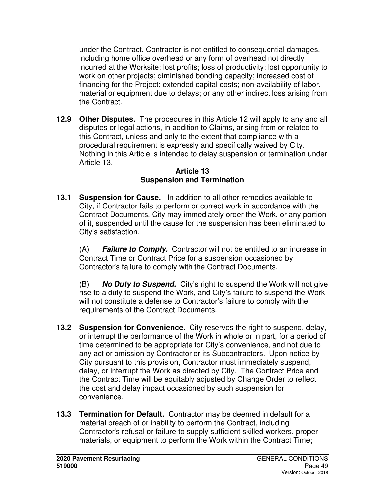under the Contract. Contractor is not entitled to consequential damages, including home office overhead or any form of overhead not directly incurred at the Worksite; lost profits; loss of productivity; lost opportunity to work on other projects; diminished bonding capacity; increased cost of financing for the Project; extended capital costs; non-availability of labor, material or equipment due to delays; or any other indirect loss arising from the Contract.

**12.9 Other Disputes.** The procedures in this Article 12 will apply to any and all disputes or legal actions, in addition to Claims, arising from or related to this Contract, unless and only to the extent that compliance with a procedural requirement is expressly and specifically waived by City. Nothing in this Article is intended to delay suspension or termination under Article 13.

#### **Article 13 Suspension and Termination**

**13.1 Suspension for Cause.** In addition to all other remedies available to City, if Contractor fails to perform or correct work in accordance with the Contract Documents, City may immediately order the Work, or any portion of it, suspended until the cause for the suspension has been eliminated to City's satisfaction.

(A) **Failure to Comply.** Contractor will not be entitled to an increase in Contract Time or Contract Price for a suspension occasioned by Contractor's failure to comply with the Contract Documents.

(B) **No Duty to Suspend.** City's right to suspend the Work will not give rise to a duty to suspend the Work, and City's failure to suspend the Work will not constitute a defense to Contractor's failure to comply with the requirements of the Contract Documents.

- **13.2 Suspension for Convenience.** City reserves the right to suspend, delay, or interrupt the performance of the Work in whole or in part, for a period of time determined to be appropriate for City's convenience, and not due to any act or omission by Contractor or its Subcontractors. Upon notice by City pursuant to this provision, Contractor must immediately suspend, delay, or interrupt the Work as directed by City. The Contract Price and the Contract Time will be equitably adjusted by Change Order to reflect the cost and delay impact occasioned by such suspension for convenience.
- **13.3 Termination for Default.** Contractor may be deemed in default for a material breach of or inability to perform the Contract, including Contractor's refusal or failure to supply sufficient skilled workers, proper materials, or equipment to perform the Work within the Contract Time;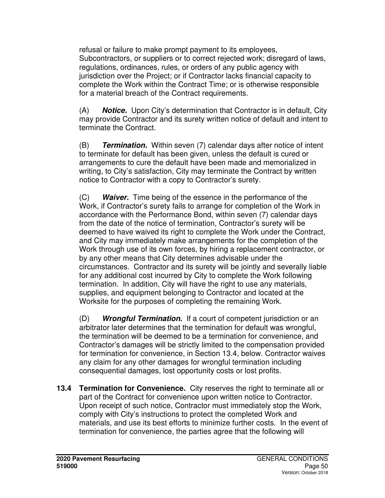refusal or failure to make prompt payment to its employees, Subcontractors, or suppliers or to correct rejected work; disregard of laws, regulations, ordinances, rules, or orders of any public agency with jurisdiction over the Project; or if Contractor lacks financial capacity to complete the Work within the Contract Time; or is otherwise responsible for a material breach of the Contract requirements.

(A) **Notice.** Upon City's determination that Contractor is in default, City may provide Contractor and its surety written notice of default and intent to terminate the Contract.

(B) **Termination.** Within seven (7) calendar days after notice of intent to terminate for default has been given, unless the default is cured or arrangements to cure the default have been made and memorialized in writing, to City's satisfaction, City may terminate the Contract by written notice to Contractor with a copy to Contractor's surety.

(C) **Waiver.** Time being of the essence in the performance of the Work, if Contractor's surety fails to arrange for completion of the Work in accordance with the Performance Bond, within seven (7) calendar days from the date of the notice of termination, Contractor's surety will be deemed to have waived its right to complete the Work under the Contract, and City may immediately make arrangements for the completion of the Work through use of its own forces, by hiring a replacement contractor, or by any other means that City determines advisable under the circumstances. Contractor and its surety will be jointly and severally liable for any additional cost incurred by City to complete the Work following termination. In addition, City will have the right to use any materials, supplies, and equipment belonging to Contractor and located at the Worksite for the purposes of completing the remaining Work.

(D) **Wrongful Termination.** If a court of competent jurisdiction or an arbitrator later determines that the termination for default was wrongful, the termination will be deemed to be a termination for convenience, and Contractor's damages will be strictly limited to the compensation provided for termination for convenience, in Section 13.4, below. Contractor waives any claim for any other damages for wrongful termination including consequential damages, lost opportunity costs or lost profits.

**13.4 Termination for Convenience.** City reserves the right to terminate all or part of the Contract for convenience upon written notice to Contractor. Upon receipt of such notice, Contractor must immediately stop the Work, comply with City's instructions to protect the completed Work and materials, and use its best efforts to minimize further costs. In the event of termination for convenience, the parties agree that the following will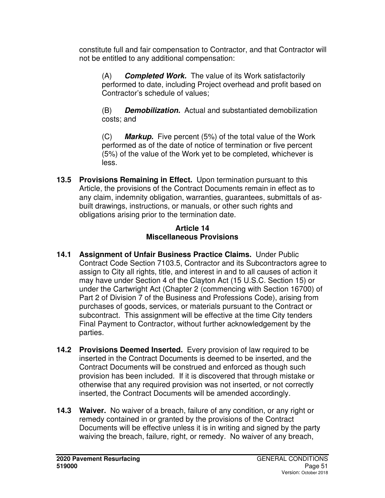constitute full and fair compensation to Contractor, and that Contractor will not be entitled to any additional compensation:

(A) **Completed Work.** The value of its Work satisfactorily performed to date, including Project overhead and profit based on Contractor's schedule of values;

(B) **Demobilization.** Actual and substantiated demobilization costs; and

(C) **Markup.** Five percent (5%) of the total value of the Work performed as of the date of notice of termination or five percent (5%) of the value of the Work yet to be completed, whichever is less.

**13.5 Provisions Remaining in Effect.** Upon termination pursuant to this Article, the provisions of the Contract Documents remain in effect as to any claim, indemnity obligation, warranties, guarantees, submittals of asbuilt drawings, instructions, or manuals, or other such rights and obligations arising prior to the termination date.

## **Article 14 Miscellaneous Provisions**

- **14.1 Assignment of Unfair Business Practice Claims.** Under Public Contract Code Section 7103.5, Contractor and its Subcontractors agree to assign to City all rights, title, and interest in and to all causes of action it may have under Section 4 of the Clayton Act (15 U.S.C. Section 15) or under the Cartwright Act (Chapter 2 (commencing with Section 16700) of Part 2 of Division 7 of the Business and Professions Code), arising from purchases of goods, services, or materials pursuant to the Contract or subcontract. This assignment will be effective at the time City tenders Final Payment to Contractor, without further acknowledgement by the parties.
- **14.2 Provisions Deemed Inserted.** Every provision of law required to be inserted in the Contract Documents is deemed to be inserted, and the Contract Documents will be construed and enforced as though such provision has been included. If it is discovered that through mistake or otherwise that any required provision was not inserted, or not correctly inserted, the Contract Documents will be amended accordingly.
- **14.3 Waiver.** No waiver of a breach, failure of any condition, or any right or remedy contained in or granted by the provisions of the Contract Documents will be effective unless it is in writing and signed by the party waiving the breach, failure, right, or remedy. No waiver of any breach,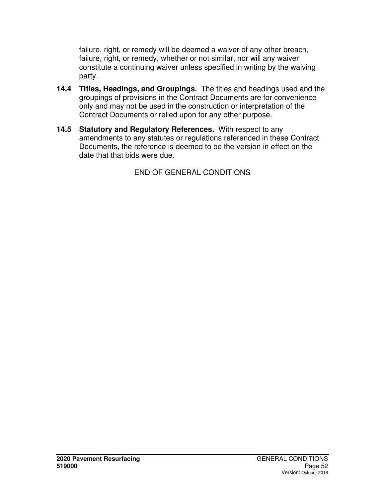failure, right, or remedy will be deemed a waiver of any other breach, failure, right, or remedy, whether or not similar, nor will any waiver constitute a continuing waiver unless specified in writing by the waiving party.

- **14.4 Titles, Headings, and Groupings.** The titles and headings used and the groupings of provisions in the Contract Documents are for convenience only and may not be used in the construction or interpretation of the Contract Documents or relied upon for any other purpose.
- **14.5 Statutory and Regulatory References.** With respect to any amendments to any statutes or regulations referenced in these Contract Documents, the reference is deemed to be the version in effect on the date that that bids were due.

END OF GENERAL CONDITIONS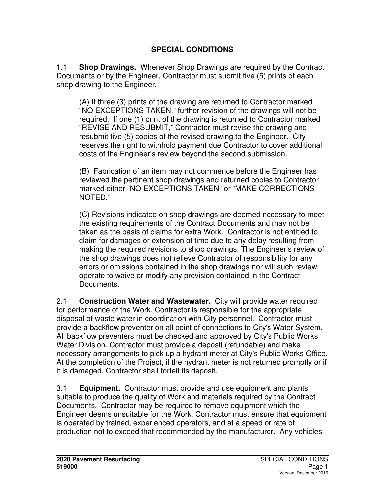## **SPECIAL CONDITIONS**

1.1 **Shop Drawings.** Whenever Shop Drawings are required by the Contract Documents or by the Engineer, Contractor must submit five (5) prints of each shop drawing to the Engineer.

(A) If three (3) prints of the drawing are returned to Contractor marked "NO EXCEPTIONS TAKEN," further revision of the drawings will not be required. If one (1) print of the drawing is returned to Contractor marked "REVISE AND RESUBMIT," Contractor must revise the drawing and resubmit five (5) copies of the revised drawing to the Engineer. City reserves the right to withhold payment due Contractor to cover additional costs of the Engineer's review beyond the second submission.

(B) Fabrication of an item may not commence before the Engineer has reviewed the pertinent shop drawings and returned copies to Contractor marked either "NO EXCEPTIONS TAKEN" or "MAKE CORRECTIONS NOTED."

(C) Revisions indicated on shop drawings are deemed necessary to meet the existing requirements of the Contract Documents and may not be taken as the basis of claims for extra Work. Contractor is not entitled to claim for damages or extension of time due to any delay resulting from making the required revisions to shop drawings. The Engineer's review of the shop drawings does not relieve Contractor of responsibility for any errors or omissions contained in the shop drawings nor will such review operate to waive or modify any provision contained in the Contract Documents.

2.1 **Construction Water and Wastewater.** City will provide water required for performance of the Work. Contractor is responsible for the appropriate disposal of waste water in coordination with City personnel. Contractor must provide a backflow preventer on all point of connections to City's Water System. All backflow preventers must be checked and approved by City's Public Works Water Division. Contractor must provide a deposit (refundable) and make necessary arrangements to pick up a hydrant meter at City's Public Works Office. At the completion of the Project, if the hydrant meter is not returned promptly or if it is damaged, Contractor shall forfeit its deposit.

3.1 **Equipment.** Contractor must provide and use equipment and plants suitable to produce the quality of Work and materials required by the Contract Documents. Contractor may be required to remove equipment which the Engineer deems unsuitable for the Work. Contractor must ensure that equipment is operated by trained, experienced operators, and at a speed or rate of production not to exceed that recommended by the manufacturer. Any vehicles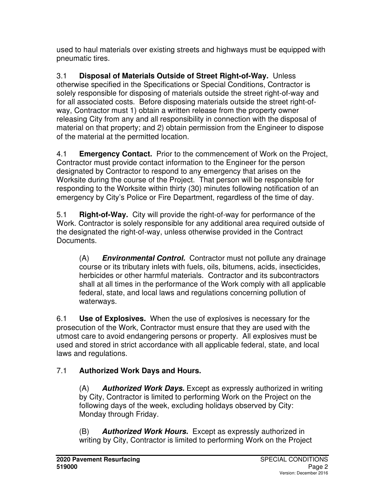used to haul materials over existing streets and highways must be equipped with pneumatic tires.

3.1 **Disposal of Materials Outside of Street Right-of-Way.** Unless otherwise specified in the Specifications or Special Conditions, Contractor is solely responsible for disposing of materials outside the street right-of-way and for all associated costs. Before disposing materials outside the street right-ofway, Contractor must 1) obtain a written release from the property owner releasing City from any and all responsibility in connection with the disposal of material on that property; and 2) obtain permission from the Engineer to dispose of the material at the permitted location.

4.1 **Emergency Contact.** Prior to the commencement of Work on the Project, Contractor must provide contact information to the Engineer for the person designated by Contractor to respond to any emergency that arises on the Worksite during the course of the Project. That person will be responsible for responding to the Worksite within thirty (30) minutes following notification of an emergency by City's Police or Fire Department, regardless of the time of day.

5.1 **Right-of-Way.** City will provide the right-of-way for performance of the Work. Contractor is solely responsible for any additional area required outside of the designated the right-of-way, unless otherwise provided in the Contract Documents.

(A) **Environmental Control.** Contractor must not pollute any drainage course or its tributary inlets with fuels, oils, bitumens, acids, insecticides, herbicides or other harmful materials. Contractor and its subcontractors shall at all times in the performance of the Work comply with all applicable federal, state, and local laws and regulations concerning pollution of waterways.

6.1 **Use of Explosives.** When the use of explosives is necessary for the prosecution of the Work, Contractor must ensure that they are used with the utmost care to avoid endangering persons or property. All explosives must be used and stored in strict accordance with all applicable federal, state, and local laws and regulations.

# 7.1 **Authorized Work Days and Hours.**

(A) **Authorized Work Days.** Except as expressly authorized in writing by City, Contractor is limited to performing Work on the Project on the following days of the week, excluding holidays observed by City: Monday through Friday.

(B) **Authorized Work Hours.** Except as expressly authorized in writing by City, Contractor is limited to performing Work on the Project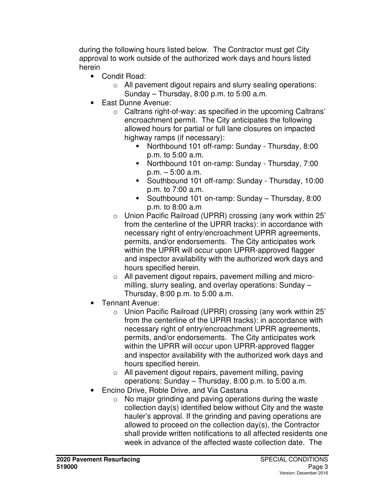during the following hours listed below. The Contractor must get City approval to work outside of the authorized work days and hours listed herein

- Condit Road:
	- o All pavement digout repairs and slurry sealing operations: Sunday – Thursday, 8:00 p.m. to 5:00 a.m.
- East Dunne Avenue:
	- o Caltrans right-of-way: as specified in the upcoming Caltrans' encroachment permit. The City anticipates the following allowed hours for partial or full lane closures on impacted highway ramps (if necessary):
		- Northbound 101 off-ramp: Sunday Thursday, 8:00 p.m. to 5:00 a.m.
		- Northbound 101 on-ramp: Sunday Thursday, 7:00 p.m. – 5:00 a.m.
		- Southbound 101 off-ramp: Sunday Thursday, 10:00 p.m. to 7:00 a.m.
		- Southbound 101 on-ramp: Sunday Thursday, 8:00 p.m. to 8:00 a.m
	- o Union Pacific Railroad (UPRR) crossing (any work within 25' from the centerline of the UPRR tracks): in accordance with necessary right of entry/encroachment UPRR agreements, permits, and/or endorsements. The City anticipates work within the UPRR will occur upon UPRR-approved flagger and inspector availability with the authorized work days and hours specified herein.
	- o All pavement digout repairs, pavement milling and micromilling, slurry sealing, and overlay operations: Sunday – Thursday, 8:00 p.m. to 5:00 a.m.
- Tennant Avenue:
	- o Union Pacific Railroad (UPRR) crossing (any work within 25' from the centerline of the UPRR tracks): in accordance with necessary right of entry/encroachment UPRR agreements, permits, and/or endorsements. The City anticipates work within the UPRR will occur upon UPRR-approved flagger and inspector availability with the authorized work days and hours specified herein.
	- o All pavement digout repairs, pavement milling, paving operations: Sunday – Thursday, 8:00 p.m. to 5:00 a.m.
- Encino Drive, Roble Drive, and Via Castana
	- $\circ$  No major grinding and paving operations during the waste collection day(s) identified below without City and the waste hauler's approval. If the grinding and paving operations are allowed to proceed on the collection day(s), the Contractor shall provide written notifications to all affected residents one week in advance of the affected waste collection date. The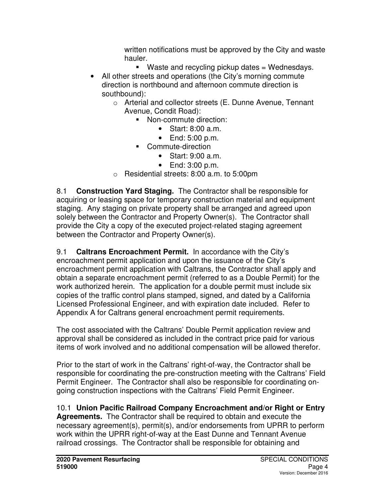written notifications must be approved by the City and waste hauler.

- Waste and recycling pickup dates  $=$  Wednesdays.
- All other streets and operations (the City's morning commute direction is northbound and afternoon commute direction is southbound):
	- o Arterial and collector streets (E. Dunne Avenue, Tennant Avenue, Condit Road):
		- **Non-commute direction:** 
			- Start: 8:00 a.m.
			- End: 5:00 p.m.
		- Commute-direction
			- Start: 9:00 a.m.
			- End: 3:00 p.m.
	- o Residential streets: 8:00 a.m. to 5:00pm

8.1 **Construction Yard Staging.** The Contractor shall be responsible for acquiring or leasing space for temporary construction material and equipment staging. Any staging on private property shall be arranged and agreed upon solely between the Contractor and Property Owner(s). The Contractor shall provide the City a copy of the executed project-related staging agreement between the Contractor and Property Owner(s).

9.1 **Caltrans Encroachment Permit.** In accordance with the City's encroachment permit application and upon the issuance of the City's encroachment permit application with Caltrans, the Contractor shall apply and obtain a separate encroachment permit (referred to as a Double Permit) for the work authorized herein. The application for a double permit must include six copies of the traffic control plans stamped, signed, and dated by a California Licensed Professional Engineer, and with expiration date included. Refer to Appendix A for Caltrans general encroachment permit requirements.

The cost associated with the Caltrans' Double Permit application review and approval shall be considered as included in the contract price paid for various items of work involved and no additional compensation will be allowed therefor.

Prior to the start of work in the Caltrans' right-of-way, the Contractor shall be responsible for coordinating the pre-construction meeting with the Caltrans' Field Permit Engineer. The Contractor shall also be responsible for coordinating ongoing construction inspections with the Caltrans' Field Permit Engineer.

10.1 **Union Pacific Railroad Company Encroachment and/or Right or Entry Agreements.** The Contractor shall be required to obtain and execute the necessary agreement(s), permit(s), and/or endorsements from UPRR to perform work within the UPRR right-of-way at the East Dunne and Tennant Avenue railroad crossings. The Contractor shall be responsible for obtaining and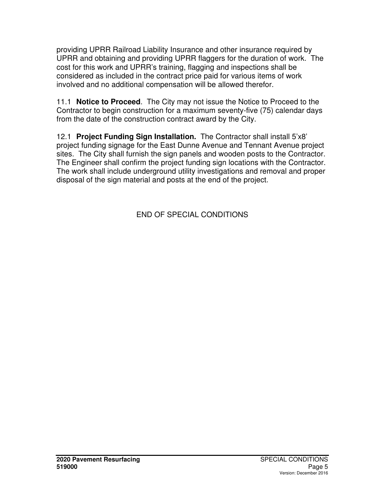providing UPRR Railroad Liability Insurance and other insurance required by UPRR and obtaining and providing UPRR flaggers for the duration of work. The cost for this work and UPRR's training, flagging and inspections shall be considered as included in the contract price paid for various items of work involved and no additional compensation will be allowed therefor.

11.1 **Notice to Proceed**.The City may not issue the Notice to Proceed to the Contractor to begin construction for a maximum seventy-five (75) calendar days from the date of the construction contract award by the City.

12.1 **Project Funding Sign Installation.** The Contractor shall install 5'x8' project funding signage for the East Dunne Avenue and Tennant Avenue project sites. The City shall furnish the sign panels and wooden posts to the Contractor. The Engineer shall confirm the project funding sign locations with the Contractor. The work shall include underground utility investigations and removal and proper disposal of the sign material and posts at the end of the project.

END OF SPECIAL CONDITIONS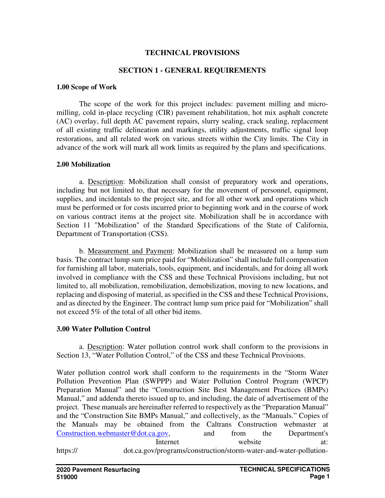#### **TECHNICAL PROVISIONS**

#### **SECTION 1 - GENERAL REQUIREMENTS**

#### **1.00 Scope of Work**

The scope of the work for this project includes: pavement milling and micromilling, cold in-place recycling (CIR) pavement rehabilitation, hot mix asphalt concrete (AC) overlay, full depth AC pavement repairs, slurry sealing, crack sealing, replacement of all existing traffic delineation and markings, utility adjustments, traffic signal loop restorations, and all related work on various streets within the City limits. The City in advance of the work will mark all work limits as required by the plans and specifications.

#### **2.00 Mobilization**

a. Description: Mobilization shall consist of preparatory work and operations, including but not limited to, that necessary for the movement of personnel, equipment, supplies, and incidentals to the project site, and for all other work and operations which must be performed or for costs incurred prior to beginning work and in the course of work on various contract items at the project site. Mobilization shall be in accordance with Section 11 "Mobilization" of the Standard Specifications of the State of California, Department of Transportation (CSS).

b. Measurement and Payment: Mobilization shall be measured on a lump sum basis. The contract lump sum price paid for "Mobilization" shall include full compensation for furnishing all labor, materials, tools, equipment, and incidentals, and for doing all work involved in compliance with the CSS and these Technical Provisions including, but not limited to, all mobilization, remobilization, demobilization, moving to new locations, and replacing and disposing of material, as specified in the CSS and these Technical Provisions, and as directed by the Engineer. The contract lump sum price paid for "Mobilization" shall not exceed 5% of the total of all other bid items.

#### **3.00 Water Pollution Control**

a. Description: Water pollution control work shall conform to the provisions in Section 13, "Water Pollution Control," of the CSS and these Technical Provisions.

Water pollution control work shall conform to the requirements in the "Storm Water Pollution Prevention Plan (SWPPP) and Water Pollution Control Program (WPCP) Preparation Manual" and the "Construction Site Best Management Practices (BMPs) Manual," and addenda thereto issued up to, and including, the date of advertisement of the project. These manuals are hereinafter referred to respectively as the "Preparation Manual" and the "Construction Site BMPs Manual," and collectively, as the "Manuals." Copies of the Manuals may be obtained from the Caltrans Construction webmaster at Construction.webmaster@dot.ca.gov, and from the Department's Internet website at: https:// dot.ca.gov/programs/construction/storm-water-and-water-pollution-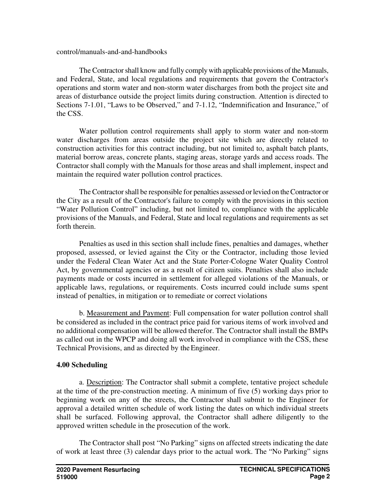#### control/manuals-and-and-handbooks

The Contractor shall know and fully comply with applicable provisions of the Manuals, and Federal, State, and local regulations and requirements that govern the Contractor's operations and storm water and non-storm water discharges from both the project site and areas of disturbance outside the project limits during construction. Attention is directed to Sections 7-1.01, "Laws to be Observed," and 7-1.12, "Indemnification and Insurance," of the CSS.

Water pollution control requirements shall apply to storm water and non-storm water discharges from areas outside the project site which are directly related to construction activities for this contract including, but not limited to, asphalt batch plants, material borrow areas, concrete plants, staging areas, storage yards and access roads. The Contractor shall comply with the Manuals for those areas and shall implement, inspect and maintain the required water pollution control practices.

The Contractor shall be responsible for penalties assessed or levied on the Contractor or the City as a result of the Contractor's failure to comply with the provisions in this section "Water Pollution Control" including, but not limited to, compliance with the applicable provisions of the Manuals, and Federal, State and local regulations and requirements as set forth therein.

Penalties as used in this section shall include fines, penalties and damages, whether proposed, assessed, or levied against the City or the Contractor, including those levied under the Federal Clean Water Act and the State Porter-Cologne Water Quality Control Act, by governmental agencies or as a result of citizen suits. Penalties shall also include payments made or costs incurred in settlement for alleged violations of the Manuals, or applicable laws, regulations, or requirements. Costs incurred could include sums spent instead of penalties, in mitigation or to remediate or correct violations

b. Measurement and Payment: Full compensation for water pollution control shall be considered as included in the contract price paid for various items of work involved and no additional compensation will be allowed therefor. The Contractor shall install the BMPs as called out in the WPCP and doing all work involved in compliance with the CSS, these Technical Provisions, and as directed by the Engineer.

#### **4.00 Scheduling**

a. Description: The Contractor shall submit a complete, tentative project schedule at the time of the pre-construction meeting. A minimum of five (5) working days prior to beginning work on any of the streets, the Contractor shall submit to the Engineer for approval a detailed written schedule of work listing the dates on which individual streets shall be surfaced. Following approval, the Contractor shall adhere diligently to the approved written schedule in the prosecution of the work.

The Contractor shall post "No Parking" signs on affected streets indicating the date of work at least three (3) calendar days prior to the actual work. The "No Parking" signs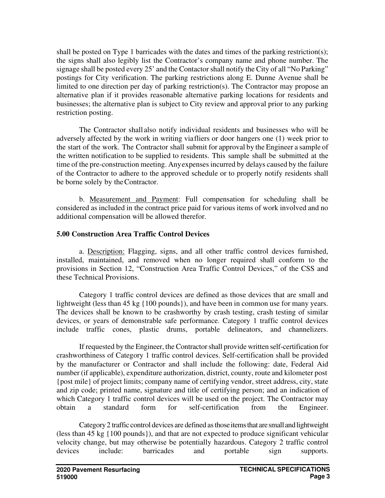shall be posted on Type 1 barricades with the dates and times of the parking restriction(s); the signs shall also legibly list the Contractor's company name and phone number. The signage shall be posted every 25' and the Contactor shall notify the City of all "No Parking" postings for City verification. The parking restrictions along E. Dunne Avenue shall be limited to one direction per day of parking restriction(s). The Contractor may propose an alternative plan if it provides reasonable alternative parking locations for residents and businesses; the alternative plan is subject to City review and approval prior to any parking restriction posting.

The Contractor shall also notify individual residents and businesses who will be adversely affected by the work in writing via fliers or door hangers one (1) week prior to the start of the work. The Contractor shall submit for approval by the Engineer a sample of the written notification to be supplied to residents. This sample shall be submitted at the time of the pre-construction meeting. Any expenses incurred by delays caused by the failure of the Contractor to adhere to the approved schedule or to properly notify residents shall be borne solely by the Contractor.

b. Measurement and Payment: Full compensation for scheduling shall be considered as included in the contract price paid for various items of work involved and no additional compensation will be allowed therefor.

#### **5.00 Construction Area Traffic Control Devices**

a. Description: Flagging, signs, and all other traffic control devices furnished, installed, maintained, and removed when no longer required shall conform to the provisions in Section 12, "Construction Area Traffic Control Devices," of the CSS and these Technical Provisions.

Category 1 traffic control devices are defined as those devices that are small and lightweight (less than 45 kg {100 pounds}), and have been in common use for many years. The devices shall be known to be crashworthy by crash testing, crash testing of similar devices, or years of demonstrable safe performance. Category 1 traffic control devices include traffic cones, plastic drums, portable delineators, and channelizers.

If requested by the Engineer, the Contractor shall provide written self-certification for crashworthiness of Category 1 traffic control devices. Self-certification shall be provided by the manufacturer or Contractor and shall include the following: date, Federal Aid number (if applicable), expenditure authorization, district, county, route and kilometer post {post mile} of project limits; company name of certifying vendor, street address, city, state and zip code; printed name, signature and title of certifying person; and an indication of which Category 1 traffic control devices will be used on the project. The Contractor may obtain a standard form for self-certification from the Engineer.

Category 2 traffic control devices are defined as those items that are small and lightweight (less than 45 kg {100 pounds}), and that are not expected to produce significant vehicular velocity change, but may otherwise be potentially hazardous. Category 2 traffic control devices include: barricades and portable sign supports.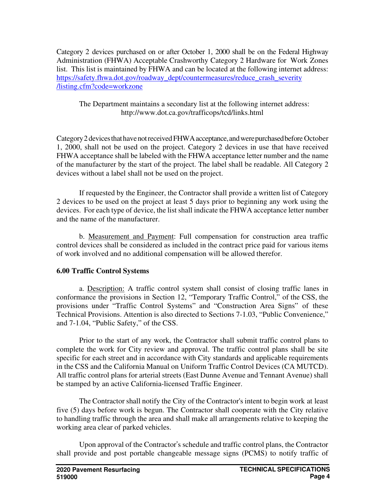Category 2 devices purchased on or after October 1, 2000 shall be on the Federal Highway Administration (FHWA) Acceptable Crashworthy Category 2 Hardware for Work Zones list. This list is maintained by FHWA and can be located at the following internet address: https://safety.fhwa.dot.gov/roadway\_dept/countermeasures/reduce\_crash\_severity /listing.cfm?code=workzone

The Department maintains a secondary list at the following internet address: http://www.dot.ca.gov/trafficops/tcd/links.html

Category 2 devices that have not received FHWA acceptance, and were purchased before October 1, 2000, shall not be used on the project. Category 2 devices in use that have received FHWA acceptance shall be labeled with the FHWA acceptance letter number and the name of the manufacturer by the start of the project. The label shall be readable. All Category 2 devices without a label shall not be used on the project.

If requested by the Engineer, the Contractor shall provide a written list of Category 2 devices to be used on the project at least 5 days prior to beginning any work using the devices. For each type of device, the list shall indicate the FHWA acceptance letter number and the name of the manufacturer.

b. Measurement and Payment: Full compensation for construction area traffic control devices shall be considered as included in the contract price paid for various items of work involved and no additional compensation will be allowed therefor.

#### **6.00 Traffic Control Systems**

a. Description: A traffic control system shall consist of closing traffic lanes in conformance the provisions in Section 12, "Temporary Traffic Control," of the CSS, the provisions under "Traffic Control Systems" and "Construction Area Signs" of these Technical Provisions. Attention is also directed to Sections 7-1.03, "Public Convenience," and 7-1.04, "Public Safety," of the CSS.

Prior to the start of any work, the Contractor shall submit traffic control plans to complete the work for City review and approval. The traffic control plans shall be site specific for each street and in accordance with City standards and applicable requirements in the CSS and the California Manual on Uniform Traffic Control Devices (CA MUTCD). All traffic control plans for arterial streets (East Dunne Avenue and Tennant Avenue) shall be stamped by an active California-licensed Traffic Engineer.

The Contractor shall notify the City of the Contractor's intent to begin work at least five (5) days before work is begun. The Contractor shall cooperate with the City relative to handling traffic through the area and shall make all arrangements relative to keeping the working area clear of parked vehicles.

Upon approval of the Contractor's schedule and traffic control plans, the Contractor shall provide and post portable changeable message signs (PCMS) to notify traffic of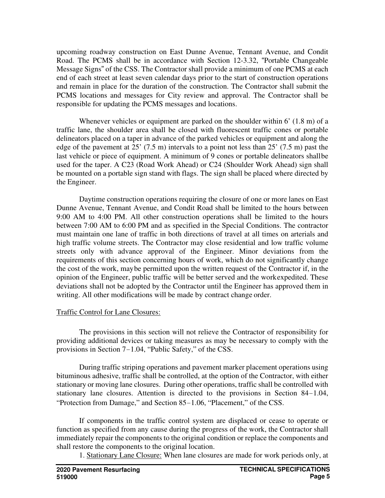upcoming roadway construction on East Dunne Avenue, Tennant Avenue, and Condit Road. The PCMS shall be in accordance with Section 12-3.32, "Portable Changeable Message Signs" of the CSS. The Contractor shall provide a minimum of one PCMS at each end of each street at least seven calendar days prior to the start of construction operations and remain in place for the duration of the construction. The Contractor shall submit the PCMS locations and messages for City review and approval. The Contractor shall be responsible for updating the PCMS messages and locations.

Whenever vehicles or equipment are parked on the shoulder within 6' (1.8 m) of a traffic lane, the shoulder area shall be closed with fluorescent traffic cones or portable delineators placed on a taper in advance of the parked vehicles or equipment and along the edge of the pavement at 25' (7.5 m) intervals to a point not less than 25' (7.5 m) past the last vehicle or piece of equipment. A minimum of 9 cones or portable delineators shall be used for the taper. A C23 (Road Work Ahead) or C24 (Shoulder Work Ahead) sign shall be mounted on a portable sign stand with flags. The sign shall be placed where directed by the Engineer.

Daytime construction operations requiring the closure of one or more lanes on East Dunne Avenue, Tennant Avenue, and Condit Road shall be limited to the hours between 9:00 AM to 4:00 PM. All other construction operations shall be limited to the hours between 7:00 AM to 6:00 PM and as specified in the Special Conditions. The contractor must maintain one lane of traffic in both directions of travel at all times on arterials and high traffic volume streets. The Contractor may close residential and low traffic volume streets only with advance approval of the Engineer. Minor deviations from the requirements of this section concerning hours of work, which do not significantly change the cost of the work, may be permitted upon the written request of the Contractor if, in the opinion of the Engineer, public traffic will be better served and the work expedited. These deviations shall not be adopted by the Contractor until the Engineer has approved them in writing. All other modifications will be made by contract change order.

#### Traffic Control for Lane Closures:

The provisions in this section will not relieve the Contractor of responsibility for providing additional devices or taking measures as may be necessary to comply with the provisions in Section 7-1.04, "Public Safety," of the CSS.

During traffic striping operations and pavement marker placement operations using bituminous adhesive, traffic shall be controlled, at the option of the Contractor, with either stationary or moving lane closures. During other operations, traffic shall be controlled with stationary lane closures. Attention is directed to the provisions in Section 84-1.04, "Protection from Damage," and Section 85-1.06, "Placement," of the CSS.

If components in the traffic control system are displaced or cease to operate or function as specified from any cause during the progress of the work, the Contractor shall immediately repair the components to the original condition or replace the components and shall restore the components to the original location.

1. Stationary Lane Closure: When lane closures are made for work periods only, at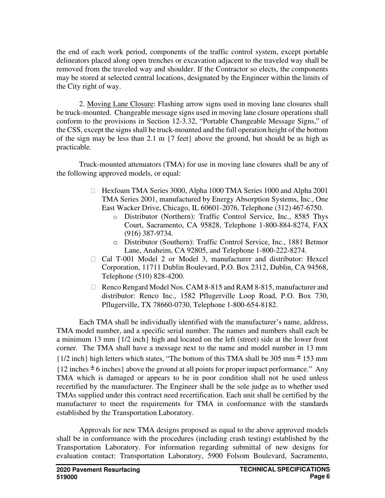the end of each work period, components of the traffic control system, except portable delineators placed along open trenches or excavation adjacent to the traveled way shall be removed from the traveled way and shoulder. If the Contractor so elects, the components may be stored at selected central locations, designated by the Engineer within the limits of the City right of way.

2. Moving Lane Closure: Flashing arrow signs used in moving lane closures shall be truck-mounted. Changeable message signs used in moving lane closure operations shall conform to the provisions in Section 12-3.32, "Portable Changeable Message Signs," of the CSS, except the signs shall be truck-mounted and the full operation height of the bottom of the sign may be less than 2.1 m {7 feet} above the ground, but should be as high as practicable.

Truck-mounted attenuators (TMA) for use in moving lane closures shall be any of the following approved models, or equal:

> Hexfoam TMA Series 3000, Alpha 1000 TMA Series 1000 and Alpha 2001 TMA Series 2001, manufactured by Energy Absorption Systems, Inc., One East Wacker Drive, Chicago, IL 60601-2076, Telephone (312) 467-6750.

- o Distributor (Northern): Traffic Control Service, Inc., 8585 Thys Court, Sacramento, CA 95828, Telephone 1-800-884-8274, FAX (916) 387-9734.
- o Distributor (Southern): Traffic Control Service, Inc., 1881 Betmor Lane, Anaheim, CA 92805, and Telephone 1-800-222-8274.

 Cal T-001 Model 2 or Model 3, manufacturer and distributor: Hexcel Corporation, 11711 Dublin Boulevard, P.O. Box 2312, Dublin, CA 94568, Telephone (510) 828-4200.

 Renco Rengard Model Nos. CAM 8-815 and RAM 8-815, manufacturer and distributor: Renco Inc., 1582 Pflugerville Loop Road, P.O. Box 730, Pflugerville, TX 78660-0730, Telephone 1-800-654-8182.

Each TMA shall be individually identified with the manufacturer's name, address, TMA model number, and a specific serial number. The names and numbers shall each be a minimum 13 mm {1/2 inch} high and located on the left (street) side at the lower front corner. The TMA shall have a message next to the name and model number in 13 mm  ${1/2}$  inch} high letters which states, "The bottom of this TMA shall be 305 mm  $\pm$  153 mm  ${12}$  inches  $\pm$  6 inches above the ground at all points for proper impact performance." Any TMA which is damaged or appears to be in poor condition shall not be used unless recertified by the manufacturer. The Engineer shall be the sole judge as to whether used TMAs supplied under this contract need recertification. Each unit shall be certified by the manufacturer to meet the requirements for TMA in conformance with the standards established by the Transportation Laboratory.

Approvals for new TMA designs proposed as equal to the above approved models shall be in conformance with the procedures (including crash testing) established by the Transportation Laboratory. For information regarding submittal of new designs for evaluation contact: Transportation Laboratory, 5900 Folsom Boulevard, Sacramento,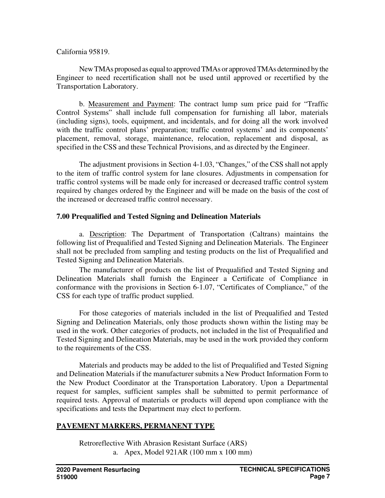#### California 95819.

New TMAs proposed as equal to approved TMAs or approved TMAs determined by the Engineer to need recertification shall not be used until approved or recertified by the Transportation Laboratory.

b. Measurement and Payment: The contract lump sum price paid for "Traffic Control Systems" shall include full compensation for furnishing all labor, materials (including signs), tools, equipment, and incidentals, and for doing all the work involved with the traffic control plans' preparation; traffic control systems' and its components' placement, removal, storage, maintenance, relocation, replacement and disposal, as specified in the CSS and these Technical Provisions, and as directed by the Engineer.

The adjustment provisions in Section 4-1.03, "Changes," of the CSS shall not apply to the item of traffic control system for lane closures. Adjustments in compensation for traffic control systems will be made only for increased or decreased traffic control system required by changes ordered by the Engineer and will be made on the basis of the cost of the increased or decreased traffic control necessary.

### **7.00 Prequalified and Tested Signing and Delineation Materials**

a. Description: The Department of Transportation (Caltrans) maintains the following list of Prequalified and Tested Signing and Delineation Materials. The Engineer shall not be precluded from sampling and testing products on the list of Prequalified and Tested Signing and Delineation Materials.

The manufacturer of products on the list of Prequalified and Tested Signing and Delineation Materials shall furnish the Engineer a Certificate of Compliance in conformance with the provisions in Section 6-1.07, "Certificates of Compliance," of the CSS for each type of traffic product supplied.

For those categories of materials included in the list of Prequalified and Tested Signing and Delineation Materials, only those products shown within the listing may be used in the work. Other categories of products, not included in the list of Prequalified and Tested Signing and Delineation Materials, may be used in the work provided they conform to the requirements of the CSS.

Materials and products may be added to the list of Prequalified and Tested Signing and Delineation Materials if the manufacturer submits a New Product Information Form to the New Product Coordinator at the Transportation Laboratory. Upon a Departmental request for samples, sufficient samples shall be submitted to permit performance of required tests. Approval of materials or products will depend upon compliance with the specifications and tests the Department may elect to perform.

### **PAVEMENT MARKERS, PERMANENT TYPE**

Retroreflective With Abrasion Resistant Surface (ARS) a. Apex, Model 921AR (100 mm x 100 mm)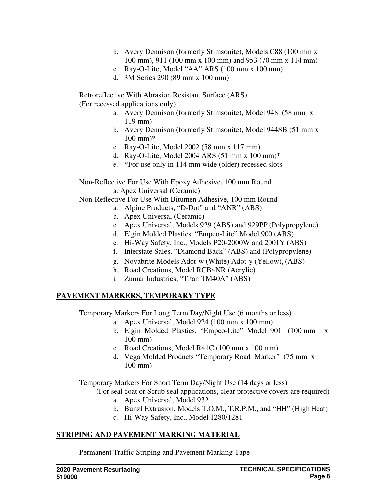- b. Avery Dennison (formerly Stimsonite), Models C88 (100 mm x 100 mm), 911 (100 mm x 100 mm) and 953 (70 mm x 114 mm)
- c. Ray-O-Lite, Model "AA" ARS (100 mm x 100 mm)
- d. 3M Series 290 (89 mm x 100 mm)

Retroreflective With Abrasion Resistant Surface (ARS) (For recessed applications only)

- a. Avery Dennison (formerly Stimsonite), Model 948 (58 mm x 119 mm)
- b. Avery Dennison (formerly Stimsonite), Model 944SB (51 mm x 100 mm)\*
- c. Ray-O-Lite, Model 2002 (58 mm x 117 mm)
- d. Ray-O-Lite, Model 2004 ARS (51 mm x 100 mm)\*
- e. \*For use only in 114 mm wide (older) recessed slots

Non-Reflective For Use With Epoxy Adhesive, 100 mm Round a. Apex Universal (Ceramic)

Non-Reflective For Use With Bitumen Adhesive, 100 mm Round

- a. Alpine Products, "D-Dot" and "ANR" (ABS)
- b. Apex Universal (Ceramic)
- c. Apex Universal, Models 929 (ABS) and 929PP (Polypropylene)
- d. Elgin Molded Plastics, "Empco-Lite" Model 900 (ABS)
- e. Hi-Way Safety, Inc., Models P20-2000W and 2001Y (ABS)
- f. Interstate Sales, "Diamond Back" (ABS) and (Polypropylene)
- g. Novabrite Models Adot-w (White) Adot-y (Yellow), (ABS)
- h. Road Creations, Model RCB4NR (Acrylic)
- i. Zumar Industries, "Titan TM40A" (ABS)

### **PAVEMENT MARKERS, TEMPORARY TYPE**

Temporary Markers For Long Term Day/Night Use (6 months or less)

- a. Apex Universal, Model 924 (100 mm x 100 mm)
- b. Elgin Molded Plastics, "Empco-Lite" Model 901 (100 mm x 100 mm)
- c. Road Creations, Model R41C (100 mm x 100 mm)
- d. Vega Molded Products "Temporary Road Marker" (75 mm x 100 mm)

Temporary Markers For Short Term Day/Night Use (14 days or less)

- (For seal coat or Scrub seal applications, clear protective covers are required)
	- a. Apex Universal, Model 932
	- b. Bunzl Extrusion, Models T.O.M., T.R.P.M., and "HH" (High Heat)
	- c. Hi-Way Safety, Inc., Model 1280/1281

#### **STRIPING AND PAVEMENT MARKING MATERIAL**

Permanent Traffic Striping and Pavement Marking Tape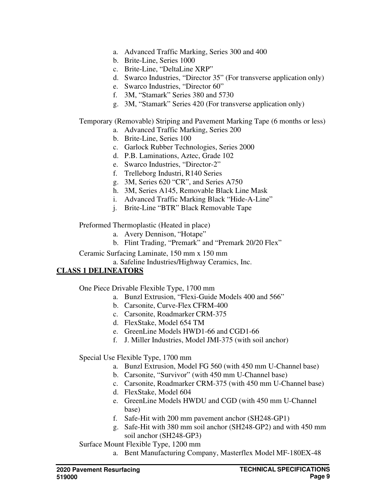- a. Advanced Traffic Marking, Series 300 and 400
- b. Brite-Line, Series 1000
- c. Brite-Line, "DeltaLine XRP"
- d. Swarco Industries, "Director 35" (For transverse application only)
- e. Swarco Industries, "Director 60"
- f. 3M, "Stamark" Series 380 and 5730
- g. 3M, "Stamark" Series 420 (For transverse application only)

Temporary (Removable) Striping and Pavement Marking Tape (6 months or less)

- a. Advanced Traffic Marking, Series 200
- b. Brite-Line, Series 100
- c. Garlock Rubber Technologies, Series 2000
- d. P.B. Laminations, Aztec, Grade 102
- e. Swarco Industries, "Director-2"
- f. Trelleborg Industri, R140 Series
- g. 3M, Series 620 "CR", and Series A750
- h. 3M, Series A145, Removable Black Line Mask
- i. Advanced Traffic Marking Black "Hide-A-Line"
- j. Brite-Line "BTR" Black Removable Tape

Preformed Thermoplastic (Heated in place)

- a. Avery Dennison, "Hotape"
- b. Flint Trading, "Premark" and "Premark 20/20 Flex"

Ceramic Surfacing Laminate, 150 mm x 150 mm

a. Safeline Industries/Highway Ceramics, Inc.

## **CLASS 1 DELINEATORS**

One Piece Drivable Flexible Type, 1700 mm

- a. Bunzl Extrusion, "Flexi-Guide Models 400 and 566"
- b. Carsonite, Curve-Flex CFRM-400
- c. Carsonite, Roadmarker CRM-375
- d. FlexStake, Model 654 TM
- e. GreenLine Models HWD1-66 and CGD1-66
- f. J. Miller Industries, Model JMI-375 (with soil anchor)

Special Use Flexible Type, 1700 mm

- a. Bunzl Extrusion, Model FG 560 (with 450 mm U-Channel base)
- b. Carsonite, "Survivor" (with 450 mm U-Channel base)
- c. Carsonite, Roadmarker CRM-375 (with 450 mm U-Channel base)
- d. FlexStake, Model 604
- e. GreenLine Models HWDU and CGD (with 450 mm U-Channel base)
- f. Safe-Hit with 200 mm pavement anchor (SH248-GP1)
- g. Safe-Hit with 380 mm soil anchor (SH248-GP2) and with 450 mm soil anchor (SH248-GP3)

Surface Mount Flexible Type, 1200 mm

a. Bent Manufacturing Company, Masterflex Model MF-180EX-48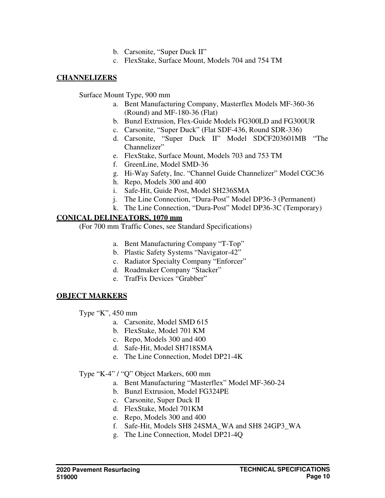- b. Carsonite, "Super Duck II"
- c. FlexStake, Surface Mount, Models 704 and 754 TM

### **CHANNELIZERS**

Surface Mount Type, 900 mm

- a. Bent Manufacturing Company, Masterflex Models MF-360-36 (Round) and MF-180-36 (Flat)
- b. Bunzl Extrusion, Flex-Guide Models FG300LD and FG300UR
- c. Carsonite, "Super Duck" (Flat SDF-436, Round SDR-336)
- d. Carsonite, "Super Duck II" Model SDCF203601MB "The Channelizer"
- e. FlexStake, Surface Mount, Models 703 and 753 TM
- f. GreenLine, Model SMD-36
- g. Hi-Way Safety, Inc. "Channel Guide Channelizer" Model CGC36
- h. Repo, Models 300 and 400
- i. Safe-Hit, Guide Post, Model SH236SMA
- j. The Line Connection, "Dura-Post" Model DP36-3 (Permanent)
- k. The Line Connection, "Dura-Post" Model DP36-3C (Temporary)

### **CONICAL DELINEATORS, 1070 mm**

(For 700 mm Traffic Cones, see Standard Specifications)

- a. Bent Manufacturing Company "T-Top"
- b. Plastic Safety Systems "Navigator-42"
- c. Radiator Specialty Company "Enforcer"
- d. Roadmaker Company "Stacker"
- e. TrafFix Devices "Grabber"

### **OBJECT MARKERS**

Type "K", 450 mm

- a. Carsonite, Model SMD 615
- b. FlexStake, Model 701 KM
- c. Repo, Models 300 and 400
- d. Safe-Hit, Model SH718SMA
- e. The Line Connection, Model DP21-4K

### Type "K-4" / "Q" Object Markers, 600 mm

- a. Bent Manufacturing "Masterflex" Model MF-360-24
- b. Bunzl Extrusion, Model FG324PE
- c. Carsonite, Super Duck II
- d. FlexStake, Model 701KM
- e. Repo, Models 300 and 400
- f. Safe-Hit, Models SH8 24SMA\_WA and SH8 24GP3\_WA
- g. The Line Connection, Model DP21-4Q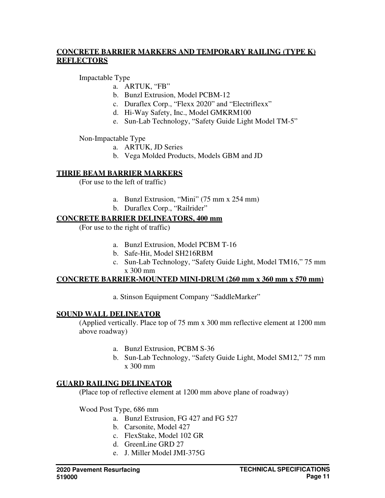### **CONCRETE BARRIER MARKERS AND TEMPORARY RAILING (TYPE K) REFLECTORS**

Impactable Type

- a. ARTUK, "FB"
- b. Bunzl Extrusion, Model PCBM-12
- c. Duraflex Corp., "Flexx 2020" and "Electriflexx"
- d. Hi-Way Safety, Inc., Model GMKRM100
- e. Sun-Lab Technology, "Safety Guide Light Model TM-5"

Non-Impactable Type

- a. ARTUK, JD Series
- b. Vega Molded Products, Models GBM and JD

### **THRIE BEAM BARRIER MARKERS**

(For use to the left of traffic)

- a. Bunzl Extrusion, "Mini" (75 mm x 254 mm)
- b. Duraflex Corp., "Railrider"

#### **CONCRETE BARRIER DELINEATORS, 400 mm**

(For use to the right of traffic)

- a. Bunzl Extrusion, Model PCBM T-16
- b. Safe-Hit, Model SH216RBM
- c. Sun-Lab Technology, "Safety Guide Light, Model TM16," 75 mm x 300 mm

#### **CONCRETE BARRIER-MOUNTED MINI-DRUM (260 mm x 360 mm x 570 mm)**

a. Stinson Equipment Company "SaddleMarker"

### **SOUND WALL DELINEATOR**

(Applied vertically. Place top of 75 mm x 300 mm reflective element at 1200 mm above roadway)

- a. Bunzl Extrusion, PCBM S-36
- b. Sun-Lab Technology, "Safety Guide Light, Model SM12," 75 mm x 300 mm

#### **GUARD RAILING DELINEATOR**

(Place top of reflective element at 1200 mm above plane of roadway)

Wood Post Type, 686 mm

- a. Bunzl Extrusion, FG 427 and FG 527
- b. Carsonite, Model 427
- c. FlexStake, Model 102 GR
- d. GreenLine GRD 27
- e. J. Miller Model JMI-375G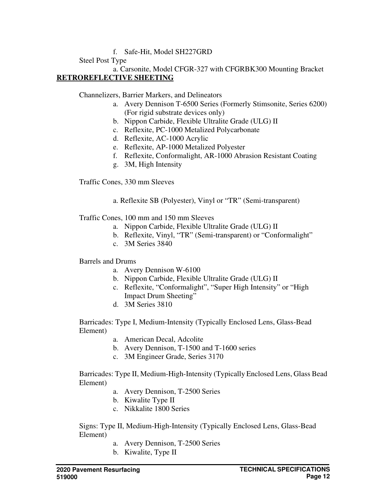### f. Safe-Hit, Model SH227GRD

## Steel Post Type

a. Carsonite, Model CFGR-327 with CFGRBK300 Mounting Bracket **RETROREFLECTIVE SHEETING** 

Channelizers, Barrier Markers, and Delineators

- a. Avery Dennison T-6500 Series (Formerly Stimsonite, Series 6200) (For rigid substrate devices only)
- b. Nippon Carbide, Flexible Ultralite Grade (ULG) II
- c. Reflexite, PC-1000 Metalized Polycarbonate
- d. Reflexite, AC-1000 Acrylic
- e. Reflexite, AP-1000 Metalized Polyester
- f. Reflexite, Conformalight, AR-1000 Abrasion Resistant Coating
- g. 3M, High Intensity

Traffic Cones, 330 mm Sleeves

a. Reflexite SB (Polyester), Vinyl or "TR" (Semi-transparent)

Traffic Cones, 100 mm and 150 mm Sleeves

- a. Nippon Carbide, Flexible Ultralite Grade (ULG) II
- b. Reflexite, Vinyl, "TR" (Semi-transparent) or "Conformalight"
- c. 3M Series 3840

Barrels and Drums

- a. Avery Dennison W-6100
- b. Nippon Carbide, Flexible Ultralite Grade (ULG) II
- c. Reflexite, "Conformalight", "Super High Intensity" or "High Impact Drum Sheeting"
- d. 3M Series 3810

Barricades: Type I, Medium-Intensity (Typically Enclosed Lens, Glass-Bead Element)

- a. American Decal, Adcolite
- b. Avery Dennison, T-1500 and T-1600 series
- c. 3M Engineer Grade, Series 3170

Barricades: Type II, Medium-High-Intensity (Typically Enclosed Lens, Glass Bead Element)

- a. Avery Dennison, T-2500 Series
- b. Kiwalite Type II
- c. Nikkalite 1800 Series

Signs: Type II, Medium-High-Intensity (Typically Enclosed Lens, Glass-Bead Element)

- a. Avery Dennison, T-2500 Series
- b. Kiwalite, Type II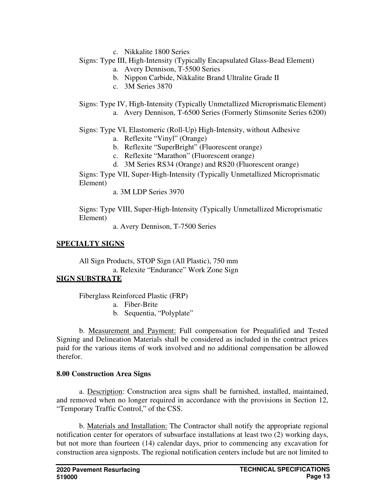c. Nikkalite 1800 Series

## Signs: Type III, High-Intensity (Typically Encapsulated Glass-Bead Element)

- a. Avery Dennison, T-5500 Series
- b. Nippon Carbide, Nikkalite Brand Ultralite Grade II
- c. 3M Series 3870
- Signs: Type IV, High-Intensity (Typically Unmetallized Microprismatic Element) a. Avery Dennison, T-6500 Series (Formerly Stimsonite Series 6200)

Signs: Type VI, Elastomeric (Roll-Up) High-Intensity, without Adhesive

- a. Reflexite "Vinyl" (Orange)
- b. Reflexite "SuperBright" (Fluorescent orange)
- c. Reflexite "Marathon" (Fluorescent orange)
- d. 3M Series RS34 (Orange) and RS20 (Fluorescent orange)

Signs: Type VII, Super-High-Intensity (Typically Unmetallized Microprismatic Element)

a. 3M LDP Series 3970

Signs: Type VIII, Super-High-Intensity (Typically Unmetallized Microprismatic Element)

a. Avery Dennison, T-7500 Series

## **SPECIALTY SIGNS**

All Sign Products, STOP Sign (All Plastic), 750 mm a. Relexite "Endurance" Work Zone Sign

## **SIGN SUBSTRATE**

Fiberglass Reinforced Plastic (FRP)

- a. Fiber-Brite
- b. Sequentia, "Polyplate"

b. Measurement and Payment: Full compensation for Prequalified and Tested Signing and Delineation Materials shall be considered as included in the contract prices paid for the various items of work involved and no additional compensation be allowed therefor.

## **8.00 Construction Area Signs**

a. Description: Construction area signs shall be furnished, installed, maintained, and removed when no longer required in accordance with the provisions in Section 12, "Temporary Traffic Control," of the CSS.

b. Materials and Installation: The Contractor shall notify the appropriate regional notification center for operators of subsurface installations at least two (2) working days, but not more than fourteen (14) calendar days, prior to commencing any excavation for construction area signposts. The regional notification centers include but are not limited to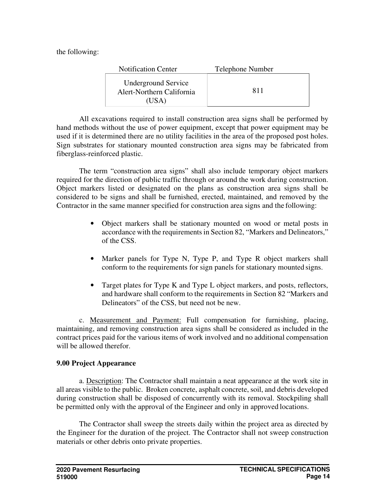the following:

| <b>Notification Center</b>                                       | Telephone Number |
|------------------------------------------------------------------|------------------|
| <b>Underground Service</b><br>Alert-Northern California<br>(USA) | 811              |

All excavations required to install construction area signs shall be performed by hand methods without the use of power equipment, except that power equipment may be used if it is determined there are no utility facilities in the area of the proposed post holes. Sign substrates for stationary mounted construction area signs may be fabricated from fiberglass-reinforced plastic.

The term "construction area signs" shall also include temporary object markers required for the direction of public traffic through or around the work during construction. Object markers listed or designated on the plans as construction area signs shall be considered to be signs and shall be furnished, erected, maintained, and removed by the Contractor in the same manner specified for construction area signs and the following:

- Object markers shall be stationary mounted on wood or metal posts in accordance with the requirements in Section 82, "Markers and Delineators," of the CSS.
- Marker panels for Type N, Type P, and Type R object markers shall conform to the requirements for sign panels for stationary mounted signs.
- Target plates for Type K and Type L object markers, and posts, reflectors, and hardware shall conform to the requirements in Section 82 "Markers and Delineators" of the CSS, but need not be new.

c. Measurement and Payment: Full compensation for furnishing, placing, maintaining, and removing construction area signs shall be considered as included in the contract prices paid for the various items of work involved and no additional compensation will be allowed therefor.

### **9.00 Project Appearance**

a. Description: The Contractor shall maintain a neat appearance at the work site in all areas visible to the public. Broken concrete, asphalt concrete, soil, and debris developed during construction shall be disposed of concurrently with its removal. Stockpiling shall be permitted only with the approval of the Engineer and only in approved locations.

The Contractor shall sweep the streets daily within the project area as directed by the Engineer for the duration of the project. The Contractor shall not sweep construction materials or other debris onto private properties.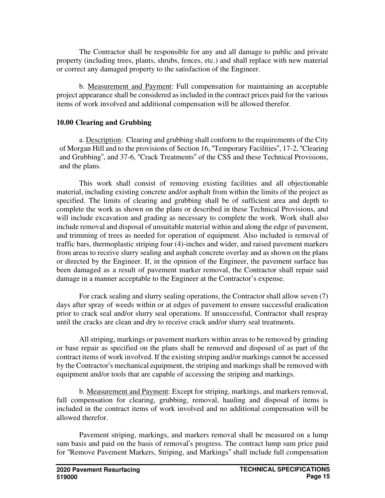The Contractor shall be responsible for any and all damage to public and private property (including trees, plants, shrubs, fences, etc.) and shall replace with new material or correct any damaged property to the satisfaction of the Engineer.

b. Measurement and Payment: Full compensation for maintaining an acceptable project appearance shall be considered as included in the contract prices paid for the various items of work involved and additional compensation will be allowed therefor.

### **10.00 Clearing and Grubbing**

a. Description: Clearing and grubbing shall conform to the requirements of the City of Morgan Hill and to the provisions of Section 16, "Temporary Facilities", 17-2, "Clearing and Grubbing", and 37-6, "Crack Treatments" of the CSS and these Technical Provisions, and the plans.

This work shall consist of removing existing facilities and all objectionable material, including existing concrete and/or asphalt from within the limits of the project as specified. The limits of clearing and grubbing shall be of sufficient area and depth to complete the work as shown on the plans or described in these Technical Provisions, and will include excavation and grading as necessary to complete the work. Work shall also include removal and disposal of unsuitable material within and along the edge of pavement, and trimming of trees as needed for operation of equipment. Also included is removal of traffic bars, thermoplastic striping four (4)-inches and wider, and raised pavement markers from areas to receive slurry sealing and asphalt concrete overlay and as shown on the plans or directed by the Engineer. If, in the opinion of the Engineer, the pavement surface has been damaged as a result of pavement marker removal, the Contractor shall repair said damage in a manner acceptable to the Engineer at the Contractor's expense.

For crack sealing and slurry sealing operations, the Contractor shall allow seven (7) days after spray of weeds within or at edges of pavement to ensure successful eradication prior to crack seal and/or slurry seal operations. If unsuccessful, Contractor shall respray until the cracks are clean and dry to receive crack and/or slurry seal treatments.

All striping, markings or pavement markers within areas to be removed by grinding or base repair as specified on the plans shall be removed and disposed of as part of the contract items of work involved. If the existing striping and/or markings cannot be accessed by the Contractor's mechanical equipment, the striping and markings shall be removed with equipment and/or tools that are capable of accessing the striping and markings.

b. Measurement and Payment: Except for striping, markings, and markers removal, full compensation for clearing, grubbing, removal, hauling and disposal of items is included in the contract items of work involved and no additional compensation will be allowed therefor.

Pavement striping, markings, and markers removal shall be measured on a lump sum basis and paid on the basis of removal's progress. The contract lump sum price paid for "Remove Pavement Markers, Striping, and Markings" shall include full compensation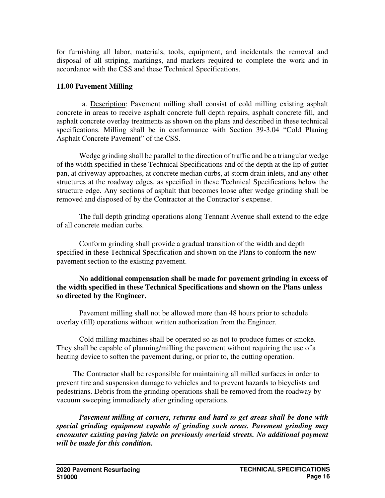for furnishing all labor, materials, tools, equipment, and incidentals the removal and disposal of all striping, markings, and markers required to complete the work and in accordance with the CSS and these Technical Specifications.

### **11.00 Pavement Milling**

a. Description: Pavement milling shall consist of cold milling existing asphalt concrete in areas to receive asphalt concrete full depth repairs, asphalt concrete fill, and asphalt concrete overlay treatments as shown on the plans and described in these technical specifications. Milling shall be in conformance with Section 39-3.04 "Cold Planing Asphalt Concrete Pavement" of the CSS.

Wedge grinding shall be parallel to the direction of traffic and be a triangular wedge of the width specified in these Technical Specifications and of the depth at the lip of gutter pan, at driveway approaches, at concrete median curbs, at storm drain inlets, and any other structures at the roadway edges, as specified in these Technical Specifications below the structure edge. Any sections of asphalt that becomes loose after wedge grinding shall be removed and disposed of by the Contractor at the Contractor's expense.

The full depth grinding operations along Tennant Avenue shall extend to the edge of all concrete median curbs.

Conform grinding shall provide a gradual transition of the width and depth specified in these Technical Specification and shown on the Plans to conform the new pavement section to the existing pavement.

### **No additional compensation shall be made for pavement grinding in excess of the width specified in these Technical Specifications and shown on the Plans unless so directed by the Engineer.**

Pavement milling shall not be allowed more than 48 hours prior to schedule overlay (fill) operations without written authorization from the Engineer.

Cold milling machines shall be operated so as not to produce fumes or smoke. They shall be capable of planning/milling the pavement without requiring the use of a heating device to soften the pavement during, or prior to, the cutting operation.

The Contractor shall be responsible for maintaining all milled surfaces in order to prevent tire and suspension damage to vehicles and to prevent hazards to bicyclists and pedestrians. Debris from the grinding operations shall be removed from the roadway by vacuum sweeping immediately after grinding operations.

*Pavement milling at corners, returns and hard to get areas shall be done with special grinding equipment capable of grinding such areas. Pavement grinding may encounter existing paving fabric on previously overlaid streets. No additional payment will be made for this condition.*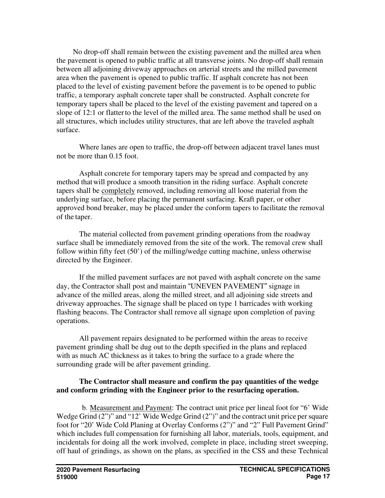No drop-off shall remain between the existing pavement and the milled area when the pavement is opened to public traffic at all transverse joints. No drop-off shall remain between all adjoining driveway approaches on arterial streets and the milled pavement area when the pavement is opened to public traffic. If asphalt concrete has not been placed to the level of existing pavement before the pavement is to be opened to public traffic, a temporary asphalt concrete taper shall be constructed. Asphalt concrete for temporary tapers shall be placed to the level of the existing pavement and tapered on a slope of 12:1 or flatter to the level of the milled area. The same method shall be used on all structures, which includes utility structures, that are left above the traveled asphalt surface.

Where lanes are open to traffic, the drop-off between adjacent travel lanes must not be more than 0.15 foot.

Asphalt concrete for temporary tapers may be spread and compacted by any method that will produce a smooth transition in the riding surface. Asphalt concrete tapers shall be completely removed, including removing all loose material from the underlying surface, before placing the permanent surfacing. Kraft paper, or other approved bond breaker, may be placed under the conform tapers to facilitate the removal of the taper.

The material collected from pavement grinding operations from the roadway surface shall be immediately removed from the site of the work. The removal crew shall follow within fifty feet (50') of the milling/wedge cutting machine, unless otherwise directed by the Engineer.

If the milled pavement surfaces are not paved with asphalt concrete on the same day, the Contractor shall post and maintain "UNEVEN PAVEMENT" signage in advance of the milled areas, along the milled street, and all adjoining side streets and driveway approaches. The signage shall be placed on type 1 barricades with working flashing beacons. The Contractor shall remove all signage upon completion of paving operations.

All pavement repairs designated to be performed within the areas to receive pavement grinding shall be dug out to the depth specified in the plans and replaced with as much AC thickness as it takes to bring the surface to a grade where the surrounding grade will be after pavement grinding.

# **The Contractor shall measure and confirm the pay quantities of the wedge and conform grinding with the Engineer prior to the resurfacing operation.**

b. Measurement and Payment: The contract unit price per lineal foot for "6' Wide Wedge Grind  $(2'')'$  and "12' Wide Wedge Grind  $(2'')'$  and the contract unit price per square foot for "20' Wide Cold Planing at Overlay Conforms (2")" and "2" Full Pavement Grind" which includes full compensation for furnishing all labor, materials, tools, equipment, and incidentals for doing all the work involved, complete in place, including street sweeping, off haul of grindings, as shown on the plans, as specified in the CSS and these Technical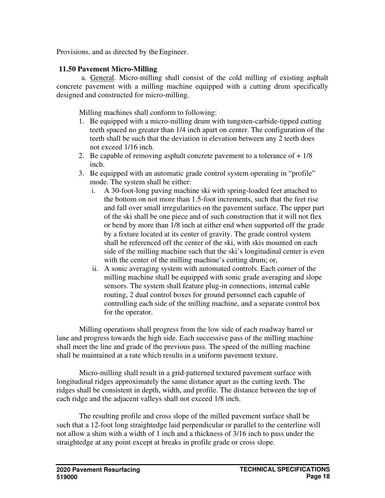Provisions, and as directed by the Engineer.

# **11.50 Pavement Micro-Milling**

a. General. Micro-milling shall consist of the cold milling of existing asphalt concrete pavement with a milling machine equipped with a cutting drum specifically designed and constructed for micro-milling.

Milling machines shall conform to following:

- 1. Be equipped with a micro-milling drum with tungsten-carbide-tipped cutting teeth spaced no greater than 1/4 inch apart on center. The configuration of the teeth shall be such that the deviation in elevation between any 2 teeth does not exceed 1/16 inch.
- 2. Be capable of removing asphalt concrete pavement to a tolerance of  $+1/8$ inch.
- 3. Be equipped with an automatic grade control system operating in "profile" mode. The system shall be either:
	- i. A 30-foot-long paving machine ski with spring-loaded feet attached to the bottom on not more than 1.5-foot increments, such that the feet rise and fall over small irregularities on the pavement surface. The upper part of the ski shall be one piece and of such construction that it will not flex or bend by more than 1/8 inch at either end when supported off the grade by a fixture located at its center of gravity. The grade control system shall be referenced off the center of the ski, with skis mounted on each side of the milling machine such that the ski's longitudinal center is even with the center of the milling machine's cutting drum; or,
	- ii. A sonic averaging system with automated controls. Each corner of the milling machine shall be equipped with sonic grade averaging and slope sensors. The system shall feature plug-in connections, internal cable routing, 2 dual control boxes for ground personnel each capable of controlling each side of the milling machine, and a separate control box for the operator.

Milling operations shall progress from the low side of each roadway barrel or lane and progress towards the high side. Each successive pass of the milling machine shall meet the line and grade of the previous pass. The speed of the milling machine shall be maintained at a rate which results in a uniform pavement texture.

Micro-milling shall result in a grid-patterned textured pavement surface with longitudinal ridges approximately the same distance apart as the cutting teeth. The ridges shall be consistent in depth, width, and profile. The distance between the top of each ridge and the adjacent valleys shall not exceed 1/8 inch.

The resulting profile and cross slope of the milled pavement surface shall be such that a 12-foot long straightedge laid perpendicular or parallel to the centerline will not allow a shim with a width of 1 inch and a thickness of 3/16 inch to pass under the straightedge at any point except at breaks in profile grade or cross slope.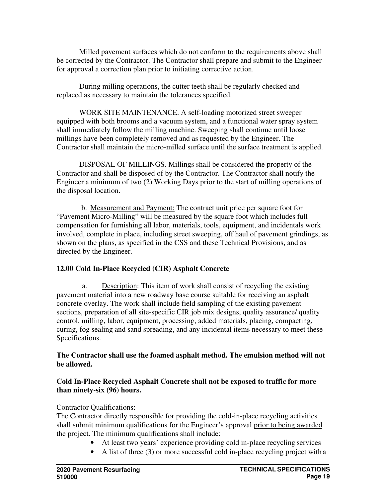Milled pavement surfaces which do not conform to the requirements above shall be corrected by the Contractor. The Contractor shall prepare and submit to the Engineer for approval a correction plan prior to initiating corrective action.

During milling operations, the cutter teeth shall be regularly checked and replaced as necessary to maintain the tolerances specified.

WORK SITE MAINTENANCE. A self-loading motorized street sweeper equipped with both brooms and a vacuum system, and a functional water spray system shall immediately follow the milling machine. Sweeping shall continue until loose millings have been completely removed and as requested by the Engineer. The Contractor shall maintain the micro-milled surface until the surface treatment is applied.

DISPOSAL OF MILLINGS. Millings shall be considered the property of the Contractor and shall be disposed of by the Contractor. The Contractor shall notify the Engineer a minimum of two (2) Working Days prior to the start of milling operations of the disposal location.

b. Measurement and Payment: The contract unit price per square foot for "Pavement Micro-Milling" will be measured by the square foot which includes full compensation for furnishing all labor, materials, tools, equipment, and incidentals work involved, complete in place, including street sweeping, off haul of pavement grindings, as shown on the plans, as specified in the CSS and these Technical Provisions, and as directed by the Engineer.

### **12.00 Cold In-Place Recycled (CIR) Asphalt Concrete**

a. Description: This item of work shall consist of recycling the existing pavement material into a new roadway base course suitable for receiving an asphalt concrete overlay. The work shall include field sampling of the existing pavement sections, preparation of all site-specific CIR job mix designs, quality assurance/ quality control, milling, labor, equipment, processing, added materials, placing, compacting, curing, fog sealing and sand spreading, and any incidental items necessary to meet these Specifications.

### **The Contractor shall use the foamed asphalt method. The emulsion method will not be allowed.**

### **Cold In-Place Recycled Asphalt Concrete shall not be exposed to traffic for more than ninety-six (96) hours.**

### Contractor Qualifications:

The Contractor directly responsible for providing the cold-in-place recycling activities shall submit minimum qualifications for the Engineer's approval prior to being awarded the project. The minimum qualifications shall include:

- At least two years' experience providing cold in-place recycling services
- A list of three (3) or more successful cold in-place recycling project with a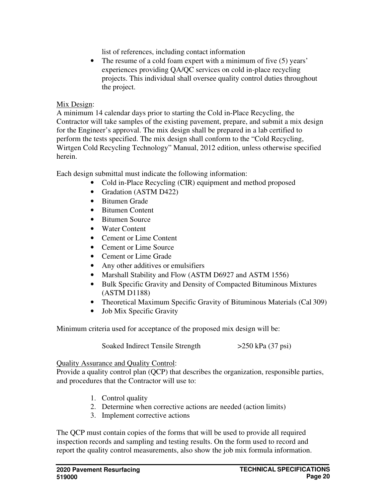list of references, including contact information

• The resume of a cold foam expert with a minimum of five (5) years' experiences providing QA/QC services on cold in-place recycling projects. This individual shall oversee quality control duties throughout the project.

# Mix Design:

A minimum 14 calendar days prior to starting the Cold in-Place Recycling, the Contractor will take samples of the existing pavement, prepare, and submit a mix design for the Engineer's approval. The mix design shall be prepared in a lab certified to perform the tests specified. The mix design shall conform to the "Cold Recycling, Wirtgen Cold Recycling Technology" Manual, 2012 edition, unless otherwise specified herein.

Each design submittal must indicate the following information:

- Cold in-Place Recycling (CIR) equipment and method proposed
- Gradation (ASTM D422)
- Bitumen Grade
- Bitumen Content
- Bitumen Source
- Water Content
- Cement or Lime Content
- Cement or Lime Source
- Cement or Lime Grade
- Any other additives or emulsifiers
- Marshall Stability and Flow (ASTM D6927 and ASTM 1556)
- Bulk Specific Gravity and Density of Compacted Bituminous Mixtures (ASTM D1188)
- Theoretical Maximum Specific Gravity of Bituminous Materials (Cal 309)
- Job Mix Specific Gravity

Minimum criteria used for acceptance of the proposed mix design will be:

Soaked Indirect Tensile Strength  $>250$  kPa (37 psi)

### Quality Assurance and Quality Control:

Provide a quality control plan (QCP) that describes the organization, responsible parties, and procedures that the Contractor will use to:

- 1. Control quality
- 2. Determine when corrective actions are needed (action limits)
- 3. Implement corrective actions

The QCP must contain copies of the forms that will be used to provide all required inspection records and sampling and testing results. On the form used to record and report the quality control measurements, also show the job mix formula information.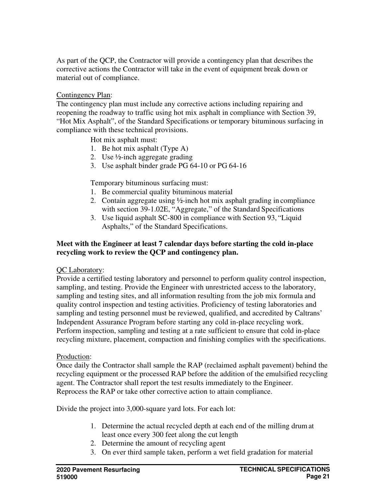As part of the QCP, the Contractor will provide a contingency plan that describes the corrective actions the Contractor will take in the event of equipment break down or material out of compliance.

# Contingency Plan:

The contingency plan must include any corrective actions including repairing and reopening the roadway to traffic using hot mix asphalt in compliance with Section 39, "Hot Mix Asphalt", of the Standard Specifications or temporary bituminous surfacing in compliance with these technical provisions.

Hot mix asphalt must:

- 1. Be hot mix asphalt (Type A)
- 2. Use ½-inch aggregate grading
- 3. Use asphalt binder grade PG 64-10 or PG 64-16

Temporary bituminous surfacing must:

- 1. Be commercial quality bituminous material
- 2. Contain aggregate using ½-inch hot mix asphalt grading in compliance with section 39-1.02E, "Aggregate," of the Standard Specifications
- 3. Use liquid asphalt SC-800 in compliance with Section 93, "Liquid Asphalts," of the Standard Specifications.

# **Meet with the Engineer at least 7 calendar days before starting the cold in-place recycling work to review the QCP and contingency plan.**

### QC Laboratory:

Provide a certified testing laboratory and personnel to perform quality control inspection, sampling, and testing. Provide the Engineer with unrestricted access to the laboratory, sampling and testing sites, and all information resulting from the job mix formula and quality control inspection and testing activities. Proficiency of testing laboratories and sampling and testing personnel must be reviewed, qualified, and accredited by Caltrans' Independent Assurance Program before starting any cold in-place recycling work. Perform inspection, sampling and testing at a rate sufficient to ensure that cold in-place recycling mixture, placement, compaction and finishing complies with the specifications.

### Production:

Once daily the Contractor shall sample the RAP (reclaimed asphalt pavement) behind the recycling equipment or the processed RAP before the addition of the emulsified recycling agent. The Contractor shall report the test results immediately to the Engineer. Reprocess the RAP or take other corrective action to attain compliance.

Divide the project into 3,000-square yard lots. For each lot:

- 1. Determine the actual recycled depth at each end of the milling drum at least once every 300 feet along the cut length
- 2. Determine the amount of recycling agent
- 3. On ever third sample taken, perform a wet field gradation for material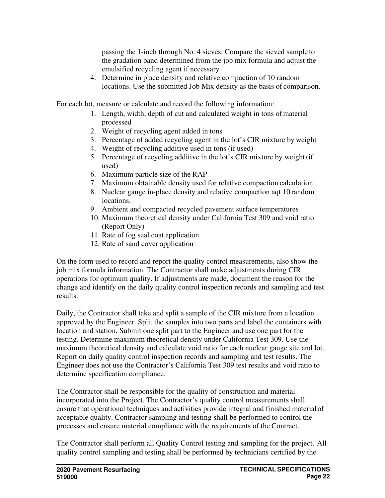passing the 1-inch through No. 4 sieves. Compare the sieved sample to the gradation band determined from the job mix formula and adjust the emulsified recycling agent if necessary

4. Determine in place density and relative compaction of 10 random locations. Use the submitted Job Mix density as the basis of comparison.

For each lot, measure or calculate and record the following information:

- 1. Length, width, depth of cut and calculated weight in tons of material processed
- 2. Weight of recycling agent added in tons
- 3. Percentage of added recycling agent in the lot's CIR mixture by weight
- 4. Weight of recycling additive used in tons (if used)
- 5. Percentage of recycling additive in the lot's CIR mixture by weight (if used)
- 6. Maximum particle size of the RAP
- 7. Maximum obtainable density used for relative compaction calculation.
- 8. Nuclear gauge in-place density and relative compaction aqt 10 random locations.
- 9. Ambient and compacted recycled pavement surface temperatures
- 10. Maximum theoretical density under California Test 309 and void ratio (Report Only)
- 11. Rate of fog seal coat application
- 12. Rate of sand cover application

On the form used to record and report the quality control measurements, also show the job mix formula information. The Contractor shall make adjustments during CIR operations for optimum quality. If adjustments are made, document the reason for the change and identify on the daily quality control inspection records and sampling and test results.

Daily, the Contractor shall take and split a sample of the CIR mixture from a location approved by the Engineer. Split the samples into two parts and label the containers with location and station. Submit one split part to the Engineer and use one part for the testing. Determine maximum theoretical density under California Test 309. Use the maximum theoretical density and calculate void ratio for each nuclear gauge site and lot. Report on daily quality control inspection records and sampling and test results. The Engineer does not use the Contractor's California Test 309 test results and void ratio to determine specification compliance.

The Contractor shall be responsible for the quality of construction and material incorporated into the Project. The Contractor's quality control measurements shall ensure that operational techniques and activities provide integral and finished material of acceptable quality. Contractor sampling and testing shall be performed to control the processes and ensure material compliance with the requirements of the Contract.

The Contractor shall perform all Quality Control testing and sampling for the project. All quality control sampling and testing shall be performed by technicians certified by the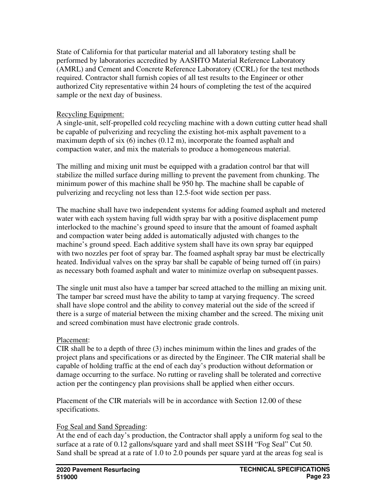State of California for that particular material and all laboratory testing shall be performed by laboratories accredited by AASHTO Material Reference Laboratory (AMRL) and Cement and Concrete Reference Laboratory (CCRL) for the test methods required. Contractor shall furnish copies of all test results to the Engineer or other authorized City representative within 24 hours of completing the test of the acquired sample or the next day of business.

## Recycling Equipment:

A single-unit, self-propelled cold recycling machine with a down cutting cutter head shall be capable of pulverizing and recycling the existing hot-mix asphalt pavement to a maximum depth of six (6) inches (0.12 m), incorporate the foamed asphalt and compaction water, and mix the materials to produce a homogeneous material.

The milling and mixing unit must be equipped with a gradation control bar that will stabilize the milled surface during milling to prevent the pavement from chunking. The minimum power of this machine shall be 950 hp. The machine shall be capable of pulverizing and recycling not less than 12.5-foot wide section per pass.

The machine shall have two independent systems for adding foamed asphalt and metered water with each system having full width spray bar with a positive displacement pump interlocked to the machine's ground speed to insure that the amount of foamed asphalt and compaction water being added is automatically adjusted with changes to the machine's ground speed. Each additive system shall have its own spray bar equipped with two nozzles per foot of spray bar. The foamed asphalt spray bar must be electrically heated. Individual valves on the spray bar shall be capable of being turned off (in pairs) as necessary both foamed asphalt and water to minimize overlap on subsequent passes.

The single unit must also have a tamper bar screed attached to the milling an mixing unit. The tamper bar screed must have the ability to tamp at varying frequency. The screed shall have slope control and the ability to convey material out the side of the screed if there is a surge of material between the mixing chamber and the screed. The mixing unit and screed combination must have electronic grade controls.

# Placement:

CIR shall be to a depth of three (3) inches minimum within the lines and grades of the project plans and specifications or as directed by the Engineer. The CIR material shall be capable of holding traffic at the end of each day's production without deformation or damage occurring to the surface. No rutting or raveling shall be tolerated and corrective action per the contingency plan provisions shall be applied when either occurs.

Placement of the CIR materials will be in accordance with Section 12.00 of these specifications.

### Fog Seal and Sand Spreading:

At the end of each day's production, the Contractor shall apply a uniform fog seal to the surface at a rate of 0.12 gallons/square yard and shall meet SS1H "Fog Seal" Cut 50. Sand shall be spread at a rate of 1.0 to 2.0 pounds per square yard at the areas fog seal is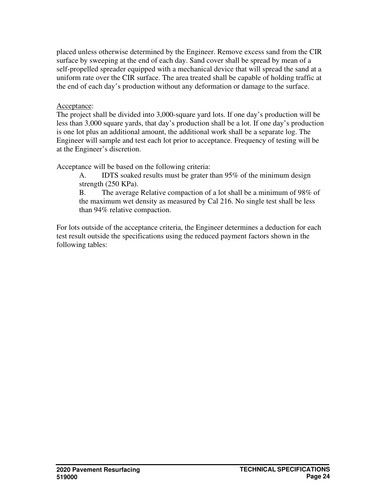placed unless otherwise determined by the Engineer. Remove excess sand from the CIR surface by sweeping at the end of each day. Sand cover shall be spread by mean of a self-propelled spreader equipped with a mechanical device that will spread the sand at a uniform rate over the CIR surface. The area treated shall be capable of holding traffic at the end of each day's production without any deformation or damage to the surface.

### Acceptance:

The project shall be divided into 3,000-square yard lots. If one day's production will be less than 3,000 square yards, that day's production shall be a lot. If one day's production is one lot plus an additional amount, the additional work shall be a separate log. The Engineer will sample and test each lot prior to acceptance. Frequency of testing will be at the Engineer's discretion.

Acceptance will be based on the following criteria:

A. IDTS soaked results must be grater than 95% of the minimum design strength (250 KPa).

B. The average Relative compaction of a lot shall be a minimum of 98% of the maximum wet density as measured by Cal 216. No single test shall be less than 94% relative compaction.

For lots outside of the acceptance criteria, the Engineer determines a deduction for each test result outside the specifications using the reduced payment factors shown in the following tables: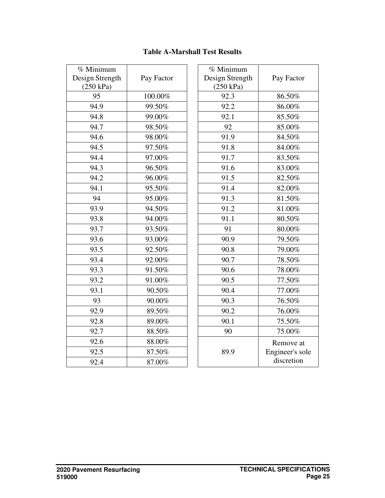| % Minimum<br>Design Strength<br>(250 kPa) | Pay Factor | $\% M$<br>Design<br>(25) |
|-------------------------------------------|------------|--------------------------|
| 95                                        | 100.00%    | $\zeta$                  |
| 94.9                                      | 99.50%     | $\zeta$                  |
| 94.8                                      | 99.00%     | $\zeta$                  |
| 94.7                                      | 98.50%     |                          |
| 94.6                                      | 98.00%     | $\zeta$                  |
| 94.5                                      | 97.50%     | $\zeta$                  |
| 94.4                                      | 97.00%     | $\zeta$                  |
| 94.3                                      | 96.50%     | $\zeta$                  |
| 94.2                                      | 96.00%     | $\zeta$                  |
| 94.1                                      | 95.50%     | Ç                        |
| 94                                        | 95.00%     | $\zeta$                  |
| 93.9                                      | 94.50%     | Ç                        |
| 93.8                                      | 94.00%     | $\zeta$                  |
| 93.7                                      | 93.50%     |                          |
| 93.6                                      | 93.00%     | $\zeta$                  |
| 93.5                                      | 92.50%     | Ç                        |
| 93.4                                      | 92.00%     | Ç                        |
| 93.3                                      | 91.50%     | Ç                        |
| 93.2                                      | 91.00%     | ç                        |
| 93.1                                      | 90.50%     | Ç                        |
| 93                                        | 90.00%     | Ç                        |
| 92.9                                      | 89.50%     | Ç                        |
| 92.8                                      | 89.00%     | $\zeta$                  |
| 92.7                                      | 88.50%     |                          |
| 92.6                                      | 88.00%     |                          |
| 92.5                                      | 87.50%     | Ş                        |
| 92.4                                      | 87.00%     |                          |
|                                           |            |                          |

# **Table A-Marshall Test Results**

| % Minimum<br>Design Strength<br>(250 kPa) | Pay Factor                                 |
|-------------------------------------------|--------------------------------------------|
| 92.3                                      | 86.50%                                     |
| 92.2                                      | 86.00%                                     |
| 92.1                                      | 85.50%                                     |
| 92                                        | 85.00%                                     |
| 91.9                                      | 84.50%                                     |
| 91.8                                      | 84.00%                                     |
| 91.7                                      | 83.50%                                     |
| 91.6                                      | 83.00%                                     |
| 91.5                                      | 82.50%                                     |
| 91.4                                      | 82.00%                                     |
| 91.3                                      | 81.50%                                     |
| 91.2                                      | 81.00%                                     |
| 91.1                                      | 80.50%                                     |
| 91                                        | 80.00%                                     |
| 90.9                                      | 79.50%                                     |
| 90.8                                      | 79.00%                                     |
| 90.7                                      | 78.50%                                     |
| 90.6                                      | 78.00%                                     |
| 90.5                                      | 77.50%                                     |
| 90.4                                      | 77.00%                                     |
| 90.3                                      | 76.50%                                     |
| 90.2                                      | 76.00%                                     |
| 90.1                                      | 75.50%                                     |
| 90                                        | 75.00%                                     |
| 89.9                                      | Remove at<br>Engineer's sole<br>discretion |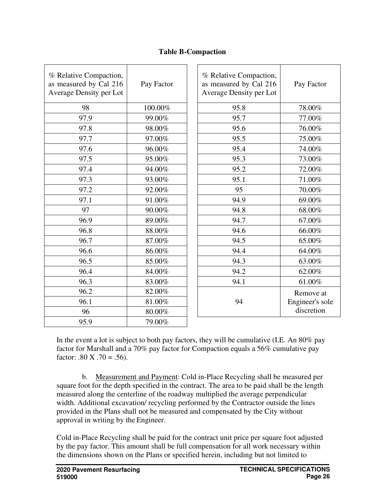| % Relative Compaction,<br>as measured by Cal 216<br>Average Density per Lot | Pay Factor | % Relative Compaction,<br>as measured by Cal 216<br>Average Density per Lot | Pay Factor      |
|-----------------------------------------------------------------------------|------------|-----------------------------------------------------------------------------|-----------------|
| 98                                                                          | 100.00%    | 95.8                                                                        | 78.00%          |
| 97.9                                                                        | 99.00%     | 95.7                                                                        | 77.00%          |
| 97.8                                                                        | 98.00%     | 95.6                                                                        | 76.00%          |
| 97.7                                                                        | 97.00%     | 95.5                                                                        | 75.00%          |
| 97.6                                                                        | 96.00%     | 95.4                                                                        | 74.00%          |
| 97.5                                                                        | 95.00%     | 95.3                                                                        | 73.00%          |
| 97.4                                                                        | 94.00%     | 95.2                                                                        | 72.00%          |
| 97.3                                                                        | 93.00%     | 95.1                                                                        | 71.00%          |
| 97.2                                                                        | 92.00%     | 95                                                                          | $70.00\%$       |
| 97.1                                                                        | 91.00%     | 94.9                                                                        | 69.00%          |
| 97                                                                          | 90.00%     | 94.8                                                                        | 68.00%          |
| 96.9                                                                        | 89.00%     | 94.7                                                                        | 67.00%          |
| 96.8                                                                        | 88.00%     | 94.6                                                                        | 66.00%          |
| 96.7                                                                        | 87.00%     | 94.5                                                                        | 65.00%          |
| 96.6                                                                        | 86.00%     | 94.4                                                                        | 64.00%          |
| 96.5                                                                        | 85.00%     | 94.3                                                                        | 63.00%          |
| 96.4                                                                        | 84.00%     | 94.2                                                                        | 62.00%          |
| 96.3                                                                        | 83.00%     | 94.1                                                                        | 61.00%          |
| 96.2                                                                        | 82.00%     |                                                                             | Remove at       |
| 96.1                                                                        | $81.00\%$  | 94                                                                          | Engineer's sole |
| 96                                                                          | 80.00%     |                                                                             | discretion      |
| 95.9                                                                        | 79.00%     |                                                                             |                 |

# **Table B-Compaction**

In the event a lot is subject to both pay factors, they will be cumulative (I.E. An 80% pay factor for Marshall and a 70% pay factor for Compaction equals a 56% cumulative pay factor:  $.80 \text{ X}$ .  $.70 = .56$ ).

b. Measurement and Payment: Cold in-Place Recycling shall be measured per square foot for the depth specified in the contract. The area to be paid shall be the length measured along the centerline of the roadway multiplied the average perpendicular width. Additional excavation/ recycling performed by the Contractor outside the lines provided in the Plans shall not be measured and compensated by the City without approval in writing by the Engineer.

Cold in-Place Recycling shall be paid for the contract unit price per square foot adjusted by the pay factor. This amount shall be full compensation for all work necessary within the dimensions shown on the Plans or specified herein, including but not limited to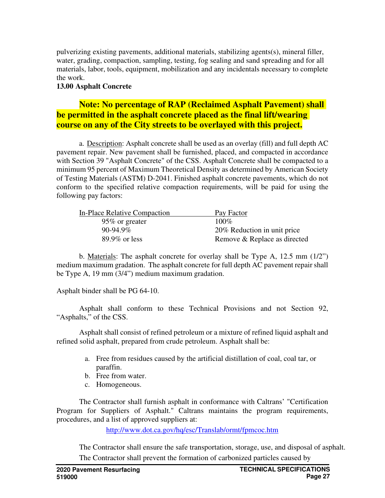pulverizing existing pavements, additional materials, stabilizing agents(s), mineral filler, water, grading, compaction, sampling, testing, fog sealing and sand spreading and for all materials, labor, tools, equipment, mobilization and any incidentals necessary to complete the work.

# **13.00 Asphalt Concrete**

# **Note: No percentage of RAP (Reclaimed Asphalt Pavement) shall be permitted in the asphalt concrete placed as the final lift/wearing course on any of the City streets to be overlayed with this project.**

a. Description: Asphalt concrete shall be used as an overlay (fill) and full depth AC pavement repair. New pavement shall be furnished, placed, and compacted in accordance with Section 39 "Asphalt Concrete" of the CSS. Asphalt Concrete shall be compacted to a minimum 95 percent of Maximum Theoretical Density as determined by American Society of Testing Materials (ASTM) D-2041. Finished asphalt concrete pavements, which do not conform to the specified relative compaction requirements, will be paid for using the following pay factors:

| In-Place Relative Compaction | Pay Factor                   |
|------------------------------|------------------------------|
| 95\% or greater              | $100\%$                      |
| $90-94.9\%$                  | 20% Reduction in unit price  |
| $89.9\%$ or less             | Remove & Replace as directed |

b. Materials: The asphalt concrete for overlay shall be Type A, 12.5 mm (1/2") medium maximum gradation. The asphalt concrete for full depth AC pavement repair shall be Type A, 19 mm (3/4") medium maximum gradation.

Asphalt binder shall be PG 64-10.

Asphalt shall conform to these Technical Provisions and not Section 92, "Asphalts," of the CSS.

Asphalt shall consist of refined petroleum or a mixture of refined liquid asphalt and refined solid asphalt, prepared from crude petroleum. Asphalt shall be:

- a. Free from residues caused by the artificial distillation of coal, coal tar, or paraffin.
- b. Free from water.
- c. Homogeneous.

The Contractor shall furnish asphalt in conformance with Caltrans' "Certification Program for Suppliers of Asphalt." Caltrans maintains the program requirements, procedures, and a list of approved suppliers at:

http://www.dot.ca.gov/hq/esc/Translab/ormt/fpmcoc.htm

The Contractor shall ensure the safe transportation, storage, use, and disposal of asphalt. The Contractor shall prevent the formation of carbonized particles caused by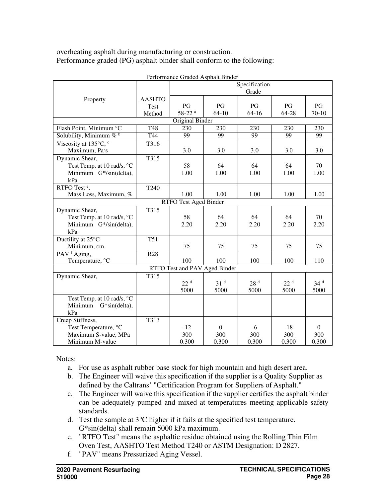overheating asphalt during manufacturing or construction. Performance graded (PG) asphalt binder shall conform to the following:

|                            |                               | Specification        |                 |                  |                 |                 |
|----------------------------|-------------------------------|----------------------|-----------------|------------------|-----------------|-----------------|
|                            |                               |                      |                 | Grade            |                 |                 |
| Property                   | <b>AASHTO</b>                 |                      |                 |                  |                 |                 |
|                            | Test                          | PG                   | PG              | PG               | PG              | PG              |
|                            | Method                        | $58-22$ <sup>a</sup> | 64-10           | $64 - 16$        | 64-28           | $70 - 10$       |
|                            |                               | Original Binder      |                 |                  |                 |                 |
| Flash Point, Minimum °C    | <b>T48</b>                    | 230                  | 230             | $\overline{230}$ | 230             | 230             |
| Solubility, Minimum $\%$ b | T44                           | 99                   | 99              | 99               | 99              | 99              |
| Viscosity at 135°C, c      | T316                          |                      |                 |                  |                 |                 |
| Maximum, Pa·s              |                               | 3.0                  | 3.0             | 3.0              | 3.0             | 3.0             |
| Dynamic Shear,             | T315                          |                      |                 |                  |                 |                 |
| Test Temp. at 10 rad/s, °C |                               | 58                   | 64              | 64               | 64              | 70              |
| Minimum G*/sin(delta),     |                               | 1.00                 | 1.00            | 1.00             | 1.00            | 1.00            |
| kPa                        |                               |                      |                 |                  |                 |                 |
| RTFO Test <sup>e</sup> ,   | T <sub>240</sub>              |                      |                 |                  |                 |                 |
| Mass Loss, Maximum, %      |                               | 1.00                 | 1.00            | 1.00             | 1.00            | 1.00            |
|                            | <b>RTFO Test Aged Binder</b>  |                      |                 |                  |                 |                 |
| Dynamic Shear,             | T315                          |                      |                 |                  |                 |                 |
| Test Temp. at 10 rad/s, °C |                               | 58                   | 64              | 64               | 64              | 70              |
| Minimum G*/sin(delta),     |                               | 2.20                 | 2.20            | 2.20             | 2.20            | 2.20            |
| kPa                        |                               |                      |                 |                  |                 |                 |
| Ductility at 25°C          | <b>T51</b>                    |                      |                 |                  |                 |                 |
| Minimum, cm                |                               | 75                   | 75              | 75               | 75              | 75              |
| PAV <sup>f</sup> Aging,    | <b>R28</b>                    |                      |                 |                  |                 |                 |
| Temperature, °C            |                               | 100                  | 100             | 100              | 100             | 110             |
|                            | RTFO Test and PAV Aged Binder |                      |                 |                  |                 |                 |
| Dynamic Shear,             | T315                          |                      |                 |                  |                 |                 |
|                            |                               | 22 <sup>d</sup>      | 31 <sup>d</sup> | 28 <sup>d</sup>  | 22 <sup>d</sup> | 34 <sup>d</sup> |
|                            |                               | 5000                 | 5000            | 5000             | 5000            | 5000            |
| Test Temp. at 10 rad/s, °C |                               |                      |                 |                  |                 |                 |
| Minimum G*sin(delta),      |                               |                      |                 |                  |                 |                 |
| kPa                        |                               |                      |                 |                  |                 |                 |
| Creep Stiffness,           | T313                          |                      |                 |                  |                 |                 |
| Test Temperature, °C       |                               | $-12$                | $\overline{0}$  | $-6$             | $-18$           | $\theta$        |
| Maximum S-value, MPa       |                               | 300                  | 300             | 300              | 300             | 300             |
| Minimum M-value            |                               | 0.300                | 0.300           | 0.300            | 0.300           | 0.300           |

Performance Graded Asphalt Binder

Notes:

- a. For use as asphalt rubber base stock for high mountain and high desert area.
- b. The Engineer will waive this specification if the supplier is a Quality Supplier as defined by the Caltrans' "Certification Program for Suppliers of Asphalt."
- c. The Engineer will waive this specification if the supplier certifies the asphalt binder can be adequately pumped and mixed at temperatures meeting applicable safety standards.
- d. Test the sample at 3°C higher if it fails at the specified test temperature. G\*sin(delta) shall remain 5000 kPa maximum.
- e. "RTFO Test" means the asphaltic residue obtained using the Rolling Thin Film Oven Test, AASHTO Test Method T240 or ASTM Designation: D 2827.
- f. "PAV" means Pressurized Aging Vessel.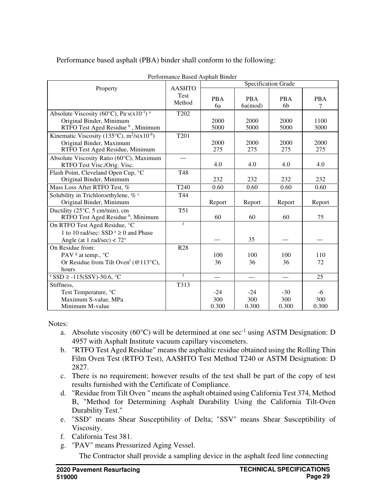Property AASHTO Test Method Specification Grade PBA 6a PBA 6a(mod) PBA 6b PBA 7 Absolute Viscosity (60 $\degree$ C), Pa·s(x10<sup>-1</sup>)<sup>a</sup> Original Binder, Minimum RTFO Test Aged Residue <sup>b</sup>, Minimum T202 2000 5000 2000 5000 2000 5000 1100 3000 Kinematic Viscosity (135 $\degree$ C), m<sup>2</sup>/s(x10<sup>-6</sup>) Original Binder, Maximum RTFO Test Aged Residue, Minimum T201 2000 275 2000 275 2000 275 2000 275 Absolute Viscosity Ratio (60°C), Maximum RTFO Test Visc./Orig. Visc. — 4.0 4.0 4.0 4.0 Flash Point, Cleveland Open Cup, °C Original Binder, Minimum T48 232 232 232 232 Mass Loss After RTFO Test, % T240 0.60 0.60 0.60 0.60 0.60 Solubility in Trichloroethylene,  $% c$ Original Binder, Minimum T44 Report Report Report Report Ductility (25°C, 5 cm/min), cm RTFO Test Aged Residue<sup>b</sup>, Minimum T51 60 60 75 On RTFO Test Aged Residue, °C 1 to 10 rad/sec: SSD  $e \ge 0$  and Phase Angle (at 1 rad/sec)  $< 72°$ f — 1 35 <u>—</u> 1 — On Residue from: PAV  $\text{\textdegree}$  at temp.,  $\text{\textdegree}$ C Or Residue from Tilt Oven<sup>f</sup> ( $@113°C$ ), hours R28 100 36 100 36 100 36 110 72  $e \text{SSD} \ge -115(\text{SSV}) - 50.6$ , °C f — — — — 25 Stiffness, T313 Test Temperature,  ${}^{\circ}\text{C}$   $|$   $-24$   $-24$   $-30$   $-6$ Maximum S-value, MPa 300 300 300 300 Minimum M-value 1 0.300

Performance based asphalt (PBA) binder shall conform to the following:

#### Performance Based Asphalt Binder

Notes:

- a. Absolute viscosity (60 $^{\circ}$ C) will be determined at one sec<sup>-1</sup> using ASTM Designation: D 4957 with Asphalt Institute vacuum capillary viscometers.
- b. "RTFO Test Aged Residue" means the asphaltic residue obtained using the Rolling Thin Film Oven Test (RTFO Test), AASHTO Test Method T240 or ASTM Designation: D 2827.
- c. There is no requirement; however results of the test shall be part of the copy of test results furnished with the Certificate of Compliance.
- d. "Residue from Tilt Oven " means the asphalt obtained using California Test 374, Method B, "Method for Determining Asphalt Durability Using the California Tilt-Oven Durability Test."
- e. "SSD" means Shear Susceptibility of Delta; "SSV" means Shear Susceptibility of Viscosity.
- f. California Test 381.
- g. "PAV" means Pressurized Aging Vessel.
	- The Contractor shall provide a sampling device in the asphalt feed line connecting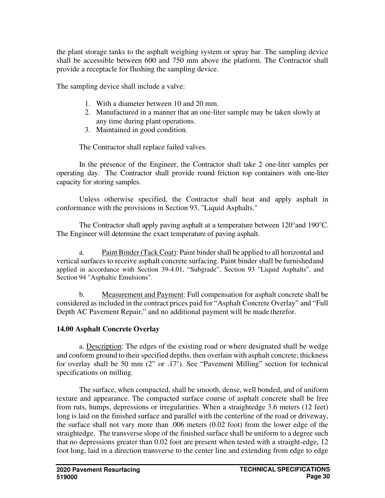the plant storage tanks to the asphalt weighing system or spray bar. The sampling device shall be accessible between 600 and 750 mm above the platform. The Contractor shall provide a receptacle for flushing the sampling device.

The sampling device shall include a valve:

- 1. With a diameter between 10 and 20 mm.
- 2. Manufactured in a manner that an one-liter sample may be taken slowly at any time during plant operations.
- 3. Maintained in good condition.

The Contractor shall replace failed valves.

In the presence of the Engineer, the Contractor shall take 2 one-liter samples per operating day. The Contractor shall provide round friction top containers with one-liter capacity for storing samples.

Unless otherwise specified, the Contractor shall heat and apply asphalt in conformance with the provisions in Section 93, "Liquid Asphalts."

The Contractor shall apply paving asphalt at a temperature between  $120^{\circ}$  and  $190^{\circ}$ C. The Engineer will determine the exact temperature of paving asphalt.

a. Paint Binder (Tack Coat): Paint binder shall be applied to all horizontal and vertical surfaces to receive asphalt concrete surfacing. Paint binder shall be furnished and applied in accordance with Section 39-4.01, "Subgrade", Section 93 "Liquid Asphalts", and Section 94 "Asphaltic Emulsions".

b. Measurement and Payment: Full compensation for asphalt concrete shall be considered as included in the contract prices paid for "Asphalt Concrete Overlay" and "Full Depth AC Pavement Repair," and no additional payment will be made therefor.

# **14.00 Asphalt Concrete Overlay**

a. Description: The edges of the existing road or where designated shall be wedge and conform ground to their specified depths, then overlain with asphalt concrete; thickness for overlay shall be 50 mm (2" or .17'). See "Pavement Milling" section for technical specifications on milling.

The surface, when compacted, shall be smooth, dense, well bonded, and of uniform texture and appearance. The compacted surface course of asphalt concrete shall be free from ruts, humps, depressions or irregularities. When a straightedge 3.6 meters (12 feet) long is laid on the finished surface and parallel with the centerline of the road or driveway, the surface shall not vary more than .006 meters (0.02 foot) from the lower edge of the straightedge. The transverse slope of the finished surface shall be uniform to a degree such that no depressions greater than 0.02 foot are present when tested with a straight-edge, 12 foot long, laid in a direction transverse to the center line and extending from edge to edge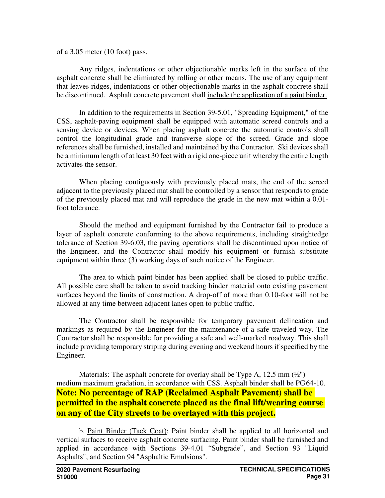of a 3.05 meter (10 foot) pass.

Any ridges, indentations or other objectionable marks left in the surface of the asphalt concrete shall be eliminated by rolling or other means. The use of any equipment that leaves ridges, indentations or other objectionable marks in the asphalt concrete shall be discontinued. Asphalt concrete pavement shall include the application of a paint binder.

In addition to the requirements in Section 39-5.01, "Spreading Equipment," of the CSS, asphalt-paving equipment shall be equipped with automatic screed controls and a sensing device or devices. When placing asphalt concrete the automatic controls shall control the longitudinal grade and transverse slope of the screed. Grade and slope references shall be furnished, installed and maintained by the Contractor. Ski devices shall be a minimum length of at least 30 feet with a rigid one-piece unit whereby the entire length activates the sensor.

When placing contiguously with previously placed mats, the end of the screed adjacent to the previously placed mat shall be controlled by a sensor that responds to grade of the previously placed mat and will reproduce the grade in the new mat within a 0.01 foot tolerance.

Should the method and equipment furnished by the Contractor fail to produce a layer of asphalt concrete conforming to the above requirements, including straightedge tolerance of Section 39-6.03, the paving operations shall be discontinued upon notice of the Engineer, and the Contractor shall modify his equipment or furnish substitute equipment within three (3) working days of such notice of the Engineer.

The area to which paint binder has been applied shall be closed to public traffic. All possible care shall be taken to avoid tracking binder material onto existing pavement surfaces beyond the limits of construction. A drop-off of more than 0.10-foot will not be allowed at any time between adjacent lanes open to public traffic.

The Contractor shall be responsible for temporary pavement delineation and markings as required by the Engineer for the maintenance of a safe traveled way. The Contractor shall be responsible for providing a safe and well-marked roadway. This shall include providing temporary striping during evening and weekend hours if specified by the Engineer.

Materials: The asphalt concrete for overlay shall be Type A,  $12.5 \text{ mm}$  ( $\frac{1}{2}$ ") medium maximum gradation, in accordance with CSS. Asphalt binder shall be PG 64-10. **Note: No percentage of RAP (Reclaimed Asphalt Pavement) shall be permitted in the asphalt concrete placed as the final lift/wearing course on any of the City streets to be overlayed with this project.** 

b. Paint Binder (Tack Coat): Paint binder shall be applied to all horizontal and vertical surfaces to receive asphalt concrete surfacing. Paint binder shall be furnished and applied in accordance with Sections 39-4.01 "Subgrade", and Section 93 "Liquid Asphalts", and Section 94 "Asphaltic Emulsions".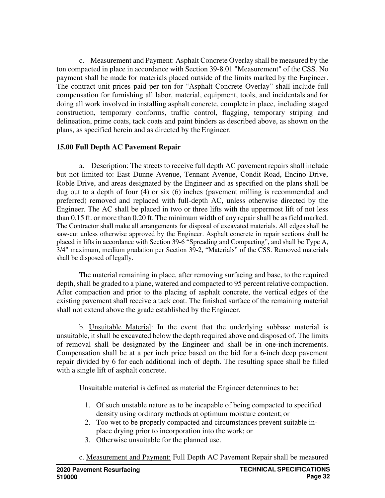c. Measurement and Payment: Asphalt Concrete Overlay shall be measured by the ton compacted in place in accordance with Section 39-8.01 "Measurement" of the CSS. No payment shall be made for materials placed outside of the limits marked by the Engineer. The contract unit prices paid per ton for "Asphalt Concrete Overlay" shall include full compensation for furnishing all labor, material, equipment, tools, and incidentals and for doing all work involved in installing asphalt concrete, complete in place, including staged construction, temporary conforms, traffic control, flagging, temporary striping and delineation, prime coats, tack coats and paint binders as described above, as shown on the plans, as specified herein and as directed by the Engineer.

# **15.00 Full Depth AC Pavement Repair**

a. Description: The streets to receive full depth AC pavement repairs shall include but not limited to: East Dunne Avenue, Tennant Avenue, Condit Road, Encino Drive, Roble Drive, and areas designated by the Engineer and as specified on the plans shall be dug out to a depth of four (4) or six (6) inches (pavement milling is recommended and preferred) removed and replaced with full-depth AC, unless otherwise directed by the Engineer. The AC shall be placed in two or three lifts with the uppermost lift of not less than 0.15 ft. or more than 0.20 ft. The minimum width of any repair shall be as field marked. The Contractor shall make all arrangements for disposal of excavated materials. All edges shall be saw-cut unless otherwise approved by the Engineer. Asphalt concrete in repair sections shall be placed in lifts in accordance with Section 39-6 "Spreading and Compacting", and shall be Type A, 3/4" maximum, medium gradation per Section 39-2, "Materials" of the CSS. Removed materials shall be disposed of legally.

The material remaining in place, after removing surfacing and base, to the required depth, shall be graded to a plane, watered and compacted to 95 percent relative compaction. After compaction and prior to the placing of asphalt concrete, the vertical edges of the existing pavement shall receive a tack coat. The finished surface of the remaining material shall not extend above the grade established by the Engineer.

b. Unsuitable Material: In the event that the underlying subbase material is unsuitable, it shall be excavated below the depth required above and disposed of. The limits of removal shall be designated by the Engineer and shall be in one-inch increments. Compensation shall be at a per inch price based on the bid for a 6-inch deep pavement repair divided by 6 for each additional inch of depth. The resulting space shall be filled with a single lift of asphalt concrete.

Unsuitable material is defined as material the Engineer determines to be:

- 1. Of such unstable nature as to be incapable of being compacted to specified density using ordinary methods at optimum moisture content; or
- 2. Too wet to be properly compacted and circumstances prevent suitable inplace drying prior to incorporation into the work; or
- 3. Otherwise unsuitable for the planned use.
- c. Measurement and Payment: Full Depth AC Pavement Repair shall be measured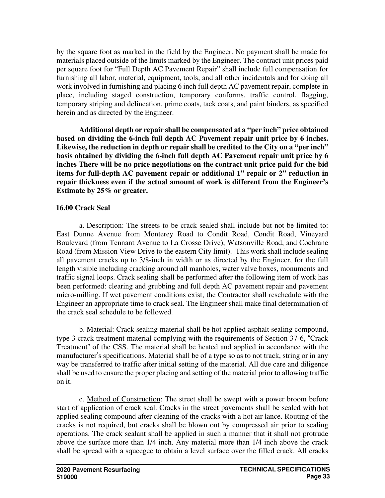by the square foot as marked in the field by the Engineer. No payment shall be made for materials placed outside of the limits marked by the Engineer. The contract unit prices paid per square foot for "Full Depth AC Pavement Repair" shall include full compensation for furnishing all labor, material, equipment, tools, and all other incidentals and for doing all work involved in furnishing and placing 6 inch full depth AC pavement repair, complete in place, including staged construction, temporary conforms, traffic control, flagging, temporary striping and delineation, prime coats, tack coats, and paint binders, as specified herein and as directed by the Engineer.

**Additional depth or repair shall be compensated at a "per inch" price obtained based on dividing the 6-inch full depth AC Pavement repair unit price by 6 inches. Likewise, the reduction in depth or repair shall be credited to the City on a "per inch" basis obtained by dividing the 6-inch full depth AC Pavement repair unit price by 6 inches There will be no price negotiations on the contract unit price paid for the bid items for full-depth AC pavement repair or additional 1" repair or 2" reduction in repair thickness even if the actual amount of work is different from the Engineer's Estimate by 25% or greater.** 

### **16.00 Crack Seal**

a. Description: The streets to be crack sealed shall include but not be limited to: East Dunne Avenue from Monterey Road to Condit Road, Condit Road, Vineyard Boulevard (from Tennant Avenue to La Crosse Drive), Watsonville Road, and Cochrane Road (from Mission View Drive to the eastern City limit). This work shall include sealing all pavement cracks up to 3/8-inch in width or as directed by the Engineer, for the full length visible including cracking around all manholes, water valve boxes, monuments and traffic signal loops. Crack sealing shall be performed after the following item of work has been performed: clearing and grubbing and full depth AC pavement repair and pavement micro-milling. If wet pavement conditions exist, the Contractor shall reschedule with the Engineer an appropriate time to crack seal. The Engineer shall make final determination of the crack seal schedule to be followed.

b. Material: Crack sealing material shall be hot applied asphalt sealing compound, type 3 crack treatment material complying with the requirements of Section 37-6, "Crack Treatment" of the CSS. The material shall be heated and applied in accordance with the manufacturer's specifications. Material shall be of a type so as to not track, string or in any way be transferred to traffic after initial setting of the material. All due care and diligence shall be used to ensure the proper placing and setting of the material prior to allowing traffic on it.

c. Method of Construction: The street shall be swept with a power broom before start of application of crack seal. Cracks in the street pavements shall be sealed with hot applied sealing compound after cleaning of the cracks with a hot air lance. Routing of the cracks is not required, but cracks shall be blown out by compressed air prior to sealing operations. The crack sealant shall be applied in such a manner that it shall not protrude above the surface more than 1/4 inch. Any material more than 1/4 inch above the crack shall be spread with a squeegee to obtain a level surface over the filled crack. All cracks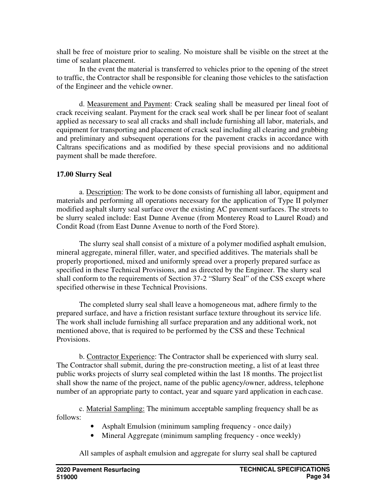shall be free of moisture prior to sealing. No moisture shall be visible on the street at the time of sealant placement.

In the event the material is transferred to vehicles prior to the opening of the street to traffic, the Contractor shall be responsible for cleaning those vehicles to the satisfaction of the Engineer and the vehicle owner.

d. Measurement and Payment: Crack sealing shall be measured per lineal foot of crack receiving sealant. Payment for the crack seal work shall be per linear foot of sealant applied as necessary to seal all cracks and shall include furnishing all labor, materials, and equipment for transporting and placement of crack seal including all clearing and grubbing and preliminary and subsequent operations for the pavement cracks in accordance with Caltrans specifications and as modified by these special provisions and no additional payment shall be made therefore.

# **17.00 Slurry Seal**

a. Description: The work to be done consists of furnishing all labor, equipment and materials and performing all operations necessary for the application of Type II polymer modified asphalt slurry seal surface over the existing AC pavement surfaces. The streets to be slurry sealed include: East Dunne Avenue (from Monterey Road to Laurel Road) and Condit Road (from East Dunne Avenue to north of the Ford Store).

The slurry seal shall consist of a mixture of a polymer modified asphalt emulsion, mineral aggregate, mineral filler, water, and specified additives. The materials shall be properly proportioned, mixed and uniformly spread over a properly prepared surface as specified in these Technical Provisions, and as directed by the Engineer. The slurry seal shall conform to the requirements of Section 37-2 "Slurry Seal" of the CSS except where specified otherwise in these Technical Provisions.

The completed slurry seal shall leave a homogeneous mat, adhere firmly to the prepared surface, and have a friction resistant surface texture throughout its service life. The work shall include furnishing all surface preparation and any additional work, not mentioned above, that is required to be performed by the CSS and these Technical Provisions.

b. Contractor Experience: The Contractor shall be experienced with slurry seal. The Contractor shall submit, during the pre-construction meeting, a list of at least three public works projects of slurry seal completed within the last 18 months. The project list shall show the name of the project, name of the public agency/owner, address, telephone number of an appropriate party to contact, year and square yard application in each case.

c. Material Sampling: The minimum acceptable sampling frequency shall be as follows:

- Asphalt Emulsion (minimum sampling frequency once daily)
- Mineral Aggregate (minimum sampling frequency once weekly)

All samples of asphalt emulsion and aggregate for slurry seal shall be captured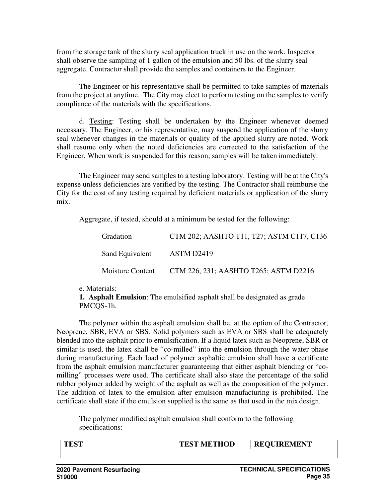from the storage tank of the slurry seal application truck in use on the work. Inspector shall observe the sampling of 1 gallon of the emulsion and 50 lbs. of the slurry seal aggregate. Contractor shall provide the samples and containers to the Engineer.

The Engineer or his representative shall be permitted to take samples of materials from the project at anytime. The City may elect to perform testing on the samples to verify compliance of the materials with the specifications.

d. Testing: Testing shall be undertaken by the Engineer whenever deemed necessary. The Engineer, or his representative, may suspend the application of the slurry seal whenever changes in the materials or quality of the applied slurry are noted. Work shall resume only when the noted deficiencies are corrected to the satisfaction of the Engineer. When work is suspended for this reason, samples will be taken immediately.

The Engineer may send samples to a testing laboratory. Testing will be at the City's expense unless deficiencies are verified by the testing. The Contractor shall reimburse the City for the cost of any testing required by deficient materials or application of the slurry mix.

Aggregate, if tested, should at a minimum be tested for the following:

| Gradation               | CTM 202; AASHTO T11, T27; ASTM C117, C136 |
|-------------------------|-------------------------------------------|
| Sand Equivalent         | ASTM D2419                                |
| <b>Moisture Content</b> | CTM 226, 231; AASHTO T265; ASTM D2216     |

e. Materials:

**1. Asphalt Emulsion**: The emulsified asphalt shall be designated as grade PMCQS-1h.

The polymer within the asphalt emulsion shall be, at the option of the Contractor, Neoprene, SBR, EVA or SBS. Solid polymers such as EVA or SBS shall be adequately blended into the asphalt prior to emulsification. If a liquid latex such as Neoprene, SBR or similar is used, the latex shall be "co-milled" into the emulsion through the water phase during manufacturing. Each load of polymer asphaltic emulsion shall have a certificate from the asphalt emulsion manufacturer guaranteeing that either asphalt blending or "comilling" processes were used. The certificate shall also state the percentage of the solid rubber polymer added by weight of the asphalt as well as the composition of the polymer. The addition of latex to the emulsion after emulsion manufacturing is prohibited. The certificate shall state if the emulsion supplied is the same as that used in the mix design.

The polymer modified asphalt emulsion shall conform to the following specifications:

|  | <b>TEST</b> | <b>TEST METHOD</b> | <b>REQUIREMENT</b> |
|--|-------------|--------------------|--------------------|
|--|-------------|--------------------|--------------------|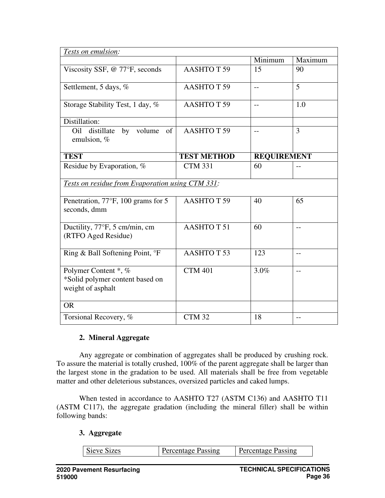| Tests on emulsion:                                                           |                    |                          |                |
|------------------------------------------------------------------------------|--------------------|--------------------------|----------------|
|                                                                              |                    | Minimum                  | Maximum        |
| Viscosity SSF, @ 77°F, seconds                                               | <b>AASHTOT 59</b>  | 15                       | 90             |
| Settlement, 5 days, %                                                        | <b>AASHTOT 59</b>  |                          | 5              |
| Storage Stability Test, 1 day, %                                             | <b>AASHTOT59</b>   | $\overline{\phantom{a}}$ | 1.0            |
| Distillation:                                                                |                    |                          |                |
| by volume<br>Oil<br>distillate<br>of<br>emulsion, %                          | <b>AASHTOT 59</b>  |                          | $\overline{3}$ |
| <b>TEST</b>                                                                  | <b>TEST METHOD</b> | <b>REQUIREMENT</b>       |                |
| Residue by Evaporation, %                                                    | <b>CTM 331</b>     | 60                       |                |
| Tests on residue from Evaporation using CTM 331:                             |                    |                          |                |
| Penetration, 77°F, 100 grams for 5<br>seconds, dmm                           | <b>AASHTOT 59</b>  | 40                       | 65             |
| Ductility, 77°F, 5 cm/min, cm<br>(RTFO Aged Residue)                         | <b>AASHTOT51</b>   | 60                       | $-$            |
| Ring & Ball Softening Point, °F                                              | <b>AASHTOT 53</b>  | 123                      | $-$            |
| Polymer Content *, %<br>*Solid polymer content based on<br>weight of asphalt | <b>CTM 401</b>     | 3.0%                     | $-$            |
| <b>OR</b>                                                                    |                    |                          |                |
| Torsional Recovery, %                                                        | CTM 32             | 18                       | $-$            |

### **2. Mineral Aggregate**

Any aggregate or combination of aggregates shall be produced by crushing rock. To assure the material is totally crushed, 100% of the parent aggregate shall be larger than the largest stone in the gradation to be used. All materials shall be free from vegetable matter and other deleterious substances, oversized particles and caked lumps.

When tested in accordance to AASHTO T27 (ASTM C136) and AASHTO T11 (ASTM C117), the aggregate gradation (including the mineral filler) shall be within following bands:

### **3. Aggregate**

| <b>Sieve Sizes</b> | Percentage Passing | Percentage Passing |
|--------------------|--------------------|--------------------|
|--------------------|--------------------|--------------------|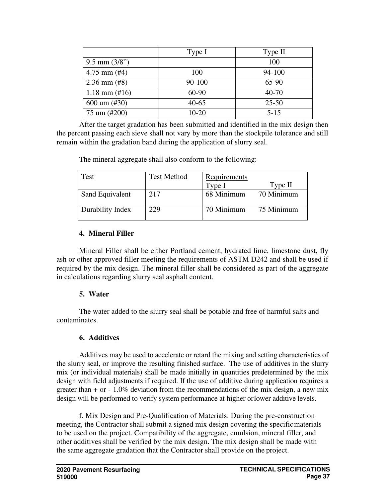|                           | Type I    | Type II   |
|---------------------------|-----------|-----------|
| $9.5$ mm $(3/8")$         |           | 100       |
| $4.75$ mm (#4)            | 100       | 94-100    |
| $2.36$ mm $(\text{\#8})$  | 90-100    | 65-90     |
| $1.18$ mm $(\text{\#}16)$ | $60-90$   | $40 - 70$ |
| $600 \text{ um } (\#30)$  | $40 - 65$ | $25 - 50$ |
| 75 um (#200)              | $10-20$   | $5 - 15$  |

After the target gradation has been submitted and identified in the mix design then the percent passing each sieve shall not vary by more than the stockpile tolerance and still remain within the gradation band during the application of slurry seal.

The mineral aggregate shall also conform to the following:

| Fest             | <b>Test Method</b> | Requirements |            |
|------------------|--------------------|--------------|------------|
|                  |                    | Type I       | Type II    |
| Sand Equivalent  | 217                | 68 Minimum   | 70 Minimum |
| Durability Index | 229                | 70 Minimum   | 75 Minimum |

### **4. Mineral Filler**

Mineral Filler shall be either Portland cement, hydrated lime, limestone dust, fly ash or other approved filler meeting the requirements of ASTM D242 and shall be used if required by the mix design. The mineral filler shall be considered as part of the aggregate in calculations regarding slurry seal asphalt content.

# **5. Water**

The water added to the slurry seal shall be potable and free of harmful salts and contaminates.

# **6. Additives**

Additives may be used to accelerate or retard the mixing and setting characteristics of the slurry seal, or improve the resulting finished surface. The use of additives in the slurry mix (or individual materials) shall be made initially in quantities predetermined by the mix design with field adjustments if required. If the use of additive during application requires a greater than  $+$  or  $-1.0\%$  deviation from the recommendations of the mix design, a new mix design will be performed to verify system performance at higher or lower additive levels.

f. Mix Design and Pre-Qualification of Materials: During the pre-construction meeting, the Contractor shall submit a signed mix design covering the specific materials to be used on the project. Compatibility of the aggregate, emulsion, mineral filler, and other additives shall be verified by the mix design. The mix design shall be made with the same aggregate gradation that the Contractor shall provide on the project.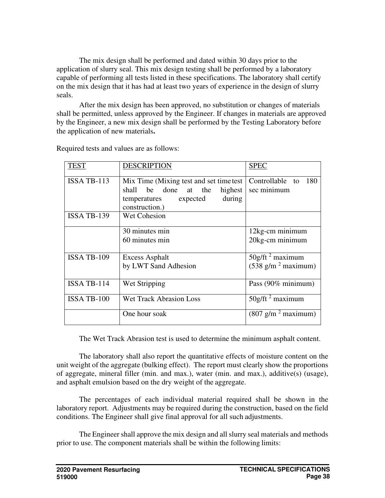The mix design shall be performed and dated within 30 days prior to the application of slurry seal. This mix design testing shall be performed by a laboratory capable of performing all tests listed in these specifications. The laboratory shall certify on the mix design that it has had at least two years of experience in the design of slurry seals.

After the mix design has been approved, no substitution or changes of materials shall be permitted, unless approved by the Engineer. If changes in materials are approved by the Engineer, a new mix design shall be performed by the Testing Laboratory before the application of new materials**.** 

| TEST               | <b>DESCRIPTION</b>                                                                                                            | <b>SPEC</b>                                                         |
|--------------------|-------------------------------------------------------------------------------------------------------------------------------|---------------------------------------------------------------------|
| ISSA TB-113        | Mix Time (Mixing test and set time test)<br>shall be done at the highest<br>during<br>temperatures expected<br>construction.) | Controllable to<br>180<br>sec minimum                               |
| ISSA TB-139        | <b>Wet Cohesion</b>                                                                                                           |                                                                     |
|                    | 30 minutes min                                                                                                                | 12kg-cm minimum                                                     |
|                    | 60 minutes min                                                                                                                | 20kg-cm minimum                                                     |
| ISSA TB-109        | <b>Excess Asphalt</b>                                                                                                         | $50g$ /ft <sup>2</sup> maximum                                      |
|                    | by LWT Sand Adhesion                                                                                                          | $(538 \text{ g/m}^2 \text{ maximum})$                               |
| ISSA TB-114        | Wet Stripping                                                                                                                 | Pass (90% minimum)                                                  |
| <b>ISSA TB-100</b> | <b>Wet Track Abrasion Loss</b>                                                                                                | $50g$ /ft <sup>2</sup> maximum                                      |
|                    | One hour soak                                                                                                                 | $(807 \frac{\text{g}}{\text{m}^2} \frac{\text{m}}{\text{maximum}})$ |

Required tests and values are as follows:

The Wet Track Abrasion test is used to determine the minimum asphalt content.

The laboratory shall also report the quantitative effects of moisture content on the unit weight of the aggregate (bulking effect). The report must clearly show the proportions of aggregate, mineral filler (min. and max.), water (min. and max.), additive(s) (usage), and asphalt emulsion based on the dry weight of the aggregate.

The percentages of each individual material required shall be shown in the laboratory report. Adjustments may be required during the construction, based on the field conditions. The Engineer shall give final approval for all such adjustments.

The Engineer shall approve the mix design and all slurry seal materials and methods prior to use. The component materials shall be within the following limits: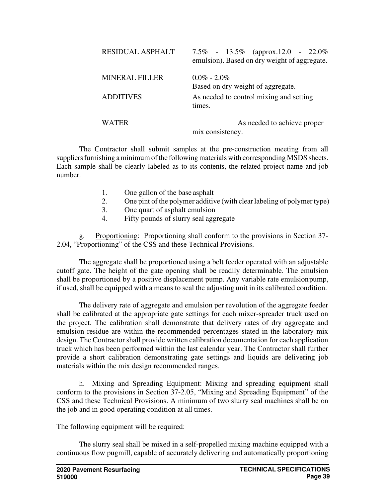| <b>RESIDUAL ASPHALT</b> | 7.5% - 13.5% (approx.12.0 - 22.0%)<br>emulsion). Based on dry weight of aggregate. |
|-------------------------|------------------------------------------------------------------------------------|
| <b>MINERAL FILLER</b>   | $0.0\% - 2.0\%$<br>Based on dry weight of aggregate.                               |
|                         |                                                                                    |
| <b>ADDITIVES</b>        | As needed to control mixing and setting<br>times.                                  |
| WATER                   | As needed to achieve proper                                                        |
|                         | mix consistency.                                                                   |

The Contractor shall submit samples at the pre-construction meeting from all suppliers furnishing a minimum of the following materials with corresponding MSDS sheets. Each sample shall be clearly labeled as to its contents, the related project name and job number.

- 1. One gallon of the base asphalt
- 2. One pint of the polymer additive (with clear labeling of polymer type)
- 3. One quart of asphalt emulsion
- 4. Fifty pounds of slurry seal aggregate

g. Proportioning: Proportioning shall conform to the provisions in Section 37- 2.04, "Proportioning" of the CSS and these Technical Provisions.

The aggregate shall be proportioned using a belt feeder operated with an adjustable cutoff gate. The height of the gate opening shall be readily determinable. The emulsion shall be proportioned by a positive displacement pump. Any variable rate emulsion pump, if used, shall be equipped with a means to seal the adjusting unit in its calibrated condition.

The delivery rate of aggregate and emulsion per revolution of the aggregate feeder shall be calibrated at the appropriate gate settings for each mixer-spreader truck used on the project. The calibration shall demonstrate that delivery rates of dry aggregate and emulsion residue are within the recommended percentages stated in the laboratory mix design. The Contractor shall provide written calibration documentation for each application truck which has been performed within the last calendar year. The Contractor shall further provide a short calibration demonstrating gate settings and liquids are delivering job materials within the mix design recommended ranges.

h. Mixing and Spreading Equipment: Mixing and spreading equipment shall conform to the provisions in Section 37-2.05, "Mixing and Spreading Equipment" of the CSS and these Technical Provisions. A minimum of two slurry seal machines shall be on the job and in good operating condition at all times.

The following equipment will be required:

The slurry seal shall be mixed in a self-propelled mixing machine equipped with a continuous flow pugmill, capable of accurately delivering and automatically proportioning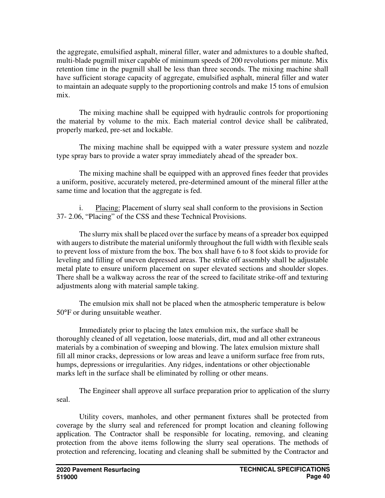the aggregate, emulsified asphalt, mineral filler, water and admixtures to a double shafted, multi-blade pugmill mixer capable of minimum speeds of 200 revolutions per minute. Mix retention time in the pugmill shall be less than three seconds. The mixing machine shall have sufficient storage capacity of aggregate, emulsified asphalt, mineral filler and water to maintain an adequate supply to the proportioning controls and make 15 tons of emulsion mix.

The mixing machine shall be equipped with hydraulic controls for proportioning the material by volume to the mix. Each material control device shall be calibrated, properly marked, pre-set and lockable.

The mixing machine shall be equipped with a water pressure system and nozzle type spray bars to provide a water spray immediately ahead of the spreader box.

The mixing machine shall be equipped with an approved fines feeder that provides a uniform, positive, accurately metered, pre-determined amount of the mineral filler at the same time and location that the aggregate is fed.

i. Placing: Placement of slurry seal shall conform to the provisions in Section 37- 2.06, "Placing" of the CSS and these Technical Provisions.

The slurry mix shall be placed over the surface by means of a spreader box equipped with augers to distribute the material uniformly throughout the full width with flexible seals to prevent loss of mixture from the box. The box shall have 6 to 8 foot skids to provide for leveling and filling of uneven depressed areas. The strike off assembly shall be adjustable metal plate to ensure uniform placement on super elevated sections and shoulder slopes. There shall be a walkway across the rear of the screed to facilitate strike-off and texturing adjustments along with material sample taking.

The emulsion mix shall not be placed when the atmospheric temperature is below 50°F or during unsuitable weather.

Immediately prior to placing the latex emulsion mix, the surface shall be thoroughly cleaned of all vegetation, loose materials, dirt, mud and all other extraneous materials by a combination of sweeping and blowing. The latex emulsion mixture shall fill all minor cracks, depressions or low areas and leave a uniform surface free from ruts, humps, depressions or irregularities. Any ridges, indentations or other objectionable marks left in the surface shall be eliminated by rolling or other means.

The Engineer shall approve all surface preparation prior to application of the slurry seal.

Utility covers, manholes, and other permanent fixtures shall be protected from coverage by the slurry seal and referenced for prompt location and cleaning following application. The Contractor shall be responsible for locating, removing, and cleaning protection from the above items following the slurry seal operations. The methods of protection and referencing, locating and cleaning shall be submitted by the Contractor and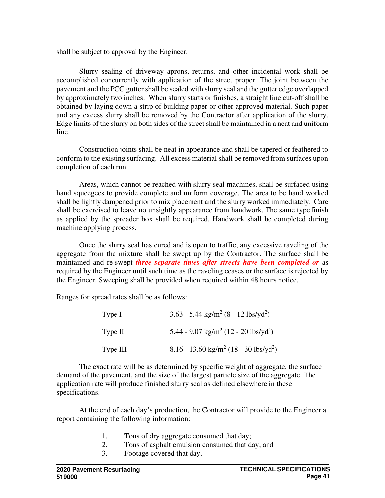shall be subject to approval by the Engineer.

Slurry sealing of driveway aprons, returns, and other incidental work shall be accomplished concurrently with application of the street proper. The joint between the pavement and the PCC gutter shall be sealed with slurry seal and the gutter edge overlapped by approximately two inches. When slurry starts or finishes, a straight line cut-off shall be obtained by laying down a strip of building paper or other approved material. Such paper and any excess slurry shall be removed by the Contractor after application of the slurry. Edge limits of the slurry on both sides of the street shall be maintained in a neat and uniform line.

Construction joints shall be neat in appearance and shall be tapered or feathered to conform to the existing surfacing. All excess material shall be removed from surfaces upon completion of each run.

Areas, which cannot be reached with slurry seal machines, shall be surfaced using hand squeegees to provide complete and uniform coverage. The area to be hand worked shall be lightly dampened prior to mix placement and the slurry worked immediately. Care shall be exercised to leave no unsightly appearance from handwork. The same type finish as applied by the spreader box shall be required. Handwork shall be completed during machine applying process.

Once the slurry seal has cured and is open to traffic, any excessive raveling of the aggregate from the mixture shall be swept up by the Contractor. The surface shall be maintained and re-swept *three separate times after streets have been completed or* as required by the Engineer until such time as the raveling ceases or the surface is rejected by the Engineer. Sweeping shall be provided when required within 48 hours notice.

Ranges for spread rates shall be as follows:

| Type I   | $3.63 - 5.44$ kg/m <sup>2</sup> (8 - 12 lbs/yd <sup>2</sup> ) |
|----------|---------------------------------------------------------------|
| Type II  | 5.44 - 9.07 kg/m <sup>2</sup> (12 - 20 lbs/yd <sup>2</sup> )  |
| Type III | 8.16 - 13.60 kg/m <sup>2</sup> (18 - 30 lbs/yd <sup>2</sup> ) |

The exact rate will be as determined by specific weight of aggregate, the surface demand of the pavement, and the size of the largest particle size of the aggregate. The application rate will produce finished slurry seal as defined elsewhere in these specifications.

At the end of each day's production, the Contractor will provide to the Engineer a report containing the following information:

- 1. Tons of dry aggregate consumed that day;
- 2. Tons of asphalt emulsion consumed that day; and
- 3. Footage covered that day.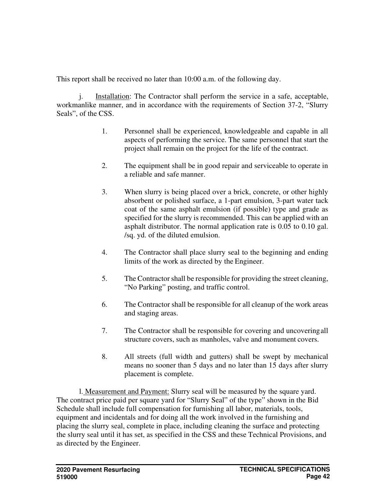This report shall be received no later than 10:00 a.m. of the following day.

j. Installation: The Contractor shall perform the service in a safe, acceptable, workmanlike manner, and in accordance with the requirements of Section 37-2, "Slurry Seals", of the CSS.

- 1. Personnel shall be experienced, knowledgeable and capable in all aspects of performing the service. The same personnel that start the project shall remain on the project for the life of the contract.
- 2. The equipment shall be in good repair and serviceable to operate in a reliable and safe manner.
- 3. When slurry is being placed over a brick, concrete, or other highly absorbent or polished surface, a 1-part emulsion, 3-part water tack coat of the same asphalt emulsion (if possible) type and grade as specified for the slurry is recommended. This can be applied with an asphalt distributor. The normal application rate is 0.05 to 0.10 gal. /sq. yd. of the diluted emulsion.
- 4. The Contractor shall place slurry seal to the beginning and ending limits of the work as directed by the Engineer.
- 5. The Contractor shall be responsible for providing the street cleaning, "No Parking" posting, and traffic control.
- 6. The Contractor shall be responsible for all cleanup of the work areas and staging areas.
- 7. The Contractor shall be responsible for covering and uncovering all structure covers, such as manholes, valve and monument covers.
- 8. All streets (full width and gutters) shall be swept by mechanical means no sooner than 5 days and no later than 15 days after slurry placement is complete.

l. Measurement and Payment: Slurry seal will be measured by the square yard. The contract price paid per square yard for "Slurry Seal" of the type" shown in the Bid Schedule shall include full compensation for furnishing all labor, materials, tools, equipment and incidentals and for doing all the work involved in the furnishing and placing the slurry seal, complete in place, including cleaning the surface and protecting the slurry seal until it has set, as specified in the CSS and these Technical Provisions, and as directed by the Engineer.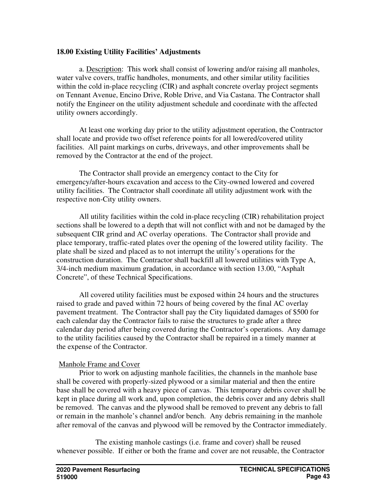# **18.00 Existing Utility Facilities' Adjustments**

a. Description: This work shall consist of lowering and/or raising all manholes, water valve covers, traffic handholes, monuments, and other similar utility facilities within the cold in-place recycling (CIR) and asphalt concrete overlay project segments on Tennant Avenue, Encino Drive, Roble Drive, and Via Castana. The Contractor shall notify the Engineer on the utility adjustment schedule and coordinate with the affected utility owners accordingly.

At least one working day prior to the utility adjustment operation, the Contractor shall locate and provide two offset reference points for all lowered/covered utility facilities. All paint markings on curbs, driveways, and other improvements shall be removed by the Contractor at the end of the project.

The Contractor shall provide an emergency contact to the City for emergency/after-hours excavation and access to the City-owned lowered and covered utility facilities. The Contractor shall coordinate all utility adjustment work with the respective non-City utility owners.

All utility facilities within the cold in-place recycling (CIR) rehabilitation project sections shall be lowered to a depth that will not conflict with and not be damaged by the subsequent CIR grind and AC overlay operations. The Contractor shall provide and place temporary, traffic-rated plates over the opening of the lowered utility facility. The plate shall be sized and placed as to not interrupt the utility's operations for the construction duration. The Contractor shall backfill all lowered utilities with Type A, 3/4-inch medium maximum gradation, in accordance with section 13.00, "Asphalt Concrete", of these Technical Specifications.

All covered utility facilities must be exposed within 24 hours and the structures raised to grade and paved within 72 hours of being covered by the final AC overlay pavement treatment. The Contractor shall pay the City liquidated damages of \$500 for each calendar day the Contractor fails to raise the structures to grade after a three calendar day period after being covered during the Contractor's operations. Any damage to the utility facilities caused by the Contractor shall be repaired in a timely manner at the expense of the Contractor.

### Manhole Frame and Cover

Prior to work on adjusting manhole facilities, the channels in the manhole base shall be covered with properly-sized plywood or a similar material and then the entire base shall be covered with a heavy piece of canvas. This temporary debris cover shall be kept in place during all work and, upon completion, the debris cover and any debris shall be removed. The canvas and the plywood shall be removed to prevent any debris to fall or remain in the manhole's channel and/or bench. Any debris remaining in the manhole after removal of the canvas and plywood will be removed by the Contractor immediately.

 The existing manhole castings (i.e. frame and cover) shall be reused whenever possible. If either or both the frame and cover are not reusable, the Contractor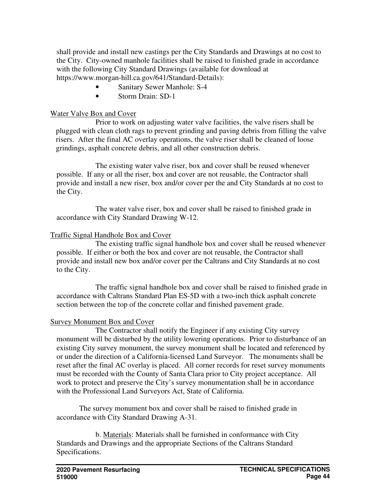shall provide and install new castings per the City Standards and Drawings at no cost to the City. City-owned manhole facilities shall be raised to finished grade in accordance with the following City Standard Drawings (available for download at https://www.morgan-hill.ca.gov/641/Standard-Details):

- Sanitary Sewer Manhole: S-4
- Storm Drain: SD-1

### Water Valve Box and Cover

 Prior to work on adjusting water valve facilities, the valve risers shall be plugged with clean cloth rags to prevent grinding and paving debris from filling the valve risers. After the final AC overlay operations, the valve riser shall be cleaned of loose grindings, asphalt concrete debris, and all other construction debris.

 The existing water valve riser, box and cover shall be reused whenever possible. If any or all the riser, box and cover are not reusable, the Contractor shall provide and install a new riser, box and/or cover per the and City Standards at no cost to the City.

 The water valve riser, box and cover shall be raised to finished grade in accordance with City Standard Drawing W-12.

### Traffic Signal Handhole Box and Cover

 The existing traffic signal handhole box and cover shall be reused whenever possible. If either or both the box and cover are not reusable, the Contractor shall provide and install new box and/or cover per the Caltrans and City Standards at no cost to the City.

 The traffic signal handhole box and cover shall be raised to finished grade in accordance with Caltrans Standard Plan ES-5D with a two-inch thick asphalt concrete section between the top of the concrete collar and finished pavement grade.

### Survey Monument Box and Cover

 The Contractor shall notify the Engineer if any existing City survey monument will be disturbed by the utility lowering operations. Prior to disturbance of an existing City survey monument, the survey monument shall be located and referenced by or under the direction of a California-licensed Land Surveyor. The monuments shall be reset after the final AC overlay is placed. All corner records for reset survey monuments must be recorded with the County of Santa Clara prior to City project acceptance. All work to protect and preserve the City's survey monumentation shall be in accordance with the Professional Land Surveyors Act, State of California.

The survey monument box and cover shall be raised to finished grade in accordance with City Standard Drawing A-31.

 b. Materials: Materials shall be furnished in conformance with City Standards and Drawings and the appropriate Sections of the Caltrans Standard Specifications.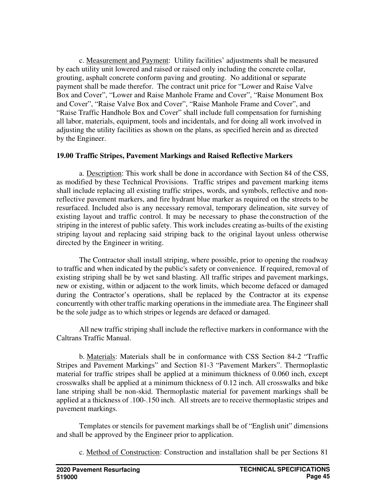c. Measurement and Payment: Utility facilities' adjustments shall be measured by each utility unit lowered and raised or raised only including the concrete collar, grouting, asphalt concrete conform paving and grouting. No additional or separate payment shall be made therefor. The contract unit price for "Lower and Raise Valve Box and Cover", "Lower and Raise Manhole Frame and Cover", "Raise Monument Box and Cover", "Raise Valve Box and Cover", "Raise Manhole Frame and Cover", and "Raise Traffic Handhole Box and Cover" shall include full compensation for furnishing all labor, materials, equipment, tools and incidentals, and for doing all work involved in adjusting the utility facilities as shown on the plans, as specified herein and as directed by the Engineer.

### **19.00 Traffic Stripes, Pavement Markings and Raised Reflective Markers**

a. Description: This work shall be done in accordance with Section 84 of the CSS, as modified by these Technical Provisions. Traffic stripes and pavement marking items shall include replacing all existing traffic stripes, words, and symbols, reflective and nonreflective pavement markers, and fire hydrant blue marker as required on the streets to be resurfaced. Included also is any necessary removal, temporary delineation, site survey of existing layout and traffic control. It may be necessary to phase the construction of the striping in the interest of public safety. This work includes creating as-builts of the existing striping layout and replacing said striping back to the original layout unless otherwise directed by the Engineer in writing.

The Contractor shall install striping, where possible, prior to opening the roadway to traffic and when indicated by the public's safety or convenience. If required, removal of existing striping shall be by wet sand blasting. All traffic stripes and pavement markings, new or existing, within or adjacent to the work limits, which become defaced or damaged during the Contractor's operations, shall be replaced by the Contractor at its expense concurrently with other traffic marking operations in the immediate area. The Engineer shall be the sole judge as to which stripes or legends are defaced or damaged.

All new traffic striping shall include the reflective markers in conformance with the Caltrans Traffic Manual.

b. Materials: Materials shall be in conformance with CSS Section 84-2 "Traffic Stripes and Pavement Markings" and Section 81-3 "Pavement Markers". Thermoplastic material for traffic stripes shall be applied at a minimum thickness of 0.060 inch, except crosswalks shall be applied at a minimum thickness of 0.12 inch. All crosswalks and bike lane striping shall be non-skid. Thermoplastic material for pavement markings shall be applied at a thickness of .100-.150 inch. All streets are to receive thermoplastic stripes and pavement markings.

Templates or stencils for pavement markings shall be of "English unit" dimensions and shall be approved by the Engineer prior to application.

c. Method of Construction: Construction and installation shall be per Sections 81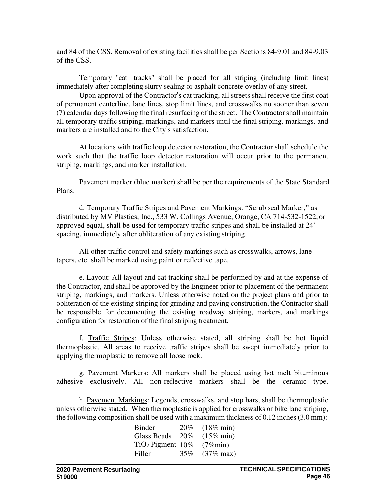and 84 of the CSS. Removal of existing facilities shall be per Sections 84-9.01 and 84-9.03 of the CSS.

Temporary "cat tracks" shall be placed for all striping (including limit lines) immediately after completing slurry sealing or asphalt concrete overlay of any street.

Upon approval of the Contractor's cat tracking, all streets shall receive the first coat of permanent centerline, lane lines, stop limit lines, and crosswalks no sooner than seven (7) calendar days following the final resurfacing of the street. The Contractor shall maintain all temporary traffic striping, markings, and markers until the final striping, markings, and markers are installed and to the City's satisfaction.

At locations with traffic loop detector restoration, the Contractor shall schedule the work such that the traffic loop detector restoration will occur prior to the permanent striping, markings, and marker installation.

Pavement marker (blue marker) shall be per the requirements of the State Standard Plans.

d. Temporary Traffic Stripes and Pavement Markings: "Scrub seal Marker," as distributed by MV Plastics, Inc., 533 W. Collings Avenue, Orange, CA 714-532-1522, or approved equal, shall be used for temporary traffic stripes and shall be installed at 24' spacing, immediately after obliteration of any existing striping.

All other traffic control and safety markings such as crosswalks, arrows, lane tapers, etc. shall be marked using paint or reflective tape.

e. Layout: All layout and cat tracking shall be performed by and at the expense of the Contractor, and shall be approved by the Engineer prior to placement of the permanent striping, markings, and markers. Unless otherwise noted on the project plans and prior to obliteration of the existing striping for grinding and paving construction, the Contractor shall be responsible for documenting the existing roadway striping, markers, and markings configuration for restoration of the final striping treatment.

f. Traffic Stripes: Unless otherwise stated, all striping shall be hot liquid thermoplastic. All areas to receive traffic stripes shall be swept immediately prior to applying thermoplastic to remove all loose rock.

g. Pavement Markers: All markers shall be placed using hot melt bituminous adhesive exclusively. All non-reflective markers shall be the ceramic type.

h. Pavement Markings: Legends, crosswalks, and stop bars, shall be thermoplastic unless otherwise stated. When thermoplastic is applied for crosswalks or bike lane striping, the following composition shall be used with a maximum thickness of 0.12 inches (3.0 mm):

| Binder                | 20% | $(18\% \text{ min})$ |
|-----------------------|-----|----------------------|
| Glass Beads           | 20% | $(15\% \text{ min})$ |
| $TiO2$ Pigment $10\%$ |     | $(7\%$ min)          |
| Filler                | 35% | $(37\% \text{ max})$ |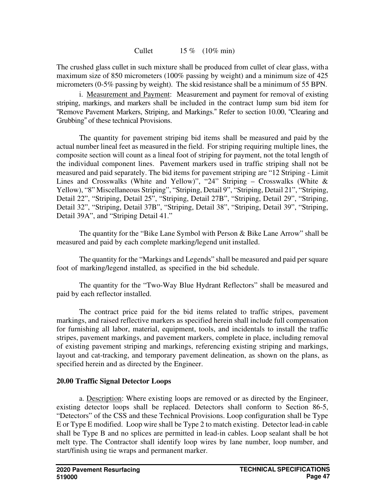Cullet 15 % (10% min)

The crushed glass cullet in such mixture shall be produced from cullet of clear glass, with a maximum size of 850 micrometers (100% passing by weight) and a minimum size of 425 micrometers (0-5% passing by weight). The skid resistance shall be a minimum of 55 BPN.

i. Measurement and Payment: Measurement and payment for removal of existing striping, markings, and markers shall be included in the contract lump sum bid item for "Remove Pavement Markers, Striping, and Markings." Refer to section 10.00, "Clearing and Grubbing" of these technical Provisions.

The quantity for pavement striping bid items shall be measured and paid by the actual number lineal feet as measured in the field. For striping requiring multiple lines, the composite section will count as a lineal foot of striping for payment, not the total length of the individual component lines. Pavement markers used in traffic striping shall not be measured and paid separately. The bid items for pavement striping are "12 Striping - Limit Lines and Crosswalks (White and Yellow)", "24" Striping – Crosswalks (White & Yellow), "8" Miscellaneous Striping", "Striping, Detail 9", "Striping, Detail 21", "Striping, Detail 22", "Striping, Detail 25", "Striping, Detail 27B", "Striping, Detail 29", "Striping, Detail 32", "Striping, Detail 37B", "Striping, Detail 38", "Striping, Detail 39", "Striping, Detail 39A", and "Striping Detail 41."

The quantity for the "Bike Lane Symbol with Person & Bike Lane Arrow" shall be measured and paid by each complete marking/legend unit installed.

The quantity for the "Markings and Legends" shall be measured and paid per square foot of marking/legend installed, as specified in the bid schedule.

The quantity for the "Two-Way Blue Hydrant Reflectors" shall be measured and paid by each reflector installed.

The contract price paid for the bid items related to traffic stripes, pavement markings, and raised reflective markers as specified herein shall include full compensation for furnishing all labor, material, equipment, tools, and incidentals to install the traffic stripes, pavement markings, and pavement markers, complete in place, including removal of existing pavement striping and markings, referencing existing striping and markings, layout and cat-tracking, and temporary pavement delineation, as shown on the plans, as specified herein and as directed by the Engineer.

# **20.00 Traffic Signal Detector Loops**

a. Description: Where existing loops are removed or as directed by the Engineer, existing detector loops shall be replaced. Detectors shall conform to Section 86-5, "Detectors" of the CSS and these Technical Provisions. Loop configuration shall be Type E or Type E modified. Loop wire shall be Type 2 to match existing. Detector lead-in cable shall be Type B and no splices are permitted in lead-in cables. Loop sealant shall be hot melt type. The Contractor shall identify loop wires by lane number, loop number, and start/finish using tie wraps and permanent marker.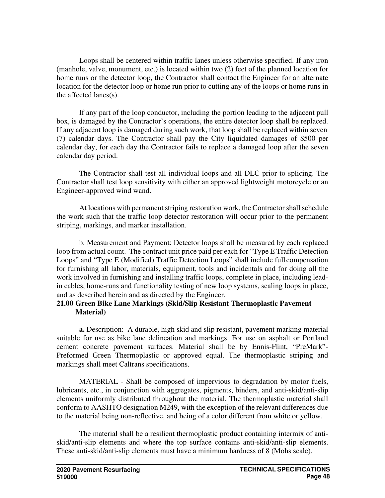Loops shall be centered within traffic lanes unless otherwise specified. If any iron (manhole, valve, monument, etc.) is located within two (2) feet of the planned location for home runs or the detector loop, the Contractor shall contact the Engineer for an alternate location for the detector loop or home run prior to cutting any of the loops or home runs in the affected lanes(s).

If any part of the loop conductor, including the portion leading to the adjacent pull box, is damaged by the Contractor's operations, the entire detector loop shall be replaced. If any adjacent loop is damaged during such work, that loop shall be replaced within seven (7) calendar days. The Contractor shall pay the City liquidated damages of \$500 per calendar day, for each day the Contractor fails to replace a damaged loop after the seven calendar day period.

The Contractor shall test all individual loops and all DLC prior to splicing. The Contractor shall test loop sensitivity with either an approved lightweight motorcycle or an Engineer-approved wind wand.

At locations with permanent striping restoration work, the Contractor shall schedule the work such that the traffic loop detector restoration will occur prior to the permanent striping, markings, and marker installation.

b. Measurement and Payment: Detector loops shall be measured by each replaced loop from actual count. The contract unit price paid per each for "Type E Traffic Detection Loops" and "Type E (Modified) Traffic Detection Loops" shall include full compensation for furnishing all labor, materials, equipment, tools and incidentals and for doing all the work involved in furnishing and installing traffic loops, complete in place, including leadin cables, home-runs and functionality testing of new loop systems, sealing loops in place, and as described herein and as directed by the Engineer.

### **21.00 Green Bike Lane Markings (Skid/Slip Resistant Thermoplastic Pavement Material)**

**a.** Description: A durable, high skid and slip resistant, pavement marking material suitable for use as bike lane delineation and markings. For use on asphalt or Portland cement concrete pavement surfaces. Material shall be by Ennis-Flint, "PreMark"- Preformed Green Thermoplastic or approved equal. The thermoplastic striping and markings shall meet Caltrans specifications.

MATERIAL - Shall be composed of impervious to degradation by motor fuels, lubricants, etc., in conjunction with aggregates, pigments, binders, and anti-skid/anti-slip elements uniformly distributed throughout the material. The thermoplastic material shall conform to AASHTO designation M249, with the exception of the relevant differences due to the material being non-reflective, and being of a color different from white or yellow.

The material shall be a resilient thermoplastic product containing intermix of antiskid/anti-slip elements and where the top surface contains anti-skid/anti-slip elements. These anti-skid/anti-slip elements must have a minimum hardness of 8 (Mohs scale).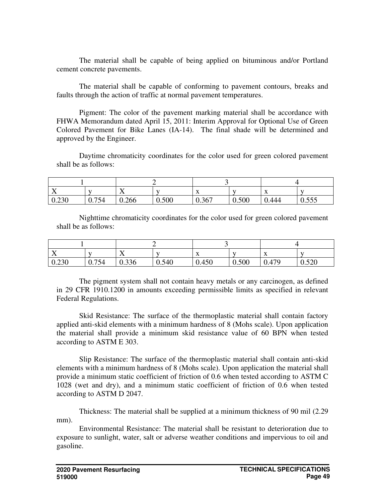The material shall be capable of being applied on bituminous and/or Portland cement concrete pavements.

The material shall be capable of conforming to pavement contours, breaks and faults through the action of traffic at normal pavement temperatures.

Pigment: The color of the pavement marking material shall be accordance with FHWA Memorandum dated April 15, 2011: Interim Approval for Optional Use of Green Colored Pavement for Bike Lanes (IA-14). The final shade will be determined and approved by the Engineer.

Daytime chromaticity coordinates for the color used for green colored pavement shall be as follows:

| $\mathbf{v}$<br>$\overline{A}$ |       | ∡⊾    |       | $\Lambda$ |       | $\mathbf{A}$ |                         |
|--------------------------------|-------|-------|-------|-----------|-------|--------------|-------------------------|
| 0.230                          | 0.754 | 0.266 | 0.500 | 0.367     | 0.500 | 0.444        | F F F<br>v.v <i>.</i> v |

Nighttime chromaticity coordinates for the color used for green colored pavement shall be as follows:

| $ -$<br>$\overline{ }$ | - 1   | $ -$<br>$\overline{ }$ | $\mathbf{v}$ | $\mathbf{A}$ | $\mathbf{v}$ | $\mathbf{v}$<br>$\mathbf{A}$ | $ -$           |
|------------------------|-------|------------------------|--------------|--------------|--------------|------------------------------|----------------|
| 0.230                  | 0.754 | 0.336                  | 0.540        | 0.450        | 0.500        | 0.479                        | 0.520<br>0.320 |

The pigment system shall not contain heavy metals or any carcinogen, as defined in 29 CFR 1910.1200 in amounts exceeding permissible limits as specified in relevant Federal Regulations.

Skid Resistance: The surface of the thermoplastic material shall contain factory applied anti-skid elements with a minimum hardness of 8 (Mohs scale). Upon application the material shall provide a minimum skid resistance value of 60 BPN when tested according to ASTM E 303.

Slip Resistance: The surface of the thermoplastic material shall contain anti-skid elements with a minimum hardness of 8 (Mohs scale). Upon application the material shall provide a minimum static coefficient of friction of 0.6 when tested according to ASTM C 1028 (wet and dry), and a minimum static coefficient of friction of 0.6 when tested according to ASTM D 2047.

Thickness: The material shall be supplied at a minimum thickness of 90 mil (2.29 mm).

Environmental Resistance: The material shall be resistant to deterioration due to exposure to sunlight, water, salt or adverse weather conditions and impervious to oil and gasoline.